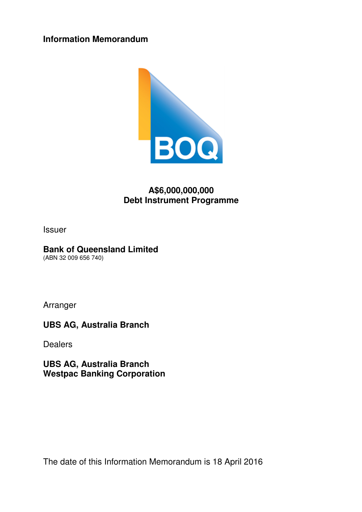**Information Memorandum** 



# **A\$6,000,000,000 Debt Instrument Programme**

Issuer

## **Bank of Queensland Limited**

(ABN 32 009 656 740)

Arranger

**UBS AG, Australia Branch** 

**Dealers** 

**UBS AG, Australia Branch Westpac Banking Corporation** 

The date of this Information Memorandum is 18 April 2016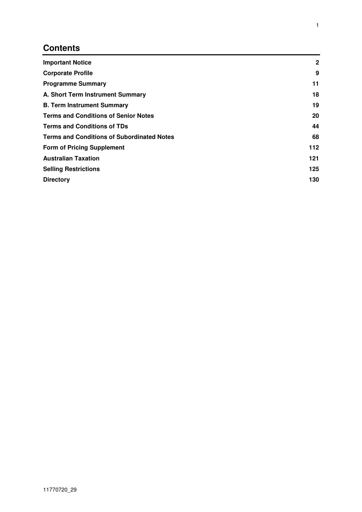# **Contents**

| <b>Important Notice</b>                           | $\mathbf{2}$ |
|---------------------------------------------------|--------------|
| <b>Corporate Profile</b>                          | 9            |
| <b>Programme Summary</b>                          | 11           |
| A. Short Term Instrument Summary                  | 18           |
| <b>B. Term Instrument Summary</b>                 | 19           |
| <b>Terms and Conditions of Senior Notes</b>       | 20           |
| <b>Terms and Conditions of TDs</b>                | 44           |
| <b>Terms and Conditions of Subordinated Notes</b> |              |
| <b>Form of Pricing Supplement</b>                 | 112          |
| <b>Australian Taxation</b>                        | 121          |
| <b>Selling Restrictions</b>                       | 125          |
| <b>Directory</b>                                  | 130          |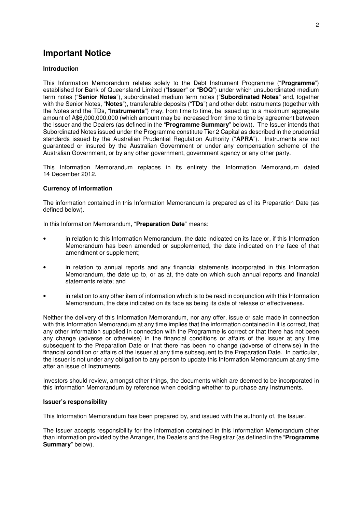## **Important Notice**

#### **Introduction**

This Information Memorandum relates solely to the Debt Instrument Programme ("**Programme**") established for Bank of Queensland Limited ("**Issuer**" or "**BOQ**") under which unsubordinated medium term notes ("**Senior Notes**"), subordinated medium term notes ("**Subordinated Notes**" and, together with the Senior Notes, "**Notes**"), transferable deposits ("**TDs**") and other debt instruments (together with the Notes and the TDs, "**Instruments**") may, from time to time, be issued up to a maximum aggregate amount of A\$6,000,000,000 (which amount may be increased from time to time by agreement between the Issuer and the Dealers (as defined in the "**Programme Summary**" below)). The Issuer intends that Subordinated Notes issued under the Programme constitute Tier 2 Capital as described in the prudential standards issued by the Australian Prudential Regulation Authority ("**APRA**"). Instruments are not guaranteed or insured by the Australian Government or under any compensation scheme of the Australian Government, or by any other government, government agency or any other party.

This Information Memorandum replaces in its entirety the Information Memorandum dated 14 December 2012.

#### **Currency of information**

The information contained in this Information Memorandum is prepared as of its Preparation Date (as defined below).

In this Information Memorandum, "**Preparation Date**" means:

- in relation to this Information Memorandum, the date indicated on its face or, if this Information Memorandum has been amended or supplemented, the date indicated on the face of that amendment or supplement;
- in relation to annual reports and any financial statements incorporated in this Information Memorandum, the date up to, or as at, the date on which such annual reports and financial statements relate; and
- in relation to any other item of information which is to be read in conjunction with this Information Memorandum, the date indicated on its face as being its date of release or effectiveness.

Neither the delivery of this Information Memorandum, nor any offer, issue or sale made in connection with this Information Memorandum at any time implies that the information contained in it is correct, that any other information supplied in connection with the Programme is correct or that there has not been any change (adverse or otherwise) in the financial conditions or affairs of the Issuer at any time subsequent to the Preparation Date or that there has been no change (adverse of otherwise) in the financial condition or affairs of the Issuer at any time subsequent to the Preparation Date. In particular, the Issuer is not under any obligation to any person to update this Information Memorandum at any time after an issue of Instruments.

Investors should review, amongst other things, the documents which are deemed to be incorporated in this Information Memorandum by reference when deciding whether to purchase any Instruments.

#### **Issuer's responsibility**

This Information Memorandum has been prepared by, and issued with the authority of, the Issuer.

The Issuer accepts responsibility for the information contained in this Information Memorandum other than information provided by the Arranger, the Dealers and the Registrar (as defined in the "**Programme Summary**" below).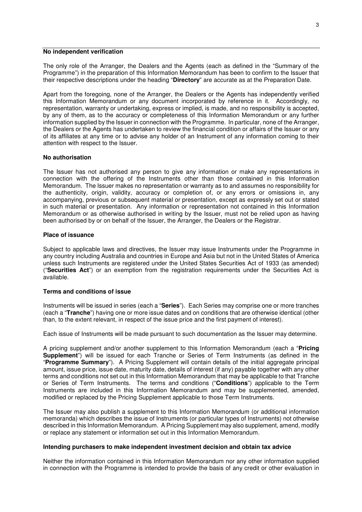#### **No independent verification**

The only role of the Arranger, the Dealers and the Agents (each as defined in the "Summary of the Programme") in the preparation of this Information Memorandum has been to confirm to the Issuer that their respective descriptions under the heading "**Directory**" are accurate as at the Preparation Date.

Apart from the foregoing, none of the Arranger, the Dealers or the Agents has independently verified this Information Memorandum or any document incorporated by reference in it. Accordingly, no representation, warranty or undertaking, express or implied, is made, and no responsibility is accepted, by any of them, as to the accuracy or completeness of this Information Memorandum or any further information supplied by the Issuer in connection with the Programme. In particular, none of the Arranger, the Dealers or the Agents has undertaken to review the financial condition or affairs of the Issuer or any of its affiliates at any time or to advise any holder of an Instrument of any information coming to their attention with respect to the Issuer.

#### **No authorisation**

The Issuer has not authorised any person to give any information or make any representations in connection with the offering of the Instruments other than those contained in this Information Memorandum. The Issuer makes no representation or warranty as to and assumes no responsibility for the authenticity, origin, validity, accuracy or completion of, or any errors or omissions in, any accompanying, previous or subsequent material or presentation, except as expressly set out or stated in such material or presentation. Any information or representation not contained in this Information Memorandum or as otherwise authorised in writing by the Issuer, must not be relied upon as having been authorised by or on behalf of the Issuer, the Arranger, the Dealers or the Registrar.

#### **Place of issuance**

Subject to applicable laws and directives, the Issuer may issue Instruments under the Programme in any country including Australia and countries in Europe and Asia but not in the United States of America unless such Instruments are registered under the United States Securities Act of 1933 (as amended) ("**Securities Act**") or an exemption from the registration requirements under the Securities Act is available.

#### **Terms and conditions of issue**

Instruments will be issued in series (each a "**Series**"). Each Series may comprise one or more tranches (each a "**Tranche**") having one or more issue dates and on conditions that are otherwise identical (other than, to the extent relevant, in respect of the issue price and the first payment of interest).

Each issue of Instruments will be made pursuant to such documentation as the Issuer may determine.

A pricing supplement and/or another supplement to this Information Memorandum (each a "**Pricing Supplement**") will be issued for each Tranche or Series of Term Instruments (as defined in the "**Programme Summary**"). A Pricing Supplement will contain details of the initial aggregate principal amount, issue price, issue date, maturity date, details of interest (if any) payable together with any other terms and conditions not set out in this Information Memorandum that may be applicable to that Tranche or Series of Term Instruments. The terms and conditions ("**Conditions**") applicable to the Term Instruments are included in this Information Memorandum and may be supplemented, amended, modified or replaced by the Pricing Supplement applicable to those Term Instruments.

The Issuer may also publish a supplement to this Information Memorandum (or additional information memoranda) which describes the issue of Instruments (or particular types of Instruments) not otherwise described in this Information Memorandum. A Pricing Supplement may also supplement, amend, modify or replace any statement or information set out in this Information Memorandum.

#### **Intending purchasers to make independent investment decision and obtain tax advice**

Neither the information contained in this Information Memorandum nor any other information supplied in connection with the Programme is intended to provide the basis of any credit or other evaluation in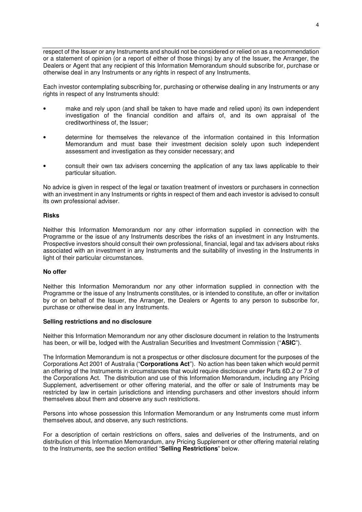respect of the Issuer or any Instruments and should not be considered or relied on as a recommendation or a statement of opinion (or a report of either of those things) by any of the Issuer, the Arranger, the Dealers or Agent that any recipient of this Information Memorandum should subscribe for, purchase or otherwise deal in any Instruments or any rights in respect of any Instruments.

Each investor contemplating subscribing for, purchasing or otherwise dealing in any Instruments or any rights in respect of any Instruments should:

- make and rely upon (and shall be taken to have made and relied upon) its own independent investigation of the financial condition and affairs of, and its own appraisal of the creditworthiness of, the Issuer;
- determine for themselves the relevance of the information contained in this Information Memorandum and must base their investment decision solely upon such independent assessment and investigation as they consider necessary; and
- consult their own tax advisers concerning the application of any tax laws applicable to their particular situation.

No advice is given in respect of the legal or taxation treatment of investors or purchasers in connection with an investment in any Instruments or rights in respect of them and each investor is advised to consult its own professional adviser.

#### **Risks**

Neither this Information Memorandum nor any other information supplied in connection with the Programme or the issue of any Instruments describes the risks of an investment in any Instruments. Prospective investors should consult their own professional, financial, legal and tax advisers about risks associated with an investment in any Instruments and the suitability of investing in the Instruments in light of their particular circumstances.

#### **No offer**

Neither this Information Memorandum nor any other information supplied in connection with the Programme or the issue of any Instruments constitutes, or is intended to constitute, an offer or invitation by or on behalf of the Issuer, the Arranger, the Dealers or Agents to any person to subscribe for, purchase or otherwise deal in any Instruments.

#### **Selling restrictions and no disclosure**

Neither this Information Memorandum nor any other disclosure document in relation to the Instruments has been, or will be, lodged with the Australian Securities and Investment Commission ("**ASIC**").

The Information Memorandum is not a prospectus or other disclosure document for the purposes of the Corporations Act 2001 of Australia ("**Corporations Act**"). No action has been taken which would permit an offering of the Instruments in circumstances that would require disclosure under Parts 6D.2 or 7.9 of the Corporations Act. The distribution and use of this Information Memorandum, including any Pricing Supplement, advertisement or other offering material, and the offer or sale of Instruments may be restricted by law in certain jurisdictions and intending purchasers and other investors should inform themselves about them and observe any such restrictions.

Persons into whose possession this Information Memorandum or any Instruments come must inform themselves about, and observe, any such restrictions.

For a description of certain restrictions on offers, sales and deliveries of the Instruments, and on distribution of this Information Memorandum, any Pricing Supplement or other offering material relating to the Instruments, see the section entitled "**Selling Restrictions**" below.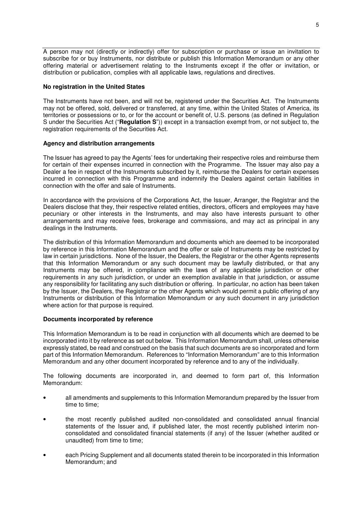A person may not (directly or indirectly) offer for subscription or purchase or issue an invitation to subscribe for or buy Instruments, nor distribute or publish this Information Memorandum or any other offering material or advertisement relating to the Instruments except if the offer or invitation, or distribution or publication, complies with all applicable laws, regulations and directives.

#### **No registration in the United States**

The Instruments have not been, and will not be, registered under the Securities Act. The Instruments may not be offered, sold, delivered or transferred, at any time, within the United States of America, its territories or possessions or to, or for the account or benefit of, U.S. persons (as defined in Regulation S under the Securities Act ("**Regulation S**")) except in a transaction exempt from, or not subject to, the registration requirements of the Securities Act.

#### **Agency and distribution arrangements**

The Issuer has agreed to pay the Agents' fees for undertaking their respective roles and reimburse them for certain of their expenses incurred in connection with the Programme. The Issuer may also pay a Dealer a fee in respect of the Instruments subscribed by it, reimburse the Dealers for certain expenses incurred in connection with this Programme and indemnify the Dealers against certain liabilities in connection with the offer and sale of Instruments.

In accordance with the provisions of the Corporations Act, the Issuer, Arranger, the Registrar and the Dealers disclose that they, their respective related entities, directors, officers and employees may have pecuniary or other interests in the Instruments, and may also have interests pursuant to other arrangements and may receive fees, brokerage and commissions, and may act as principal in any dealings in the Instruments.

The distribution of this Information Memorandum and documents which are deemed to be incorporated by reference in this Information Memorandum and the offer or sale of Instruments may be restricted by law in certain jurisdictions. None of the Issuer, the Dealers, the Registrar or the other Agents represents that this Information Memorandum or any such document may be lawfully distributed, or that any Instruments may be offered, in compliance with the laws of any applicable jurisdiction or other requirements in any such jurisdiction, or under an exemption available in that jurisdiction, or assume any responsibility for facilitating any such distribution or offering. In particular, no action has been taken by the Issuer, the Dealers, the Registrar or the other Agents which would permit a public offering of any Instruments or distribution of this Information Memorandum or any such document in any jurisdiction where action for that purpose is required.

#### **Documents incorporated by reference**

This Information Memorandum is to be read in conjunction with all documents which are deemed to be incorporated into it by reference as set out below. This Information Memorandum shall, unless otherwise expressly stated, be read and construed on the basis that such documents are so incorporated and form part of this Information Memorandum. References to "Information Memorandum" are to this Information Memorandum and any other document incorporated by reference and to any of the individually.

The following documents are incorporated in, and deemed to form part of, this Information Memorandum:

- all amendments and supplements to this Information Memorandum prepared by the Issuer from time to time;
- the most recently published audited non-consolidated and consolidated annual financial statements of the Issuer and, if published later, the most recently published interim nonconsolidated and consolidated financial statements (if any) of the Issuer (whether audited or unaudited) from time to time;
- each Pricing Supplement and all documents stated therein to be incorporated in this Information Memorandum; and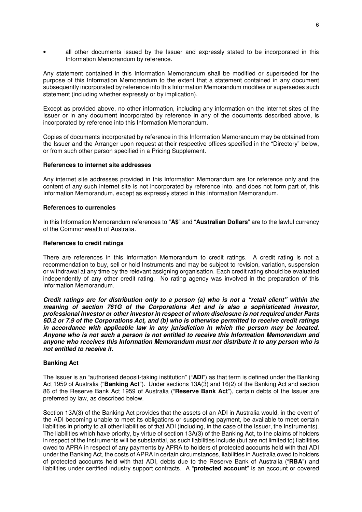• all other documents issued by the Issuer and expressly stated to be incorporated in this Information Memorandum by reference.

Any statement contained in this Information Memorandum shall be modified or superseded for the purpose of this Information Memorandum to the extent that a statement contained in any document subsequently incorporated by reference into this Information Memorandum modifies or supersedes such statement (including whether expressly or by implication).

Except as provided above, no other information, including any information on the internet sites of the Issuer or in any document incorporated by reference in any of the documents described above, is incorporated by reference into this Information Memorandum.

Copies of documents incorporated by reference in this Information Memorandum may be obtained from the Issuer and the Arranger upon request at their respective offices specified in the "Directory" below, or from such other person specified in a Pricing Supplement.

#### **References to internet site addresses**

Any internet site addresses provided in this Information Memorandum are for reference only and the content of any such internet site is not incorporated by reference into, and does not form part of, this Information Memorandum, except as expressly stated in this Information Memorandum.

#### **References to currencies**

In this Information Memorandum references to "**A\$**" and "**Australian Dollars**" are to the lawful currency of the Commonwealth of Australia.

#### **References to credit ratings**

There are references in this Information Memorandum to credit ratings. A credit rating is not a recommendation to buy, sell or hold Instruments and may be subject to revision, variation, suspension or withdrawal at any time by the relevant assigning organisation. Each credit rating should be evaluated independently of any other credit rating. No rating agency was involved in the preparation of this Information Memorandum.

*Credit ratings are for distribution only to a person (a) who is not a "retail client" within the meaning of section 761G of the Corporations Act and is also a sophisticated investor, professional investor or other investor in respect of whom disclosure is not required under Parts 6D.2 or 7.9 of the Corporations Act, and (b) who is otherwise permitted to receive credit ratings in accordance with applicable law in any jurisdiction in which the person may be located. Anyone who is not such a person is not entitled to receive this Information Memorandum and anyone who receives this Information Memorandum must not distribute it to any person who is not entitled to receive it.*

#### **Banking Act**

The Issuer is an "authorised deposit-taking institution" ("**ADI**") as that term is defined under the Banking Act 1959 of Australia ("**Banking Act**"). Under sections 13A(3) and 16(2) of the Banking Act and section 86 of the Reserve Bank Act 1959 of Australia ("**Reserve Bank Act**"), certain debts of the Issuer are preferred by law, as described below.

Section 13A(3) of the Banking Act provides that the assets of an ADI in Australia would, in the event of the ADI becoming unable to meet its obligations or suspending payment, be available to meet certain liabilities in priority to all other liabilities of that ADI (including, in the case of the Issuer, the Instruments). The liabilities which have priority, by virtue of section 13A(3) of the Banking Act, to the claims of holders in respect of the Instruments will be substantial, as such liabilities include (but are not limited to) liabilities owed to APRA in respect of any payments by APRA to holders of protected accounts held with that ADI under the Banking Act, the costs of APRA in certain circumstances, liabilities in Australia owed to holders of protected accounts held with that ADI, debts due to the Reserve Bank of Australia ("**RBA**") and liabilities under certified industry support contracts. A "**protected account**" is an account or covered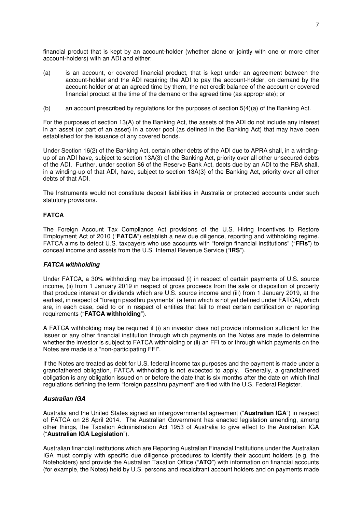financial product that is kept by an account-holder (whether alone or jointly with one or more other account-holders) with an ADI and either:

- (a) is an account, or covered financial product, that is kept under an agreement between the account-holder and the ADI requiring the ADI to pay the account-holder, on demand by the account-holder or at an agreed time by them, the net credit balance of the account or covered financial product at the time of the demand or the agreed time (as appropriate); or
- (b) an account prescribed by regulations for the purposes of section 5(4)(a) of the Banking Act.

For the purposes of section 13(A) of the Banking Act, the assets of the ADI do not include any interest in an asset (or part of an asset) in a cover pool (as defined in the Banking Act) that may have been established for the issuance of any covered bonds.

Under Section 16(2) of the Banking Act, certain other debts of the ADI due to APRA shall, in a windingup of an ADI have, subject to section 13A(3) of the Banking Act, priority over all other unsecured debts of the ADI. Further, under section 86 of the Reserve Bank Act, debts due by an ADI to the RBA shall, in a winding-up of that ADI, have, subject to section 13A(3) of the Banking Act, priority over all other debts of that ADI.

The Instruments would not constitute deposit liabilities in Australia or protected accounts under such statutory provisions.

#### **FATCA**

The Foreign Account Tax Compliance Act provisions of the U.S. Hiring Incentives to Restore Employment Act of 2010 ("**FATCA**") establish a new due diligence, reporting and withholding regime. FATCA aims to detect U.S. taxpayers who use accounts with "foreign financial institutions" ("**FFIs**") to conceal income and assets from the U.S. Internal Revenue Service ("**IRS**").

#### *FATCA withholding*

Under FATCA, a 30% withholding may be imposed (i) in respect of certain payments of U.S. source income, (ii) from 1 January 2019 in respect of gross proceeds from the sale or disposition of property that produce interest or dividends which are U.S. source income and (iii) from 1 January 2019, at the earliest, in respect of "foreign passthru payments" (a term which is not yet defined under FATCA), which are, in each case, paid to or in respect of entities that fail to meet certain certification or reporting requirements ("**FATCA withholding**").

A FATCA withholding may be required if (i) an investor does not provide information sufficient for the Issuer or any other financial institution through which payments on the Notes are made to determine whether the investor is subject to FATCA withholding or (ii) an FFI to or through which payments on the Notes are made is a "non-participating FFI".

If the Notes are treated as debt for U.S. federal income tax purposes and the payment is made under a grandfathered obligation, FATCA withholding is not expected to apply. Generally, a grandfathered obligation is any obligation issued on or before the date that is six months after the date on which final regulations defining the term "foreign passthru payment" are filed with the U.S. Federal Register.

#### *Australian IGA*

Australia and the United States signed an intergovernmental agreement ("**Australian IGA**") in respect of FATCA on 28 April 2014. The Australian Government has enacted legislation amending, among other things, the Taxation Administration Act 1953 of Australia to give effect to the Australian IGA ("**Australian IGA Legislation**").

Australian financial institutions which are Reporting Australian Financial Institutions under the Australian IGA must comply with specific due diligence procedures to identify their account holders (e.g. the Noteholders) and provide the Australian Taxation Office ("**ATO**") with information on financial accounts (for example, the Notes) held by U.S. persons and recalcitrant account holders and on payments made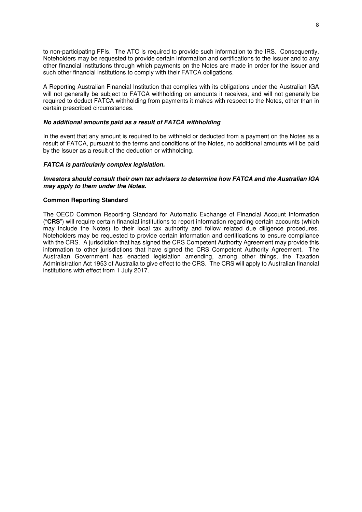to non-participating FFIs. The ATO is required to provide such information to the IRS. Consequently, Noteholders may be requested to provide certain information and certifications to the Issuer and to any other financial institutions through which payments on the Notes are made in order for the Issuer and such other financial institutions to comply with their FATCA obligations.

A Reporting Australian Financial Institution that complies with its obligations under the Australian IGA will not generally be subject to FATCA withholding on amounts it receives, and will not generally be required to deduct FATCA withholding from payments it makes with respect to the Notes, other than in certain prescribed circumstances.

#### *No additional amounts paid as a result of FATCA withholding*

In the event that any amount is required to be withheld or deducted from a payment on the Notes as a result of FATCA, pursuant to the terms and conditions of the Notes, no additional amounts will be paid by the Issuer as a result of the deduction or withholding.

#### *FATCA is particularly complex legislation.*

#### *Investors should consult their own tax advisers to determine how FATCA and the Australian IGA may apply to them under the Notes.*

#### **Common Reporting Standard**

The OECD Common Reporting Standard for Automatic Exchange of Financial Account Information ("**CRS**") will require certain financial institutions to report information regarding certain accounts (which may include the Notes) to their local tax authority and follow related due diligence procedures. Noteholders may be requested to provide certain information and certifications to ensure compliance with the CRS. A jurisdiction that has signed the CRS Competent Authority Agreement may provide this information to other jurisdictions that have signed the CRS Competent Authority Agreement. The Australian Government has enacted legislation amending, among other things, the Taxation Administration Act 1953 of Australia to give effect to the CRS. The CRS will apply to Australian financial institutions with effect from 1 July 2017.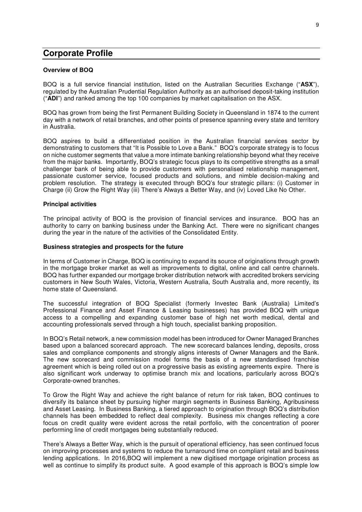### **Corporate Profile**

#### **Overview of BOQ**

BOQ is a full service financial institution, listed on the Australian Securities Exchange ("**ASX**"), regulated by the Australian Prudential Regulation Authority as an authorised deposit-taking institution ("**ADI**") and ranked among the top 100 companies by market capitalisation on the ASX.

BOQ has grown from being the first Permanent Building Society in Queensland in 1874 to the current day with a network of retail branches, and other points of presence spanning every state and territory in Australia.

BOQ aspires to build a differentiated position in the Australian financial services sector by demonstrating to customers that "It is Possible to Love a Bank." BOQ's corporate strategy is to focus on niche customer segments that value a more intimate banking relationship beyond what they receive from the major banks. Importantly, BOQ's strategic focus plays to its competitive strengths as a small challenger bank of being able to provide customers with personalised relationship management, passionate customer service, focused products and solutions, and nimble decision-making and problem resolution. The strategy is executed through BOQ's four strategic pillars: (i) Customer in Charge (ii) Grow the Right Way (iii) There's Always a Better Way, and (iv) Loved Like No Other.

#### **Principal activities**

The principal activity of BOQ is the provision of financial services and insurance. BOQ has an authority to carry on banking business under the Banking Act. There were no significant changes during the year in the nature of the activities of the Consolidated Entity.

#### **Business strategies and prospects for the future**

In terms of Customer in Charge, BOQ is continuing to expand its source of originations through growth in the mortgage broker market as well as improvements to digital, online and call centre channels. BOQ has further expanded our mortgage broker distribution network with accredited brokers servicing customers in New South Wales, Victoria, Western Australia, South Australia and, more recently, its home state of Queensland.

The successful integration of BOQ Specialist (formerly Investec Bank (Australia) Limited's Professional Finance and Asset Finance & Leasing businesses) has provided BOQ with unique access to a compelling and expanding customer base of high net worth medical, dental and accounting professionals served through a high touch, specialist banking proposition.

In BOQ's Retail network, a new commission model has been introduced for Owner Managed Branches based upon a balanced scorecard approach. The new scorecard balances lending, deposits, cross sales and compliance components and strongly aligns interests of Owner Managers and the Bank. The new scorecard and commission model forms the basis of a new standardised franchise agreement which is being rolled out on a progressive basis as existing agreements expire. There is also significant work underway to optimise branch mix and locations, particularly across BOQ's Corporate-owned branches.

To Grow the Right Way and achieve the right balance of return for risk taken, BOQ continues to diversify its balance sheet by pursuing higher margin segments in Business Banking, Agribusiness and Asset Leasing. In Business Banking, a tiered approach to origination through BOQ's distribution channels has been embedded to reflect deal complexity. Business mix changes reflecting a core focus on credit quality were evident across the retail portfolio, with the concentration of poorer performing line of credit mortgages being substantially reduced.

There's Always a Better Way, which is the pursuit of operational efficiency, has seen continued focus on improving processes and systems to reduce the turnaround time on compliant retail and business lending applications. In 2016,BOQ will implement a new digitised mortgage origination process as well as continue to simplify its product suite. A good example of this approach is BOQ's simple low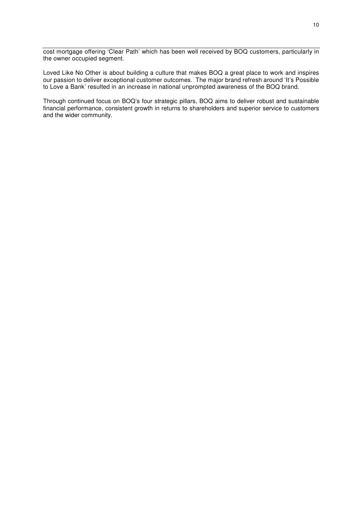cost mortgage offering 'Clear Path' which has been well received by BOQ customers, particularly in the owner occupied segment.

Loved Like No Other is about building a culture that makes BOQ a great place to work and inspires our passion to deliver exceptional customer outcomes. The major brand refresh around 'It's Possible to Love a Bank' resulted in an increase in national unprompted awareness of the BOQ brand.

Through continued focus on BOQ's four strategic pillars, BOQ aims to deliver robust and sustainable financial performance, consistent growth in returns to shareholders and superior service to customers and the wider community.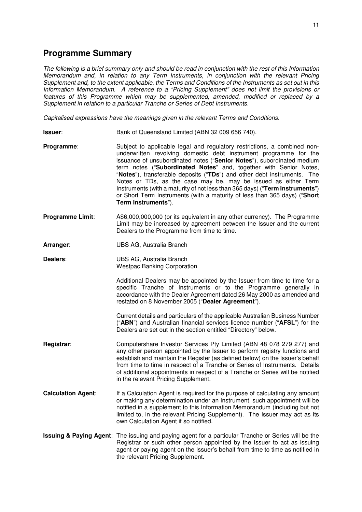### **Programme Summary**

*The following is a brief summary only and should be read in conjunction with the rest of this Information Memorandum and, in relation to any Term Instruments, in conjunction with the relevant Pricing Supplement and, to the extent applicable, the Terms and Conditions of the Instruments as set out in this Information Memorandum. A reference to a "Pricing Supplement" does not limit the provisions or features of this Programme which may be supplemented, amended, modified or replaced by a Supplement in relation to a particular Tranche or Series of Debt Instruments.* 

*Capitalised expressions have the meanings given in the relevant Terms and Conditions.* 

- **Issuer**: Bank of Queensland Limited (ABN 32 009 656 740).
- **Programme:** Subject to applicable legal and regulatory restrictions, a combined nonunderwritten revolving domestic debt instrument programme for the issuance of unsubordinated notes ("**Senior Notes**"), subordinated medium term notes ("**Subordinated Notes**" and, together with Senior Notes, "**Notes**"), transferable deposits ("**TDs**") and other debt instruments. The Notes or TDs, as the case may be, may be issued as either Term Instruments (with a maturity of not less than 365 days) ("**Term Instruments**") or Short Term Instruments (with a maturity of less than 365 days) ("**Short Term Instruments**").
- **Programme Limit**: A\$6,000,000,000 (or its equivalent in any other currency). The Programme Limit may be increased by agreement between the Issuer and the current Dealers to the Programme from time to time.
- **Arranger**: UBS AG, Australia Branch
- **Dealers**: UBS AG, Australia Branch Westpac Banking Corporation

Additional Dealers may be appointed by the Issuer from time to time for a specific Tranche of Instruments or to the Programme generally in accordance with the Dealer Agreement dated 26 May 2000 as amended and restated on 8 November 2005 ("**Dealer Agreement**").

Current details and particulars of the applicable Australian Business Number ("**ABN**") and Australian financial services licence number ("**AFSL**") for the Dealers are set out in the section entitled "Directory" below.

- **Registrar**: Computershare Investor Services Pty Limited (ABN 48 078 279 277) and any other person appointed by the Issuer to perform registry functions and establish and maintain the Register (as defined below) on the Issuer's behalf from time to time in respect of a Tranche or Series of Instruments. Details of additional appointments in respect of a Tranche or Series will be notified in the relevant Pricing Supplement.
- **Calculation Agent:** If a Calculation Agent is required for the purpose of calculating any amount or making any determination under an Instrument, such appointment will be notified in a supplement to this Information Memorandum (including but not limited to, in the relevant Pricing Supplement). The Issuer may act as its own Calculation Agent if so notified.
- **Issuing & Paying Agent**: The issuing and paying agent for a particular Tranche or Series will be the Registrar or such other person appointed by the Issuer to act as issuing agent or paying agent on the Issuer's behalf from time to time as notified in the relevant Pricing Supplement.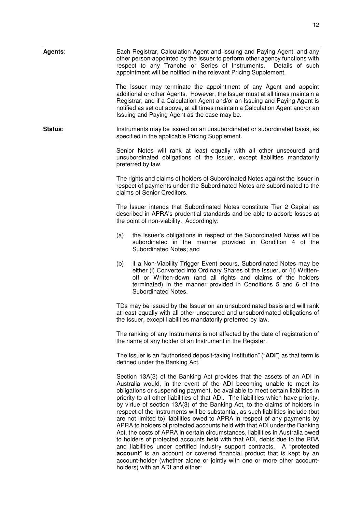| Agents: | Each Registrar, Calculation Agent and Issuing and Paying Agent, and any<br>other person appointed by the Issuer to perform other agency functions with<br>respect to any Tranche or Series of Instruments.<br>Details of such<br>appointment will be notified in the relevant Pricing Supplement.                                                                                                                                                                                                                                                                                                                                                                                                                                                                                                                      |
|---------|------------------------------------------------------------------------------------------------------------------------------------------------------------------------------------------------------------------------------------------------------------------------------------------------------------------------------------------------------------------------------------------------------------------------------------------------------------------------------------------------------------------------------------------------------------------------------------------------------------------------------------------------------------------------------------------------------------------------------------------------------------------------------------------------------------------------|
|         | The Issuer may terminate the appointment of any Agent and appoint<br>additional or other Agents. However, the Issuer must at all times maintain a<br>Registrar, and if a Calculation Agent and/or an Issuing and Paying Agent is<br>notified as set out above, at all times maintain a Calculation Agent and/or an<br>Issuing and Paying Agent as the case may be.                                                                                                                                                                                                                                                                                                                                                                                                                                                     |
| Status: | Instruments may be issued on an unsubordinated or subordinated basis, as<br>specified in the applicable Pricing Supplement.                                                                                                                                                                                                                                                                                                                                                                                                                                                                                                                                                                                                                                                                                            |
|         | Senior Notes will rank at least equally with all other unsecured and<br>unsubordinated obligations of the Issuer, except liabilities mandatorily<br>preferred by law.                                                                                                                                                                                                                                                                                                                                                                                                                                                                                                                                                                                                                                                  |
|         | The rights and claims of holders of Subordinated Notes against the Issuer in<br>respect of payments under the Subordinated Notes are subordinated to the<br>claims of Senior Creditors.                                                                                                                                                                                                                                                                                                                                                                                                                                                                                                                                                                                                                                |
|         | The Issuer intends that Subordinated Notes constitute Tier 2 Capital as<br>described in APRA's prudential standards and be able to absorb losses at<br>the point of non-viability. Accordingly:                                                                                                                                                                                                                                                                                                                                                                                                                                                                                                                                                                                                                        |
|         | the Issuer's obligations in respect of the Subordinated Notes will be<br>(a)<br>subordinated in the manner provided in Condition 4 of the<br>Subordinated Notes; and                                                                                                                                                                                                                                                                                                                                                                                                                                                                                                                                                                                                                                                   |
|         | if a Non-Viability Trigger Event occurs, Subordinated Notes may be<br>(b)<br>either (i) Converted into Ordinary Shares of the Issuer, or (ii) Written-<br>off or Written-down (and all rights and claims of the holders<br>terminated) in the manner provided in Conditions 5 and 6 of the<br>Subordinated Notes.                                                                                                                                                                                                                                                                                                                                                                                                                                                                                                      |
|         | TDs may be issued by the Issuer on an unsubordinated basis and will rank<br>at least equally with all other unsecured and unsubordinated obligations of<br>the Issuer, except liabilities mandatorily preferred by law.                                                                                                                                                                                                                                                                                                                                                                                                                                                                                                                                                                                                |
|         | The ranking of any Instruments is not affected by the date of registration of<br>the name of any holder of an Instrument in the Register.                                                                                                                                                                                                                                                                                                                                                                                                                                                                                                                                                                                                                                                                              |
|         | The Issuer is an "authorised deposit-taking institution" ("ADI") as that term is<br>defined under the Banking Act.                                                                                                                                                                                                                                                                                                                                                                                                                                                                                                                                                                                                                                                                                                     |
|         | Section 13A(3) of the Banking Act provides that the assets of an ADI in<br>Australia would, in the event of the ADI becoming unable to meet its<br>obligations or suspending payment, be available to meet certain liabilities in<br>priority to all other liabilities of that ADI. The liabilities which have priority,<br>by virtue of section 13A(3) of the Banking Act, to the claims of holders in<br>respect of the Instruments will be substantial, as such liabilities include (but<br>are not limited to) liabilities owed to APRA in respect of any payments by<br>APRA to holders of protected accounts held with that ADI under the Banking<br>Act, the costs of APRA in certain circumstances, liabilities in Australia owed<br>to holders of protected accounts held with that ADI, debts due to the RBA |

and liabilities under certified industry support contracts. A "**protected account**" is an account or covered financial product that is kept by an account-holder (whether alone or jointly with one or more other accountholders) with an ADI and either: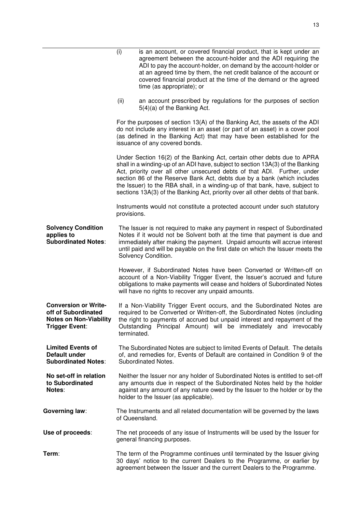|                                                                                                              | (i)<br>is an account, or covered financial product, that is kept under an<br>agreement between the account-holder and the ADI requiring the<br>ADI to pay the account-holder, on demand by the account-holder or<br>at an agreed time by them, the net credit balance of the account or<br>covered financial product at the time of the demand or the agreed<br>time (as appropriate); or                                                                                           |  |
|--------------------------------------------------------------------------------------------------------------|-------------------------------------------------------------------------------------------------------------------------------------------------------------------------------------------------------------------------------------------------------------------------------------------------------------------------------------------------------------------------------------------------------------------------------------------------------------------------------------|--|
|                                                                                                              | an account prescribed by regulations for the purposes of section<br>(ii)<br>$5(4)(a)$ of the Banking Act.                                                                                                                                                                                                                                                                                                                                                                           |  |
|                                                                                                              | For the purposes of section 13(A) of the Banking Act, the assets of the ADI<br>do not include any interest in an asset (or part of an asset) in a cover pool<br>(as defined in the Banking Act) that may have been established for the<br>issuance of any covered bonds.                                                                                                                                                                                                            |  |
|                                                                                                              | Under Section 16(2) of the Banking Act, certain other debts due to APRA<br>shall in a winding-up of an ADI have, subject to section 13A(3) of the Banking<br>Act, priority over all other unsecured debts of that ADI. Further, under<br>section 86 of the Reserve Bank Act, debts due by a bank (which includes<br>the Issuer) to the RBA shall, in a winding-up of that bank, have, subject to<br>sections 13A(3) of the Banking Act, priority over all other debts of that bank. |  |
|                                                                                                              | Instruments would not constitute a protected account under such statutory<br>provisions.                                                                                                                                                                                                                                                                                                                                                                                            |  |
| <b>Solvency Condition</b><br>applies to<br><b>Subordinated Notes:</b>                                        | The Issuer is not required to make any payment in respect of Subordinated<br>Notes if it would not be Solvent both at the time that payment is due and<br>immediately after making the payment. Unpaid amounts will accrue interest<br>until paid and will be payable on the first date on which the Issuer meets the<br>Solvency Condition.                                                                                                                                        |  |
|                                                                                                              | However, if Subordinated Notes have been Converted or Written-off on<br>account of a Non-Viability Trigger Event, the Issuer's accrued and future<br>obligations to make payments will cease and holders of Subordinated Notes<br>will have no rights to recover any unpaid amounts.                                                                                                                                                                                                |  |
| <b>Conversion or Write-</b><br>off of Subordinated<br><b>Notes on Non-Viability</b><br><b>Trigger Event:</b> | If a Non-Viability Trigger Event occurs, and the Subordinated Notes are<br>required to be Converted or Written-off, the Subordinated Notes (including<br>the right to payments of accrued but unpaid interest and repayment of the<br>Outstanding Principal Amount) will be immediately and irrevocably<br>terminated.                                                                                                                                                              |  |
| <b>Limited Events of</b><br><b>Default under</b><br><b>Subordinated Notes:</b>                               | The Subordinated Notes are subject to limited Events of Default. The details<br>of, and remedies for, Events of Default are contained in Condition 9 of the<br>Subordinated Notes.                                                                                                                                                                                                                                                                                                  |  |
| No set-off in relation<br>to Subordinated<br>Notes:                                                          | Neither the Issuer nor any holder of Subordinated Notes is entitled to set-off<br>any amounts due in respect of the Subordinated Notes held by the holder<br>against any amount of any nature owed by the Issuer to the holder or by the<br>holder to the Issuer (as applicable).                                                                                                                                                                                                   |  |
| <b>Governing law:</b>                                                                                        | The Instruments and all related documentation will be governed by the laws<br>of Queensland.                                                                                                                                                                                                                                                                                                                                                                                        |  |
| Use of proceeds:                                                                                             | The net proceeds of any issue of Instruments will be used by the Issuer for<br>general financing purposes.                                                                                                                                                                                                                                                                                                                                                                          |  |
| Term:                                                                                                        | The term of the Programme continues until terminated by the Issuer giving<br>30 days' notice to the current Dealers to the Programme, or earlier by<br>agreement between the Issuer and the current Dealers to the Programme.                                                                                                                                                                                                                                                       |  |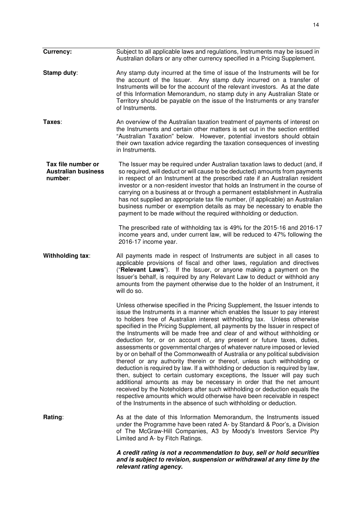| <b>Currency:</b>                                            | Subject to all applicable laws and regulations, Instruments may be issued in<br>Australian dollars or any other currency specified in a Pricing Supplement.                                                                                                                                                                                                                                                                                                                                                                                                                                                                                                                                                                                                                                                                                                                                                                                                                                                                                                                                                                                                                                |
|-------------------------------------------------------------|--------------------------------------------------------------------------------------------------------------------------------------------------------------------------------------------------------------------------------------------------------------------------------------------------------------------------------------------------------------------------------------------------------------------------------------------------------------------------------------------------------------------------------------------------------------------------------------------------------------------------------------------------------------------------------------------------------------------------------------------------------------------------------------------------------------------------------------------------------------------------------------------------------------------------------------------------------------------------------------------------------------------------------------------------------------------------------------------------------------------------------------------------------------------------------------------|
| Stamp duty:                                                 | Any stamp duty incurred at the time of issue of the Instruments will be for<br>the account of the Issuer. Any stamp duty incurred on a transfer of<br>Instruments will be for the account of the relevant investors. As at the date<br>of this Information Memorandum, no stamp duty in any Australian State or<br>Territory should be payable on the issue of the Instruments or any transfer<br>of Instruments.                                                                                                                                                                                                                                                                                                                                                                                                                                                                                                                                                                                                                                                                                                                                                                          |
| Taxes:                                                      | An overview of the Australian taxation treatment of payments of interest on<br>the Instruments and certain other matters is set out in the section entitled<br>"Australian Taxation" below. However, potential investors should obtain<br>their own taxation advice regarding the taxation consequences of investing<br>in Instruments.                                                                                                                                                                                                                                                                                                                                                                                                                                                                                                                                                                                                                                                                                                                                                                                                                                                    |
| Tax file number or<br><b>Australian business</b><br>number: | The Issuer may be required under Australian taxation laws to deduct (and, if<br>so required, will deduct or will cause to be deducted) amounts from payments<br>in respect of an Instrument at the prescribed rate if an Australian resident<br>investor or a non-resident investor that holds an Instrument in the course of<br>carrying on a business at or through a permanent establishment in Australia<br>has not supplied an appropriate tax file number, (if applicable) an Australian<br>business number or exemption details as may be necessary to enable the<br>payment to be made without the required withholding or deduction.                                                                                                                                                                                                                                                                                                                                                                                                                                                                                                                                              |
|                                                             | The prescribed rate of withholding tax is 49% for the 2015-16 and 2016-17<br>income years and, under current law, will be reduced to 47% following the<br>2016-17 income year.                                                                                                                                                                                                                                                                                                                                                                                                                                                                                                                                                                                                                                                                                                                                                                                                                                                                                                                                                                                                             |
| Withholding tax:                                            | All payments made in respect of Instruments are subject in all cases to<br>applicable provisions of fiscal and other laws, regulation and directives<br>("Relevant Laws"). If the Issuer, or anyone making a payment on the<br>Issuer's behalf, is required by any Relevant Law to deduct or withhold any<br>amounts from the payment otherwise due to the holder of an Instrument, it<br>will do so.                                                                                                                                                                                                                                                                                                                                                                                                                                                                                                                                                                                                                                                                                                                                                                                      |
|                                                             | Unless otherwise specified in the Pricing Supplement, the Issuer intends to<br>issue the Instruments in a manner which enables the Issuer to pay interest<br>to holders free of Australian interest withholding tax. Unless otherwise<br>specified in the Pricing Supplement, all payments by the Issuer in respect of<br>the Instruments will be made free and clear of and without withholding or<br>deduction for, or on account of, any present or future taxes, duties,<br>assessments or governmental charges of whatever nature imposed or levied<br>by or on behalf of the Commonwealth of Australia or any political subdivision<br>thereof or any authority therein or thereof, unless such withholding or<br>deduction is required by law. If a withholding or deduction is required by law,<br>then, subject to certain customary exceptions, the Issuer will pay such<br>additional amounts as may be necessary in order that the net amount<br>received by the Noteholders after such withholding or deduction equals the<br>respective amounts which would otherwise have been receivable in respect<br>of the Instruments in the absence of such withholding or deduction. |
| Rating:                                                     | As at the date of this Information Memorandum, the Instruments issued<br>under the Programme have been rated A- by Standard & Poor's, a Division<br>of The McGraw-Hill Companies, A3 by Moody's Investors Service Pty<br>Limited and A- by Fitch Ratings.                                                                                                                                                                                                                                                                                                                                                                                                                                                                                                                                                                                                                                                                                                                                                                                                                                                                                                                                  |
|                                                             | A credit rating is not a recommendation to buy, sell or hold securities<br>and is subject to revision, suspension or withdrawal at any time by the<br>relevant rating agency.                                                                                                                                                                                                                                                                                                                                                                                                                                                                                                                                                                                                                                                                                                                                                                                                                                                                                                                                                                                                              |

14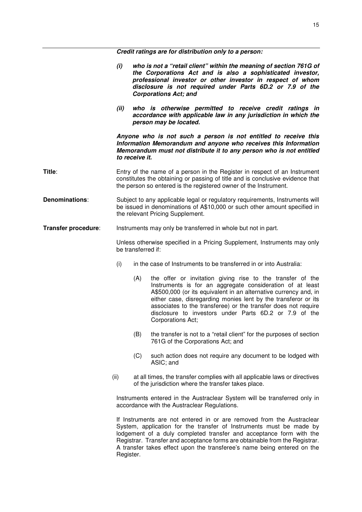*Credit ratings are for distribution only to a person:* 

*(i) who is not a "retail client" within the meaning of section 761G of the Corporations Act and is also a sophisticated investor, professional investor or other investor in respect of whom disclosure is not required under Parts 6D.2 or 7.9 of the Corporations Act; and (ii) who is otherwise permitted to receive credit ratings in accordance with applicable law in any jurisdiction in which the person may be located. Anyone who is not such a person is not entitled to receive this Information Memorandum and anyone who receives this Information Memorandum must not distribute it to any person who is not entitled to receive it.* **Title:** Entry of the name of a person in the Register in respect of an Instrument constitutes the obtaining or passing of title and is conclusive evidence that the person so entered is the registered owner of the Instrument. **Denominations:** Subject to any applicable legal or regulatory requirements, Instruments will be issued in denominations of A\$10,000 or such other amount specified in the relevant Pricing Supplement. **Transfer procedure:** Instruments may only be transferred in whole but not in part. Unless otherwise specified in a Pricing Supplement, Instruments may only be transferred if: (i) in the case of Instruments to be transferred in or into Australia: (A) the offer or invitation giving rise to the transfer of the Instruments is for an aggregate consideration of at least A\$500,000 (or its equivalent in an alternative currency and, in either case, disregarding monies lent by the transferor or its associates to the transferee) or the transfer does not require disclosure to investors under Parts 6D.2 or 7.9 of the Corporations Act; (B) the transfer is not to a "retail client" for the purposes of section 761G of the Corporations Act; and (C) such action does not require any document to be lodged with ASIC; and (ii) at all times, the transfer complies with all applicable laws or directives of the jurisdiction where the transfer takes place. Instruments entered in the Austraclear System will be transferred only in accordance with the Austraclear Regulations. If Instruments are not entered in or are removed from the Austraclear System, application for the transfer of Instruments must be made by lodgement of a duly completed transfer and acceptance form with the Registrar. Transfer and acceptance forms are obtainable from the Registrar. A transfer takes effect upon the transferee's name being entered on the Register.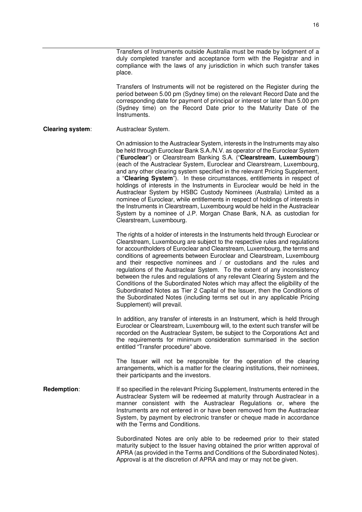Transfers of Instruments outside Australia must be made by lodgment of a duly completed transfer and acceptance form with the Registrar and in compliance with the laws of any jurisdiction in which such transfer takes place.

Transfers of Instruments will not be registered on the Register during the period between 5.00 pm (Sydney time) on the relevant Record Date and the corresponding date for payment of principal or interest or later than 5.00 pm (Sydney time) on the Record Date prior to the Maturity Date of the Instruments.

#### **Clearing system**: Austraclear System.

On admission to the Austraclear System, interests in the Instruments may also be held through Euroclear Bank S.A./N.V. as operator of the Euroclear System ("**Euroclear**") or Clearstream Banking S.A. ("**Clearstream**, **Luxembourg**") (each of the Austraclear System, Euroclear and Clearstream, Luxembourg, and any other clearing system specified in the relevant Pricing Supplement, a "**Clearing System**"). In these circumstances, entitlements in respect of holdings of interests in the Instruments in Euroclear would be held in the Austraclear System by HSBC Custody Nominees (Australia) Limited as a nominee of Euroclear, while entitlements in respect of holdings of interests in the Instruments in Clearstream, Luxembourg would be held in the Austraclear System by a nominee of J.P. Morgan Chase Bank, N.A. as custodian for Clearstream, Luxembourg.

The rights of a holder of interests in the Instruments held through Euroclear or Clearstream, Luxembourg are subject to the respective rules and regulations for accountholders of Euroclear and Clearstream, Luxembourg, the terms and conditions of agreements between Euroclear and Clearstream, Luxembourg and their respective nominees and / or custodians and the rules and regulations of the Austraclear System. To the extent of any inconsistency between the rules and regulations of any relevant Clearing System and the Conditions of the Subordinated Notes which may affect the eligibility of the Subordinated Notes as Tier 2 Capital of the Issuer, then the Conditions of the Subordinated Notes (including terms set out in any applicable Pricing Supplement) will prevail.

In addition, any transfer of interests in an Instrument, which is held through Euroclear or Clearstream, Luxembourg will, to the extent such transfer will be recorded on the Austraclear System, be subject to the Corporations Act and the requirements for minimum consideration summarised in the section entitled "Transfer procedure" above.

The Issuer will not be responsible for the operation of the clearing arrangements, which is a matter for the clearing institutions, their nominees, their participants and the investors.

#### **Redemption:** If so specified in the relevant Pricing Supplement, Instruments entered in the Austraclear System will be redeemed at maturity through Austraclear in a manner consistent with the Austraclear Regulations or, where the Instruments are not entered in or have been removed from the Austraclear System, by payment by electronic transfer or cheque made in accordance with the Terms and Conditions.

Subordinated Notes are only able to be redeemed prior to their stated maturity subject to the Issuer having obtained the prior written approval of APRA (as provided in the Terms and Conditions of the Subordinated Notes). Approval is at the discretion of APRA and may or may not be given.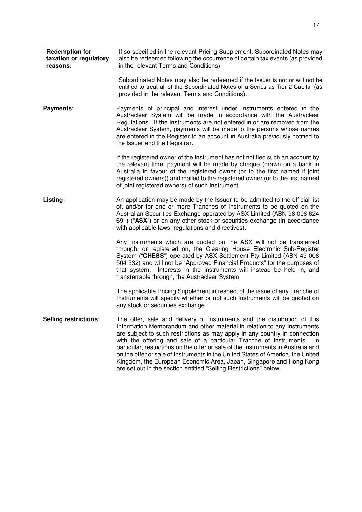| <b>Redemption for</b><br>taxation or regulatory<br>reasons: | If so specified in the relevant Pricing Supplement, Subordinated Notes may<br>also be redeemed following the occurrence of certain tax events (as provided<br>in the relevant Terms and Conditions).                                                                                                                                                                                                                                                                                                                                                                                                                                |
|-------------------------------------------------------------|-------------------------------------------------------------------------------------------------------------------------------------------------------------------------------------------------------------------------------------------------------------------------------------------------------------------------------------------------------------------------------------------------------------------------------------------------------------------------------------------------------------------------------------------------------------------------------------------------------------------------------------|
|                                                             | Subordinated Notes may also be redeemed if the Issuer is not or will not be<br>entitled to treat all of the Subordinated Notes of a Series as Tier 2 Capital (as<br>provided in the relevant Terms and Conditions).                                                                                                                                                                                                                                                                                                                                                                                                                 |
| Payments:                                                   | Payments of principal and interest under Instruments entered in the<br>Austraclear System will be made in accordance with the Austraclear<br>Regulations. If the Instruments are not entered in or are removed from the<br>Austraclear System, payments will be made to the persons whose names<br>are entered in the Register to an account in Australia previously notified to<br>the Issuer and the Registrar.                                                                                                                                                                                                                   |
|                                                             | If the registered owner of the Instrument has not notified such an account by<br>the relevant time, payment will be made by cheque (drawn on a bank in<br>Australia in favour of the registered owner (or to the first named if joint<br>registered owners)) and mailed to the registered owner (or to the first named<br>of joint registered owners) of such Instrument.                                                                                                                                                                                                                                                           |
| Listing:                                                    | An application may be made by the Issuer to be admitted to the official list<br>of, and/or for one or more Tranches of Instruments to be quoted on the<br>Australian Securities Exchange operated by ASX Limited (ABN 98 008 624<br>691) ("ASX") or on any other stock or securities exchange (in accordance<br>with applicable laws, regulations and directives).                                                                                                                                                                                                                                                                  |
|                                                             | Any Instruments which are quoted on the ASX will not be transferred<br>through, or registered on, the Clearing House Electronic Sub-Register<br>System ("CHESS") operated by ASX Settlement Pty Limited (ABN 49 008<br>504 532) and will not be "Approved Financial Products" for the purposes of<br>that system. Interests in the Instruments will instead be held in, and<br>transferrable through, the Austraclear System.                                                                                                                                                                                                       |
|                                                             | The applicable Pricing Supplement in respect of the issue of any Tranche of<br>Instruments will specify whether or not such Instruments will be quoted on<br>any stock or securities exchange.                                                                                                                                                                                                                                                                                                                                                                                                                                      |
| Selling restrictions:                                       | The offer, sale and delivery of Instruments and the distribution of this<br>Information Memorandum and other material in relation to any Instruments<br>are subject to such restrictions as may apply in any country in connection<br>with the offering and sale of a particular Tranche of Instruments.<br>-In<br>particular, restrictions on the offer or sale of the Instruments in Australia and<br>on the offer or sale of Instruments in the United States of America, the United<br>Kingdom, the European Economic Area, Japan, Singapore and Hong Kong<br>are set out in the section entitled "Selling Restrictions" below. |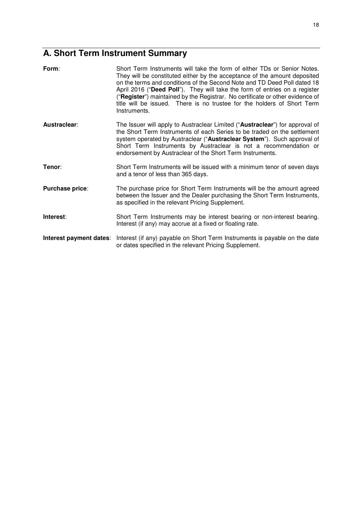# **A. Short Term Instrument Summary**

| Form:                   | Short Term Instruments will take the form of either TDs or Senior Notes.<br>They will be constituted either by the acceptance of the amount deposited<br>on the terms and conditions of the Second Note and TD Deed Poll dated 18<br>April 2016 ("Deed Poll"). They will take the form of entries on a register<br>("Register") maintained by the Registrar. No certificate or other evidence of<br>title will be issued. There is no trustee for the holders of Short Term<br>Instruments. |
|-------------------------|---------------------------------------------------------------------------------------------------------------------------------------------------------------------------------------------------------------------------------------------------------------------------------------------------------------------------------------------------------------------------------------------------------------------------------------------------------------------------------------------|
| Austraclear:            | The Issuer will apply to Austraclear Limited ("Austraclear") for approval of<br>the Short Term Instruments of each Series to be traded on the settlement<br>system operated by Austraclear ("Austraclear System"). Such approval of<br>Short Term Instruments by Austraclear is not a recommendation or<br>endorsement by Austraclear of the Short Term Instruments.                                                                                                                        |
| Tenor:                  | Short Term Instruments will be issued with a minimum tenor of seven days<br>and a tenor of less than 365 days.                                                                                                                                                                                                                                                                                                                                                                              |
| <b>Purchase price:</b>  | The purchase price for Short Term Instruments will be the amount agreed<br>between the Issuer and the Dealer purchasing the Short Term Instruments,<br>as specified in the relevant Pricing Supplement.                                                                                                                                                                                                                                                                                     |
| Interest:               | Short Term Instruments may be interest bearing or non-interest bearing.<br>Interest (if any) may accrue at a fixed or floating rate.                                                                                                                                                                                                                                                                                                                                                        |
| Interest payment dates: | Interest (if any) payable on Short Term Instruments is payable on the date<br>or dates specified in the relevant Pricing Supplement.                                                                                                                                                                                                                                                                                                                                                        |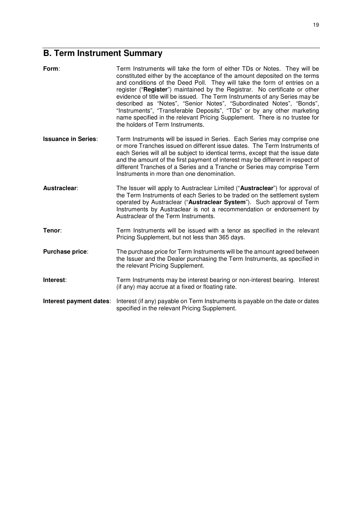# **B. Term Instrument Summary**

| Form:                      | Term Instruments will take the form of either TDs or Notes. They will be<br>constituted either by the acceptance of the amount deposited on the terms<br>and conditions of the Deed Poll. They will take the form of entries on a<br>register ("Register") maintained by the Registrar. No certificate or other<br>evidence of title will be issued. The Term Instruments of any Series may be<br>described as "Notes", "Senior Notes", "Subordinated Notes", "Bonds",<br>"Instruments", "Transferable Deposits", "TDs" or by any other marketing<br>name specified in the relevant Pricing Supplement. There is no trustee for<br>the holders of Term Instruments. |
|----------------------------|---------------------------------------------------------------------------------------------------------------------------------------------------------------------------------------------------------------------------------------------------------------------------------------------------------------------------------------------------------------------------------------------------------------------------------------------------------------------------------------------------------------------------------------------------------------------------------------------------------------------------------------------------------------------|
| <b>Issuance in Series:</b> | Term Instruments will be issued in Series. Each Series may comprise one<br>or more Tranches issued on different issue dates. The Term Instruments of<br>each Series will all be subject to identical terms, except that the issue date<br>and the amount of the first payment of interest may be different in respect of<br>different Tranches of a Series and a Tranche or Series may comprise Term<br>Instruments in more than one denomination.                                                                                                                                                                                                                  |
| Austraclear:               | The Issuer will apply to Austraclear Limited ("Austraclear") for approval of<br>the Term Instruments of each Series to be traded on the settlement system<br>operated by Austraclear ("Austraclear System"). Such approval of Term<br>Instruments by Austraclear is not a recommendation or endorsement by<br>Austraclear of the Term Instruments.                                                                                                                                                                                                                                                                                                                  |
| Tenor:                     | Term Instruments will be issued with a tenor as specified in the relevant<br>Pricing Supplement, but not less than 365 days.                                                                                                                                                                                                                                                                                                                                                                                                                                                                                                                                        |
| Purchase price:            | The purchase price for Term Instruments will be the amount agreed between<br>the Issuer and the Dealer purchasing the Term Instruments, as specified in<br>the relevant Pricing Supplement.                                                                                                                                                                                                                                                                                                                                                                                                                                                                         |
| Interest:                  | Term Instruments may be interest bearing or non-interest bearing. Interest<br>(if any) may accrue at a fixed or floating rate.                                                                                                                                                                                                                                                                                                                                                                                                                                                                                                                                      |
| Interest payment dates:    | Interest (if any) payable on Term Instruments is payable on the date or dates<br>specified in the relevant Pricing Supplement.                                                                                                                                                                                                                                                                                                                                                                                                                                                                                                                                      |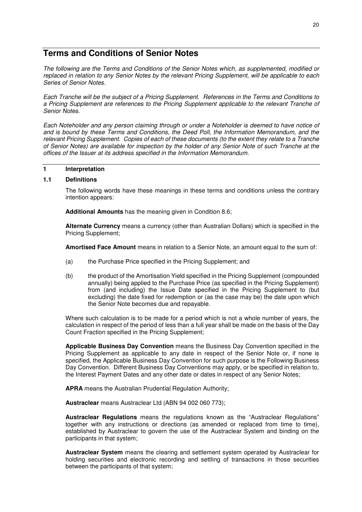## **Terms and Conditions of Senior Notes**

*The following are the Terms and Conditions of the Senior Notes which, as supplemented, modified or replaced in relation to any Senior Notes by the relevant Pricing Supplement, will be applicable to each Series of Senior Notes.* 

*Each Tranche will be the subject of a Pricing Supplement. References in the Terms and Conditions to a Pricing Supplement are references to the Pricing Supplement applicable to the relevant Tranche of Senior Notes.* 

*Each Noteholder and any person claiming through or under a Noteholder is deemed to have notice of and is bound by these Terms and Conditions, the Deed Poll, the Information Memorandum, and the relevant Pricing Supplement. Copies of each of these documents (to the extent they relate to a Tranche of Senior Notes) are available for inspection by the holder of any Senior Note of such Tranche at the offices of the Issuer at its address specified in the Information Memorandum.* 

#### **1 Interpretation**

#### **1.1 Definitions**

The following words have these meanings in these terms and conditions unless the contrary intention appears:

**Additional Amounts** has the meaning given in Condition 8.6;

**Alternate Currency** means a currency (other than Australian Dollars) which is specified in the Pricing Supplement;

**Amortised Face Amount** means in relation to a Senior Note, an amount equal to the sum of:

- (a) the Purchase Price specified in the Pricing Supplement; and
- (b) the product of the Amortisation Yield specified in the Pricing Supplement (compounded annually) being applied to the Purchase Price (as specified in the Pricing Supplement) from (and including) the Issue Date specified in the Pricing Supplement to (but excluding) the date fixed for redemption or (as the case may be) the date upon which the Senior Note becomes due and repayable.

Where such calculation is to be made for a period which is not a whole number of years, the calculation in respect of the period of less than a full year shall be made on the basis of the Day Count Fraction specified in the Pricing Supplement;

**Applicable Business Day Convention** means the Business Day Convention specified in the Pricing Supplement as applicable to any date in respect of the Senior Note or, if none is specified, the Applicable Business Day Convention for such purpose is the Following Business Day Convention. Different Business Day Conventions may apply, or be specified in relation to, the Interest Payment Dates and any other date or dates in respect of any Senior Notes;

**APRA** means the Australian Prudential Regulation Authority;

**Austraclear** means Austraclear Ltd (ABN 94 002 060 773);

**Austraclear Regulations** means the regulations known as the "Austraclear Regulations" together with any instructions or directions (as amended or replaced from time to time), established by Austraclear to govern the use of the Austraclear System and binding on the participants in that system;

**Austraclear System** means the clearing and settlement system operated by Austraclear for holding securities and electronic recording and settling of transactions in those securities between the participants of that system;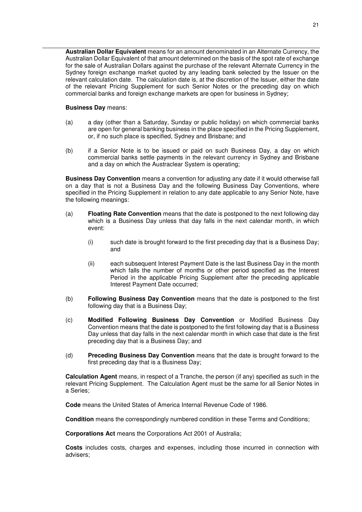**Australian Dollar Equivalent** means for an amount denominated in an Alternate Currency, the Australian Dollar Equivalent of that amount determined on the basis of the spot rate of exchange for the sale of Australian Dollars against the purchase of the relevant Alternate Currency in the Sydney foreign exchange market quoted by any leading bank selected by the Issuer on the relevant calculation date. The calculation date is, at the discretion of the Issuer, either the date of the relevant Pricing Supplement for such Senior Notes or the preceding day on which commercial banks and foreign exchange markets are open for business in Sydney;

#### **Business Day** means:

- (a) a day (other than a Saturday, Sunday or public holiday) on which commercial banks are open for general banking business in the place specified in the Pricing Supplement, or, if no such place is specified, Sydney and Brisbane; and
- (b) if a Senior Note is to be issued or paid on such Business Day, a day on which commercial banks settle payments in the relevant currency in Sydney and Brisbane and a day on which the Austraclear System is operating;

**Business Day Convention** means a convention for adjusting any date if it would otherwise fall on a day that is not a Business Day and the following Business Day Conventions, where specified in the Pricing Supplement in relation to any date applicable to any Senior Note, have the following meanings:

- (a) **Floating Rate Convention** means that the date is postponed to the next following day which is a Business Day unless that day falls in the next calendar month, in which event:
	- (i) such date is brought forward to the first preceding day that is a Business Day; and
	- (ii) each subsequent Interest Payment Date is the last Business Day in the month which falls the number of months or other period specified as the Interest Period in the applicable Pricing Supplement after the preceding applicable Interest Payment Date occurred;
- (b) **Following Business Day Convention** means that the date is postponed to the first following day that is a Business Day;
- (c) **Modified Following Business Day Convention** or Modified Business Day Convention means that the date is postponed to the first following day that is a Business Day unless that day falls in the next calendar month in which case that date is the first preceding day that is a Business Day; and
- (d) **Preceding Business Day Convention** means that the date is brought forward to the first preceding day that is a Business Day;

**Calculation Agent** means, in respect of a Tranche, the person (if any) specified as such in the relevant Pricing Supplement. The Calculation Agent must be the same for all Senior Notes in a Series;

**Code** means the United States of America Internal Revenue Code of 1986.

**Condition** means the correspondingly numbered condition in these Terms and Conditions;

**Corporations Act** means the Corporations Act 2001 of Australia;

**Costs** includes costs, charges and expenses, including those incurred in connection with advisers;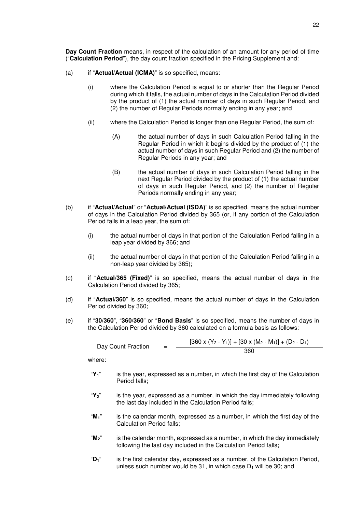**Day Count Fraction** means, in respect of the calculation of an amount for any period of time ("**Calculation Period**"), the day count fraction specified in the Pricing Supplement and:

- (a) if "**Actual/Actual (ICMA)**" is so specified, means:
	- (i) where the Calculation Period is equal to or shorter than the Regular Period during which it falls, the actual number of days in the Calculation Period divided by the product of (1) the actual number of days in such Regular Period, and (2) the number of Regular Periods normally ending in any year; and
	- (ii) where the Calculation Period is longer than one Regular Period, the sum of:
		- (A) the actual number of days in such Calculation Period falling in the Regular Period in which it begins divided by the product of (1) the actual number of days in such Regular Period and (2) the number of Regular Periods in any year; and
		- (B) the actual number of days in such Calculation Period falling in the next Regular Period divided by the product of (1) the actual number of days in such Regular Period, and (2) the number of Regular Periods normally ending in any year;
- (b) if "**Actual/Actual**" or "**Actual/Actual (ISDA)**" is so specified, means the actual number of days in the Calculation Period divided by 365 (or, if any portion of the Calculation Period falls in a leap year, the sum of:
	- (i) the actual number of days in that portion of the Calculation Period falling in a leap year divided by 366; and
	- (ii) the actual number of days in that portion of the Calculation Period falling in a non-leap year divided by 365);
- (c) if "**Actual/365 (Fixed)**" is so specified, means the actual number of days in the Calculation Period divided by 365;
- (d) if "**Actual/360**" is so specified, means the actual number of days in the Calculation Period divided by 360;
- (e) if "**30/360**", "**360/360**" or "**Bond Basis**" is so specified, means the number of days in the Calculation Period divided by 360 calculated on a formula basis as follows:

| Day Count Fraction | $\overline{\phantom{0}}$ | $[360 \times (Y_2 - Y_1)] + [30 \times (M_2 - M_1)] + (D_2 - D_1)$ |
|--------------------|--------------------------|--------------------------------------------------------------------|
|                    |                          | 360                                                                |

where:

- "**Y1**" is the year, expressed as a number, in which the first day of the Calculation Period falls;
- "**Y2**" is the year, expressed as a number, in which the day immediately following the last day included in the Calculation Period falls;
- "**M1**" is the calendar month, expressed as a number, in which the first day of the Calculation Period falls;
- "**M2**" is the calendar month, expressed as a number, in which the day immediately following the last day included in the Calculation Period falls;
- "**D1**" is the first calendar day, expressed as a number, of the Calculation Period, unless such number would be 31, in which case  $D_1$  will be 30; and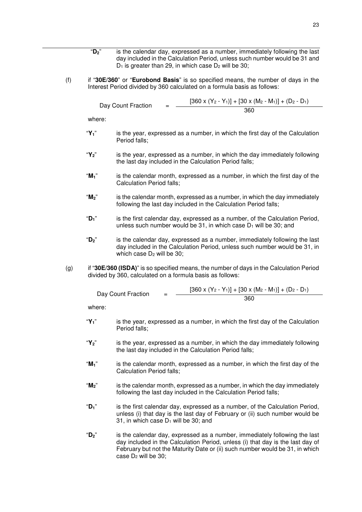- "**D2**" is the calendar day, expressed as a number, immediately following the last day included in the Calculation Period, unless such number would be 31 and  $D_1$  is greater than 29, in which case  $D_2$  will be 30;
- (f) if "**30E/360**" or "**Eurobond Basis**" is so specified means, the number of days in the Interest Period divided by 360 calculated on a formula basis as follows:

Day Count Fraction  $[360 \times (Y_2 - Y_1)] + [30 \times (M_2 - M_1)] + (D_2 - D_1)$ 360

where:

- "**Y1**" is the year, expressed as a number, in which the first day of the Calculation Period falls;
- "**Y2**" is the year, expressed as a number, in which the day immediately following the last day included in the Calculation Period falls;
- "**M1**" is the calendar month, expressed as a number, in which the first day of the Calculation Period falls;
- "**M2**" is the calendar month, expressed as a number, in which the day immediately following the last day included in the Calculation Period falls;
- "**D1**" is the first calendar day, expressed as a number, of the Calculation Period, unless such number would be  $31$ , in which case  $D_1$  will be  $30$ ; and
- "**D2**" is the calendar day, expressed as a number, immediately following the last day included in the Calculation Period, unless such number would be 31, in which case  $D_2$  will be 30:
- (g) if "**30E/360 (ISDA)**" is so specified means, the number of days in the Calculation Period divided by 360, calculated on a formula basis as follows:

| Day Count Fraction | $[360 \times (Y_2 - Y_1)] + [30 \times (M_2 - M_1)] + (D_2 - D_1)$ |
|--------------------|--------------------------------------------------------------------|
|                    | 360                                                                |

where:

- "**Y1**" is the year, expressed as a number, in which the first day of the Calculation Period falls;
- "**Y2**" is the year, expressed as a number, in which the day immediately following the last day included in the Calculation Period falls;
- "**M1**" is the calendar month, expressed as a number, in which the first day of the Calculation Period falls;
- "**M2**" is the calendar month, expressed as a number, in which the day immediately following the last day included in the Calculation Period falls;
- "**D1**" is the first calendar day, expressed as a number, of the Calculation Period, unless (i) that day is the last day of February or (ii) such number would be 31, in which case  $D_1$  will be 30; and
- "**D2**" is the calendar day, expressed as a number, immediately following the last day included in the Calculation Period, unless (i) that day is the last day of February but not the Maturity Date or (ii) such number would be 31, in which case  $D_2$  will be 30: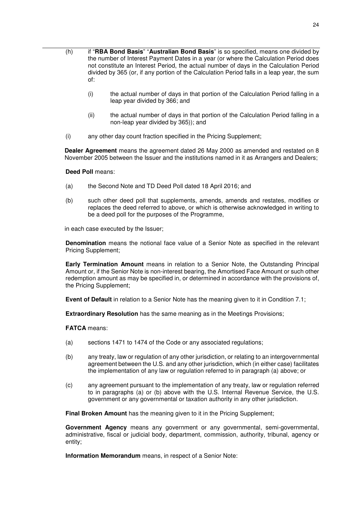- (h) if "**RBA Bond Basis**" "**Australian Bond Basis**" is so specified, means one divided by the number of Interest Payment Dates in a year (or where the Calculation Period does not constitute an Interest Period, the actual number of days in the Calculation Period divided by 365 (or, if any portion of the Calculation Period falls in a leap year, the sum of:
	- (i) the actual number of days in that portion of the Calculation Period falling in a leap year divided by 366; and
	- (ii) the actual number of days in that portion of the Calculation Period falling in a non-leap year divided by 365)); and
	- (i) any other day count fraction specified in the Pricing Supplement;

**Dealer Agreement** means the agreement dated 26 May 2000 as amended and restated on 8 November 2005 between the Issuer and the institutions named in it as Arrangers and Dealers;

**Deed Poll** means:

- (a) the Second Note and TD Deed Poll dated 18 April 2016; and
- (b) such other deed poll that supplements, amends, amends and restates, modifies or replaces the deed referred to above, or which is otherwise acknowledged in writing to be a deed poll for the purposes of the Programme,

in each case executed by the Issuer;

**Denomination** means the notional face value of a Senior Note as specified in the relevant Pricing Supplement;

**Early Termination Amount** means in relation to a Senior Note, the Outstanding Principal Amount or, if the Senior Note is non-interest bearing, the Amortised Face Amount or such other redemption amount as may be specified in, or determined in accordance with the provisions of, the Pricing Supplement;

**Event of Default** in relation to a Senior Note has the meaning given to it in Condition 7.1;

**Extraordinary Resolution** has the same meaning as in the Meetings Provisions;

**FATCA** means:

- (a) sections 1471 to 1474 of the Code or any associated regulations;
- (b) any treaty, law or regulation of any other jurisdiction, or relating to an intergovernmental agreement between the U.S. and any other jurisdiction, which (in either case) facilitates the implementation of any law or regulation referred to in paragraph (a) above; or
- (c) any agreement pursuant to the implementation of any treaty, law or regulation referred to in paragraphs (a) or (b) above with the U.S. Internal Revenue Service, the U.S. government or any governmental or taxation authority in any other jurisdiction.

**Final Broken Amount** has the meaning given to it in the Pricing Supplement;

**Government Agency** means any government or any governmental, semi-governmental, administrative, fiscal or judicial body, department, commission, authority, tribunal, agency or entity;

**Information Memorandum** means, in respect of a Senior Note: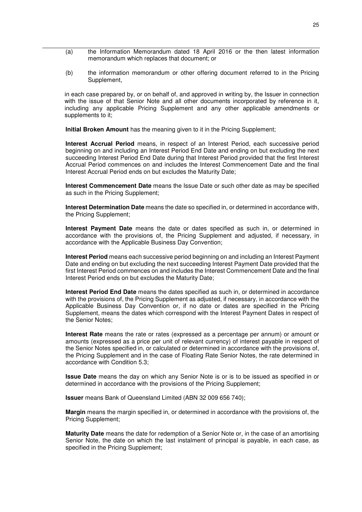- (a) the Information Memorandum dated 18 April 2016 or the then latest information memorandum which replaces that document; or
- (b) the information memorandum or other offering document referred to in the Pricing Supplement,

in each case prepared by, or on behalf of, and approved in writing by, the Issuer in connection with the issue of that Senior Note and all other documents incorporated by reference in it, including any applicable Pricing Supplement and any other applicable amendments or supplements to it;

**Initial Broken Amount** has the meaning given to it in the Pricing Supplement;

**Interest Accrual Period** means, in respect of an Interest Period, each successive period beginning on and including an Interest Period End Date and ending on but excluding the next succeeding Interest Period End Date during that Interest Period provided that the first Interest Accrual Period commences on and includes the Interest Commencement Date and the final Interest Accrual Period ends on but excludes the Maturity Date;

**Interest Commencement Date** means the Issue Date or such other date as may be specified as such in the Pricing Supplement;

**Interest Determination Date** means the date so specified in, or determined in accordance with, the Pricing Supplement;

**Interest Payment Date** means the date or dates specified as such in, or determined in accordance with the provisions of, the Pricing Supplement and adjusted, if necessary, in accordance with the Applicable Business Day Convention;

**Interest Period** means each successive period beginning on and including an Interest Payment Date and ending on but excluding the next succeeding Interest Payment Date provided that the first Interest Period commences on and includes the Interest Commencement Date and the final Interest Period ends on but excludes the Maturity Date;

**Interest Period End Date** means the dates specified as such in, or determined in accordance with the provisions of, the Pricing Supplement as adjusted, if necessary, in accordance with the Applicable Business Day Convention or, if no date or dates are specified in the Pricing Supplement, means the dates which correspond with the Interest Payment Dates in respect of the Senior Notes;

**Interest Rate** means the rate or rates (expressed as a percentage per annum) or amount or amounts (expressed as a price per unit of relevant currency) of interest payable in respect of the Senior Notes specified in, or calculated or determined in accordance with the provisions of, the Pricing Supplement and in the case of Floating Rate Senior Notes, the rate determined in accordance with Condition 5.3;

**Issue Date** means the day on which any Senior Note is or is to be issued as specified in or determined in accordance with the provisions of the Pricing Supplement;

**Issuer** means Bank of Queensland Limited (ABN 32 009 656 740);

**Margin** means the margin specified in, or determined in accordance with the provisions of, the Pricing Supplement;

**Maturity Date** means the date for redemption of a Senior Note or, in the case of an amortising Senior Note, the date on which the last instalment of principal is payable, in each case, as specified in the Pricing Supplement;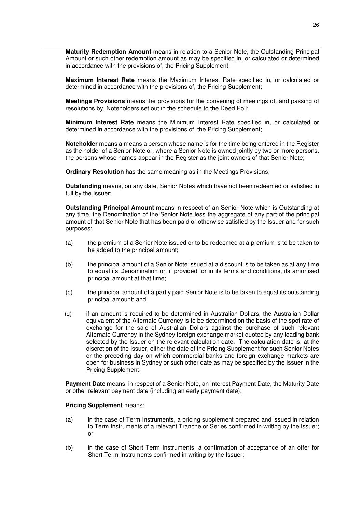**Maturity Redemption Amount** means in relation to a Senior Note, the Outstanding Principal Amount or such other redemption amount as may be specified in, or calculated or determined in accordance with the provisions of, the Pricing Supplement;

**Maximum Interest Rate** means the Maximum Interest Rate specified in, or calculated or determined in accordance with the provisions of, the Pricing Supplement;

**Meetings Provisions** means the provisions for the convening of meetings of, and passing of resolutions by, Noteholders set out in the schedule to the Deed Poll;

**Minimum Interest Rate** means the Minimum Interest Rate specified in, or calculated or determined in accordance with the provisions of, the Pricing Supplement;

**Noteholder** means a means a person whose name is for the time being entered in the Register as the holder of a Senior Note or, where a Senior Note is owned jointly by two or more persons, the persons whose names appear in the Register as the joint owners of that Senior Note;

**Ordinary Resolution** has the same meaning as in the Meetings Provisions;

**Outstanding** means, on any date, Senior Notes which have not been redeemed or satisfied in full by the Issuer;

**Outstanding Principal Amount** means in respect of an Senior Note which is Outstanding at any time, the Denomination of the Senior Note less the aggregate of any part of the principal amount of that Senior Note that has been paid or otherwise satisfied by the Issuer and for such purposes:

- (a) the premium of a Senior Note issued or to be redeemed at a premium is to be taken to be added to the principal amount;
- (b) the principal amount of a Senior Note issued at a discount is to be taken as at any time to equal its Denomination or, if provided for in its terms and conditions, its amortised principal amount at that time;
- (c) the principal amount of a partly paid Senior Note is to be taken to equal its outstanding principal amount; and
- (d) if an amount is required to be determined in Australian Dollars, the Australian Dollar equivalent of the Alternate Currency is to be determined on the basis of the spot rate of exchange for the sale of Australian Dollars against the purchase of such relevant Alternate Currency in the Sydney foreign exchange market quoted by any leading bank selected by the Issuer on the relevant calculation date. The calculation date is, at the discretion of the Issuer, either the date of the Pricing Supplement for such Senior Notes or the preceding day on which commercial banks and foreign exchange markets are open for business in Sydney or such other date as may be specified by the Issuer in the Pricing Supplement:

**Payment Date** means, in respect of a Senior Note, an Interest Payment Date, the Maturity Date or other relevant payment date (including an early payment date);

#### **Pricing Supplement** means:

- (a) in the case of Term Instruments, a pricing supplement prepared and issued in relation to Term Instruments of a relevant Tranche or Series confirmed in writing by the Issuer; or
- (b) in the case of Short Term Instruments, a confirmation of acceptance of an offer for Short Term Instruments confirmed in writing by the Issuer;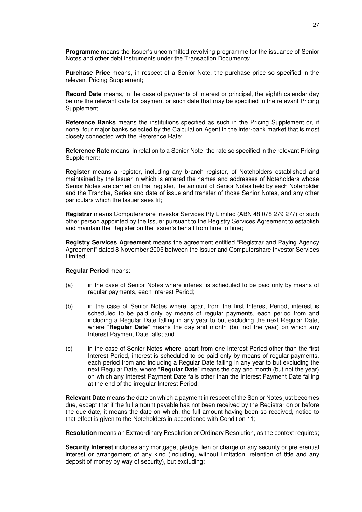**Programme** means the Issuer's uncommitted revolving programme for the issuance of Senior Notes and other debt instruments under the Transaction Documents;

**Purchase Price** means, in respect of a Senior Note, the purchase price so specified in the relevant Pricing Supplement;

**Record Date** means, in the case of payments of interest or principal, the eighth calendar day before the relevant date for payment or such date that may be specified in the relevant Pricing Supplement;

**Reference Banks** means the institutions specified as such in the Pricing Supplement or, if none, four major banks selected by the Calculation Agent in the inter-bank market that is most closely connected with the Reference Rate;

**Reference Rate** means, in relation to a Senior Note, the rate so specified in the relevant Pricing Supplement**;**

**Register** means a register, including any branch register, of Noteholders established and maintained by the Issuer in which is entered the names and addresses of Noteholders whose Senior Notes are carried on that register, the amount of Senior Notes held by each Noteholder and the Tranche, Series and date of issue and transfer of those Senior Notes, and any other particulars which the Issuer sees fit;

**Registrar** means Computershare Investor Services Pty Limited (ABN 48 078 279 277) or such other person appointed by the Issuer pursuant to the Registry Services Agreement to establish and maintain the Register on the Issuer's behalf from time to time;

**Registry Services Agreement** means the agreement entitled "Registrar and Paying Agency Agreement" dated 8 November 2005 between the Issuer and Computershare Investor Services Limited;

#### **Regular Period** means:

- (a) in the case of Senior Notes where interest is scheduled to be paid only by means of regular payments, each Interest Period;
- (b) in the case of Senior Notes where, apart from the first Interest Period, interest is scheduled to be paid only by means of regular payments, each period from and including a Regular Date falling in any year to but excluding the next Regular Date, where "**Regular Date**" means the day and month (but not the year) on which any Interest Payment Date falls; and
- (c) in the case of Senior Notes where, apart from one Interest Period other than the first Interest Period, interest is scheduled to be paid only by means of regular payments, each period from and including a Regular Date falling in any year to but excluding the next Regular Date, where "**Regular Date**" means the day and month (but not the year) on which any Interest Payment Date falls other than the Interest Payment Date falling at the end of the irregular Interest Period;

**Relevant Date** means the date on which a payment in respect of the Senior Notes just becomes due, except that if the full amount payable has not been received by the Registrar on or before the due date, it means the date on which, the full amount having been so received, notice to that effect is given to the Noteholders in accordance with Condition 11;

**Resolution** means an Extraordinary Resolution or Ordinary Resolution, as the context requires;

**Security Interest** includes any mortgage, pledge, lien or charge or any security or preferential interest or arrangement of any kind (including, without limitation, retention of title and any deposit of money by way of security), but excluding: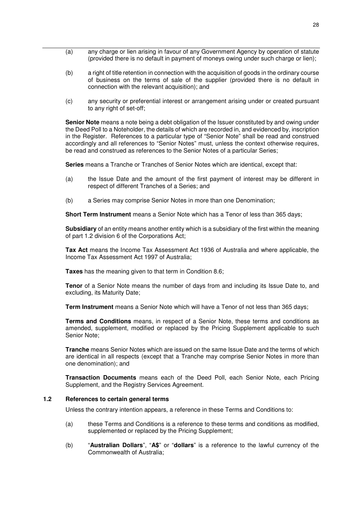- (a) any charge or lien arising in favour of any Government Agency by operation of statute (provided there is no default in payment of moneys owing under such charge or lien);
- (b) a right of title retention in connection with the acquisition of goods in the ordinary course of business on the terms of sale of the supplier (provided there is no default in connection with the relevant acquisition); and
- (c) any security or preferential interest or arrangement arising under or created pursuant to any right of set-off;

**Senior Note** means a note being a debt obligation of the Issuer constituted by and owing under the Deed Poll to a Noteholder, the details of which are recorded in, and evidenced by, inscription in the Register. References to a particular type of "Senior Note" shall be read and construed accordingly and all references to "Senior Notes" must, unless the context otherwise requires, be read and construed as references to the Senior Notes of a particular Series;

**Series** means a Tranche or Tranches of Senior Notes which are identical, except that:

- (a) the Issue Date and the amount of the first payment of interest may be different in respect of different Tranches of a Series; and
- (b) a Series may comprise Senior Notes in more than one Denomination;

**Short Term Instrument** means a Senior Note which has a Tenor of less than 365 days;

**Subsidiary** of an entity means another entity which is a subsidiary of the first within the meaning of part 1.2 division 6 of the Corporations Act;

**Tax Act** means the Income Tax Assessment Act 1936 of Australia and where applicable, the Income Tax Assessment Act 1997 of Australia;

**Taxes** has the meaning given to that term in Condition 8.6;

**Tenor** of a Senior Note means the number of days from and including its Issue Date to, and excluding, its Maturity Date;

**Term Instrument** means a Senior Note which will have a Tenor of not less than 365 days;

**Terms and Conditions** means, in respect of a Senior Note, these terms and conditions as amended, supplement, modified or replaced by the Pricing Supplement applicable to such Senior Note;

**Tranche** means Senior Notes which are issued on the same Issue Date and the terms of which are identical in all respects (except that a Tranche may comprise Senior Notes in more than one denomination); and

**Transaction Documents** means each of the Deed Poll, each Senior Note, each Pricing Supplement, and the Registry Services Agreement.

#### **1.2 References to certain general terms**

Unless the contrary intention appears, a reference in these Terms and Conditions to:

- (a) these Terms and Conditions is a reference to these terms and conditions as modified, supplemented or replaced by the Pricing Supplement;
- (b) "**Australian Dollars**", "**A\$**" or "**dollars**" is a reference to the lawful currency of the Commonwealth of Australia;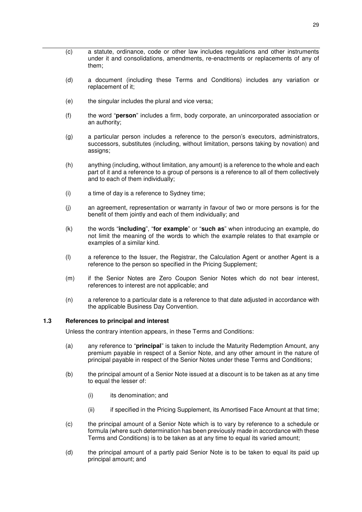- (c) a statute, ordinance, code or other law includes regulations and other instruments under it and consolidations, amendments, re-enactments or replacements of any of them;
- (d) a document (including these Terms and Conditions) includes any variation or replacement of it;
- (e) the singular includes the plural and vice versa;
- (f) the word "**person**" includes a firm, body corporate, an unincorporated association or an authority;
- (g) a particular person includes a reference to the person's executors, administrators, successors, substitutes (including, without limitation, persons taking by novation) and assigns;
- (h) anything (including, without limitation, any amount) is a reference to the whole and each part of it and a reference to a group of persons is a reference to all of them collectively and to each of them individually;
- (i) a time of day is a reference to Sydney time;
- (j) an agreement, representation or warranty in favour of two or more persons is for the benefit of them jointly and each of them individually; and
- (k) the words "**including**", "**for example**" or "**such as**" when introducing an example, do not limit the meaning of the words to which the example relates to that example or examples of a similar kind.
- (l) a reference to the Issuer, the Registrar, the Calculation Agent or another Agent is a reference to the person so specified in the Pricing Supplement;
- (m) if the Senior Notes are Zero Coupon Senior Notes which do not bear interest, references to interest are not applicable; and
- (n) a reference to a particular date is a reference to that date adjusted in accordance with the applicable Business Day Convention.

#### **1.3 References to principal and interest**

Unless the contrary intention appears, in these Terms and Conditions:

- (a) any reference to "**principal**" is taken to include the Maturity Redemption Amount, any premium payable in respect of a Senior Note, and any other amount in the nature of principal payable in respect of the Senior Notes under these Terms and Conditions;
- (b) the principal amount of a Senior Note issued at a discount is to be taken as at any time to equal the lesser of:
	- (i) its denomination; and
	- (ii) if specified in the Pricing Supplement, its Amortised Face Amount at that time;
- (c) the principal amount of a Senior Note which is to vary by reference to a schedule or formula (where such determination has been previously made in accordance with these Terms and Conditions) is to be taken as at any time to equal its varied amount;
- (d) the principal amount of a partly paid Senior Note is to be taken to equal its paid up principal amount; and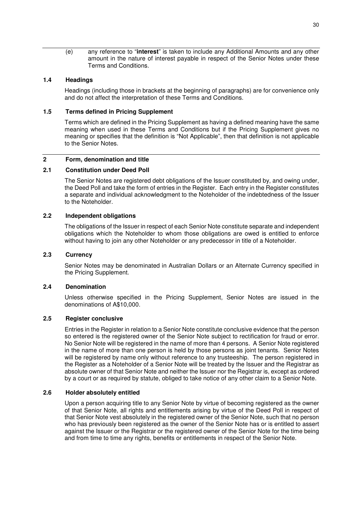(e) any reference to "**interest**" is taken to include any Additional Amounts and any other amount in the nature of interest payable in respect of the Senior Notes under these Terms and Conditions.

#### **1.4 Headings**

Headings (including those in brackets at the beginning of paragraphs) are for convenience only and do not affect the interpretation of these Terms and Conditions.

#### **1.5 Terms defined in Pricing Supplement**

Terms which are defined in the Pricing Supplement as having a defined meaning have the same meaning when used in these Terms and Conditions but if the Pricing Supplement gives no meaning or specifies that the definition is "Not Applicable", then that definition is not applicable to the Senior Notes.

#### **2 Form, denomination and title**

#### **2.1 Constitution under Deed Poll**

The Senior Notes are registered debt obligations of the Issuer constituted by, and owing under, the Deed Poll and take the form of entries in the Register. Each entry in the Register constitutes a separate and individual acknowledgment to the Noteholder of the indebtedness of the Issuer to the Noteholder.

#### **2.2 Independent obligations**

The obligations of the Issuer in respect of each Senior Note constitute separate and independent obligations which the Noteholder to whom those obligations are owed is entitled to enforce without having to join any other Noteholder or any predecessor in title of a Noteholder.

#### **2.3 Currency**

Senior Notes may be denominated in Australian Dollars or an Alternate Currency specified in the Pricing Supplement.

#### **2.4 Denomination**

Unless otherwise specified in the Pricing Supplement, Senior Notes are issued in the denominations of A\$10,000.

#### **2.5 Register conclusive**

Entries in the Register in relation to a Senior Note constitute conclusive evidence that the person so entered is the registered owner of the Senior Note subject to rectification for fraud or error. No Senior Note will be registered in the name of more than 4 persons. A Senior Note registered in the name of more than one person is held by those persons as joint tenants. Senior Notes will be registered by name only without reference to any trusteeship. The person registered in the Register as a Noteholder of a Senior Note will be treated by the Issuer and the Registrar as absolute owner of that Senior Note and neither the Issuer nor the Registrar is, except as ordered by a court or as required by statute, obliged to take notice of any other claim to a Senior Note.

#### **2.6 Holder absolutely entitled**

Upon a person acquiring title to any Senior Note by virtue of becoming registered as the owner of that Senior Note, all rights and entitlements arising by virtue of the Deed Poll in respect of that Senior Note vest absolutely in the registered owner of the Senior Note, such that no person who has previously been registered as the owner of the Senior Note has or is entitled to assert against the Issuer or the Registrar or the registered owner of the Senior Note for the time being and from time to time any rights, benefits or entitlements in respect of the Senior Note.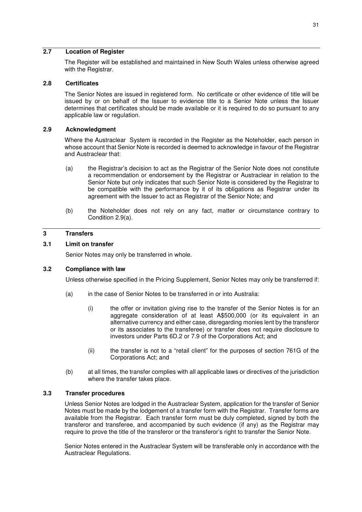#### **2.7 Location of Register**

The Register will be established and maintained in New South Wales unless otherwise agreed with the Registrar.

#### **2.8 Certificates**

The Senior Notes are issued in registered form. No certificate or other evidence of title will be issued by or on behalf of the Issuer to evidence title to a Senior Note unless the Issuer determines that certificates should be made available or it is required to do so pursuant to any applicable law or regulation.

#### **2.9 Acknowledgment**

Where the Austraclear System is recorded in the Register as the Noteholder, each person in whose account that Senior Note is recorded is deemed to acknowledge in favour of the Registrar and Austraclear that:

- (a) the Registrar's decision to act as the Registrar of the Senior Note does not constitute a recommendation or endorsement by the Registrar or Austraclear in relation to the Senior Note but only indicates that such Senior Note is considered by the Registrar to be compatible with the performance by it of its obligations as Registrar under its agreement with the Issuer to act as Registrar of the Senior Note; and
- (b) the Noteholder does not rely on any fact, matter or circumstance contrary to Condition 2.9(a).

#### **3 Transfers**

#### **3.1 Limit on transfer**

Senior Notes may only be transferred in whole.

#### **3.2 Compliance with law**

Unless otherwise specified in the Pricing Supplement, Senior Notes may only be transferred if:

- (a) in the case of Senior Notes to be transferred in or into Australia:
	- (i) the offer or invitation giving rise to the transfer of the Senior Notes is for an aggregate consideration of at least A\$500,000 (or its equivalent in an alternative currency and either case, disregarding monies lent by the transferor or its associates to the transferee) or transfer does not require disclosure to investors under Parts 6D.2 or 7.9 of the Corporations Act; and
	- (ii) the transfer is not to a "retail client" for the purposes of section 761G of the Corporations Act; and
- (b) at all times, the transfer complies with all applicable laws or directives of the jurisdiction where the transfer takes place.

#### **3.3 Transfer procedures**

Unless Senior Notes are lodged in the Austraclear System, application for the transfer of Senior Notes must be made by the lodgement of a transfer form with the Registrar. Transfer forms are available from the Registrar. Each transfer form must be duly completed, signed by both the transferor and transferee, and accompanied by such evidence (if any) as the Registrar may require to prove the title of the transferor or the transferor's right to transfer the Senior Note.

Senior Notes entered in the Austraclear System will be transferable only in accordance with the Austraclear Regulations.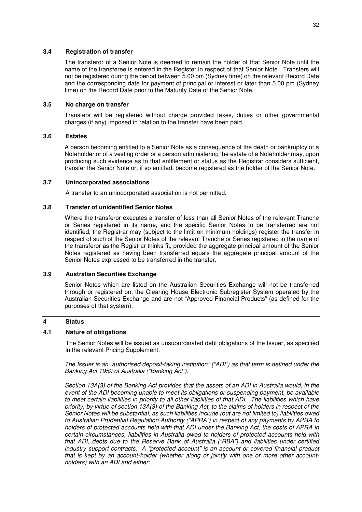#### **3.4 Registration of transfer**

The transferor of a Senior Note is deemed to remain the holder of that Senior Note until the name of the transferee is entered in the Register in respect of that Senior Note. Transfers will not be registered during the period between 5.00 pm (Sydney time) on the relevant Record Date and the corresponding date for payment of principal or interest or later than 5.00 pm (Sydney time) on the Record Date prior to the Maturity Date of the Senior Note.

#### **3.5 No charge on transfer**

Transfers will be registered without charge provided taxes, duties or other governmental charges (if any) imposed in relation to the transfer have been paid.

#### **3.6 Estates**

A person becoming entitled to a Senior Note as a consequence of the death or bankruptcy of a Noteholder or of a vesting order or a person administering the estate of a Noteholder may, upon producing such evidence as to that entitlement or status as the Registrar considers sufficient, transfer the Senior Note or, if so entitled, become registered as the holder of the Senior Note.

#### **3.7 Unincorporated associations**

A transfer to an unincorporated association is not permitted.

#### **3.8 Transfer of unidentified Senior Notes**

Where the transferor executes a transfer of less than all Senior Notes of the relevant Tranche or Series registered in its name, and the specific Senior Notes to be transferred are not identified, the Registrar may (subject to the limit on minimum holdings) register the transfer in respect of such of the Senior Notes of the relevant Tranche or Series registered in the name of the transferor as the Registrar thinks fit, provided the aggregate principal amount of the Senior Notes registered as having been transferred equals the aggregate principal amount of the Senior Notes expressed to be transferred in the transfer.

#### **3.9 Australian Securities Exchange**

Senior Notes which are listed on the Australian Securities Exchange will not be transferred through or registered on, the Clearing House Electronic Subregister System operated by the Australian Securities Exchange and are not "Approved Financial Products" (as defined for the purposes of that system).

#### **4 Status**

#### **4.1 Nature of obligations**

The Senior Notes will be issued as unsubordinated debt obligations of the Issuer, as specified in the relevant Pricing Supplement.

*The Issuer is an "authorised deposit-taking institution" ("ADI") as that term is defined under the Banking Act 1959 of Australia ("Banking Act").* 

*Section 13A(3) of the Banking Act provides that the assets of an ADI in Australia would, in the event of the ADI becoming unable to meet its obligations or suspending payment, be available to meet certain liabilities in priority to all other liabilities of that ADI. The liabilities which have priority, by virtue of section 13A(3) of the Banking Act, to the claims of holders in respect of the Senior Notes will be substantial, as such liabilities include (but are not limited to) liabilities owed to Australian Prudential Regulation Authority ("APRA") in respect of any payments by APRA to holders of protected accounts held with that ADI under the Banking Act, the costs of APRA in certain circumstances, liabilities in Australia owed to holders of protected accounts held with that ADI, debts due to the Reserve Bank of Australia ("RBA") and liabilities under certified industry support contracts. A "protected account" is an account or covered financial product that is kept by an account-holder (whether along or jointly with one or more other accountholders) with an ADI and either:*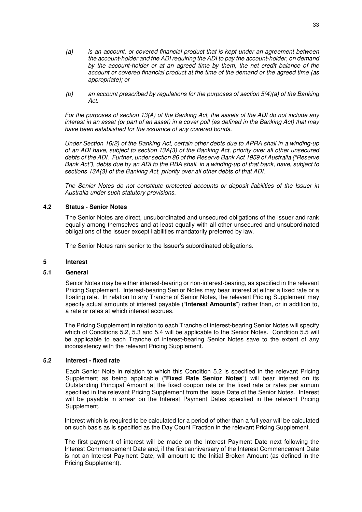- *(a) is an account, or covered financial product that is kept under an agreement between the account-holder and the ADI requiring the ADI to pay the account-holder, on demand by the account-holder or at an agreed time by them, the net credit balance of the account or covered financial product at the time of the demand or the agreed time (as appropriate); or*
- *(b) an account prescribed by regulations for the purposes of section 5(4)(a) of the Banking Act.*

*For the purposes of section 13(A) of the Banking Act, the assets of the ADI do not include any interest in an asset (or part of an asset) in a cover poll (as defined in the Banking Act) that may have been established for the issuance of any covered bonds.* 

*Under Section 16(2) of the Banking Act, certain other debts due to APRA shall in a winding-up of an ADI have, subject to section 13A(3) of the Banking Act, priority over all other unsecured debts of the ADI. Further, under section 86 of the Reserve Bank Act 1959 of Australia ("Reserve Bank Act"), debts due by an ADI to the RBA shall, in a winding-up of that bank, have, subject to sections 13A(3) of the Banking Act, priority over all other debts of that ADI.* 

*The Senior Notes do not constitute protected accounts or deposit liabilities of the Issuer in Australia under such statutory provisions.* 

#### **4.2 Status - Senior Notes**

The Senior Notes are direct, unsubordinated and unsecured obligations of the Issuer and rank equally among themselves and at least equally with all other unsecured and unsubordinated obligations of the Issuer except liabilities mandatorily preferred by law.

The Senior Notes rank senior to the Issuer's subordinated obligations.

#### **5 Interest**

#### **5.1 General**

Senior Notes may be either interest-bearing or non-interest-bearing, as specified in the relevant Pricing Supplement. Interest-bearing Senior Notes may bear interest at either a fixed rate or a floating rate. In relation to any Tranche of Senior Notes, the relevant Pricing Supplement may specify actual amounts of interest payable ("**Interest Amounts**") rather than, or in addition to, a rate or rates at which interest accrues.

The Pricing Supplement in relation to each Tranche of interest-bearing Senior Notes will specify which of Conditions 5.2, 5.3 and 5.4 will be applicable to the Senior Notes. Condition 5.5 will be applicable to each Tranche of interest-bearing Senior Notes save to the extent of any inconsistency with the relevant Pricing Supplement.

#### **5.2 Interest - fixed rate**

Each Senior Note in relation to which this Condition 5.2 is specified in the relevant Pricing Supplement as being applicable ("**Fixed Rate Senior Notes**") will bear interest on its Outstanding Principal Amount at the fixed coupon rate or the fixed rate or rates per annum specified in the relevant Pricing Supplement from the Issue Date of the Senior Notes. Interest will be payable in arrear on the Interest Payment Dates specified in the relevant Pricing Supplement.

Interest which is required to be calculated for a period of other than a full year will be calculated on such basis as is specified as the Day Count Fraction in the relevant Pricing Supplement.

The first payment of interest will be made on the Interest Payment Date next following the Interest Commencement Date and, if the first anniversary of the Interest Commencement Date is not an Interest Payment Date, will amount to the Initial Broken Amount (as defined in the Pricing Supplement).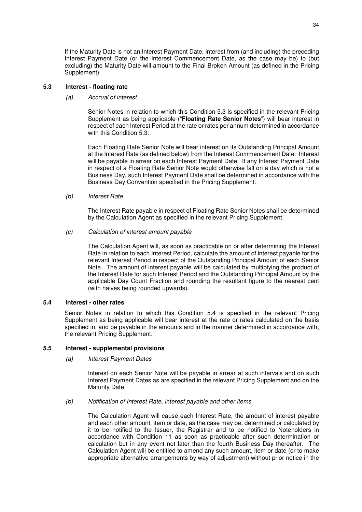If the Maturity Date is not an Interest Payment Date, interest from (and including) the preceding Interest Payment Date (or the Interest Commencement Date, as the case may be) to (but excluding) the Maturity Date will amount to the Final Broken Amount (as defined in the Pricing Supplement).

#### **5.3 Interest - floating rate**

#### *(a) Accrual of interest*

Senior Notes in relation to which this Condition 5.3 is specified in the relevant Pricing Supplement as being applicable ("**Floating Rate Senior Notes**") will bear interest in respect of each Interest Period at the rate or rates per annum determined in accordance with this Condition 5.3.

Each Floating Rate Senior Note will bear interest on its Outstanding Principal Amount at the Interest Rate (as defined below) from the Interest Commencement Date. Interest will be payable in arrear on each Interest Payment Date. If any Interest Payment Date in respect of a Floating Rate Senior Note would otherwise fall on a day which is not a Business Day, such Interest Payment Date shall be determined in accordance with the Business Day Convention specified in the Pricing Supplement.

#### *(b) Interest Rate*

The Interest Rate payable in respect of Floating Rate Senior Notes shall be determined by the Calculation Agent as specified in the relevant Pricing Supplement.

#### *(c) Calculation of interest amount payable*

The Calculation Agent will, as soon as practicable on or after determining the Interest Rate in relation to each Interest Period, calculate the amount of interest payable for the relevant Interest Period in respect of the Outstanding Principal Amount of each Senior Note. The amount of interest payable will be calculated by multiplying the product of the Interest Rate for such Interest Period and the Outstanding Principal Amount by the applicable Day Count Fraction and rounding the resultant figure to the nearest cent (with halves being rounded upwards).

#### **5.4 Interest - other rates**

Senior Notes in relation to which this Condition 5.4 is specified in the relevant Pricing Supplement as being applicable will bear interest at the rate or rates calculated on the basis specified in, and be payable in the amounts and in the manner determined in accordance with, the relevant Pricing Supplement.

#### **5.5 Interest - supplemental provisions**

*(a) Interest Payment Dates* 

Interest on each Senior Note will be payable in arrear at such intervals and on such Interest Payment Dates as are specified in the relevant Pricing Supplement and on the Maturity Date.

*(b) Notification of Interest Rate, interest payable and other items* 

The Calculation Agent will cause each Interest Rate, the amount of interest payable and each other amount, item or date, as the case may be, determined or calculated by it to be notified to the Issuer, the Registrar and to be notified to Noteholders in accordance with Condition 11 as soon as practicable after such determination or calculation but in any event not later than the fourth Business Day thereafter. The Calculation Agent will be entitled to amend any such amount, item or date (or to make appropriate alternative arrangements by way of adjustment) without prior notice in the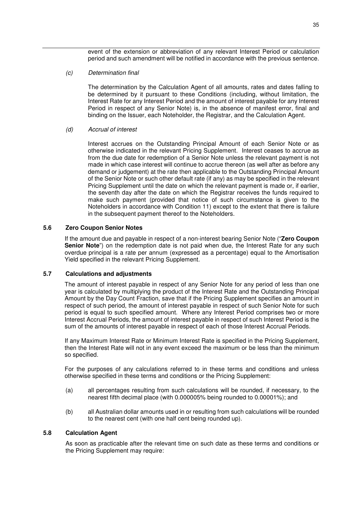event of the extension or abbreviation of any relevant Interest Period or calculation period and such amendment will be notified in accordance with the previous sentence.

#### *(c) Determination final*

The determination by the Calculation Agent of all amounts, rates and dates falling to be determined by it pursuant to these Conditions (including, without limitation, the Interest Rate for any Interest Period and the amount of interest payable for any Interest Period in respect of any Senior Note) is, in the absence of manifest error, final and binding on the Issuer, each Noteholder, the Registrar, and the Calculation Agent.

#### *(d) Accrual of interest*

Interest accrues on the Outstanding Principal Amount of each Senior Note or as otherwise indicated in the relevant Pricing Supplement. Interest ceases to accrue as from the due date for redemption of a Senior Note unless the relevant payment is not made in which case interest will continue to accrue thereon (as well after as before any demand or judgement) at the rate then applicable to the Outstanding Principal Amount of the Senior Note or such other default rate (if any) as may be specified in the relevant Pricing Supplement until the date on which the relevant payment is made or, if earlier, the seventh day after the date on which the Registrar receives the funds required to make such payment (provided that notice of such circumstance is given to the Noteholders in accordance with Condition 11) except to the extent that there is failure in the subsequent payment thereof to the Noteholders.

#### **5.6 Zero Coupon Senior Notes**

If the amount due and payable in respect of a non-interest bearing Senior Note ("**Zero Coupon Senior Note**") on the redemption date is not paid when due, the Interest Rate for any such overdue principal is a rate per annum (expressed as a percentage) equal to the Amortisation Yield specified in the relevant Pricing Supplement.

#### **5.7 Calculations and adjustments**

The amount of interest payable in respect of any Senior Note for any period of less than one year is calculated by multiplying the product of the Interest Rate and the Outstanding Principal Amount by the Day Count Fraction, save that if the Pricing Supplement specifies an amount in respect of such period, the amount of interest payable in respect of such Senior Note for such period is equal to such specified amount. Where any Interest Period comprises two or more Interest Accrual Periods, the amount of interest payable in respect of such Interest Period is the sum of the amounts of interest payable in respect of each of those Interest Accrual Periods.

If any Maximum Interest Rate or Minimum Interest Rate is specified in the Pricing Supplement, then the Interest Rate will not in any event exceed the maximum or be less than the minimum so specified.

For the purposes of any calculations referred to in these terms and conditions and unless otherwise specified in these terms and conditions or the Pricing Supplement:

- (a) all percentages resulting from such calculations will be rounded, if necessary, to the nearest fifth decimal place (with 0.000005% being rounded to 0.00001%); and
- (b) all Australian dollar amounts used in or resulting from such calculations will be rounded to the nearest cent (with one half cent being rounded up).

#### **5.8 Calculation Agent**

As soon as practicable after the relevant time on such date as these terms and conditions or the Pricing Supplement may require: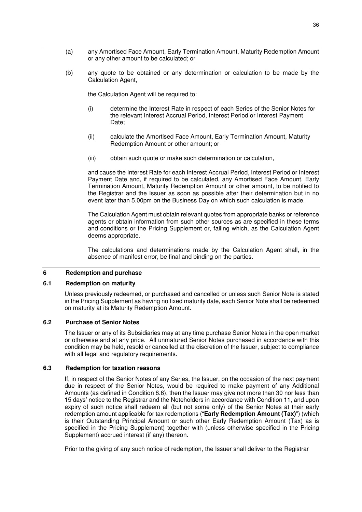- (a) any Amortised Face Amount, Early Termination Amount, Maturity Redemption Amount or any other amount to be calculated; or
- (b) any quote to be obtained or any determination or calculation to be made by the Calculation Agent,

the Calculation Agent will be required to:

- (i) determine the Interest Rate in respect of each Series of the Senior Notes for the relevant Interest Accrual Period, Interest Period or Interest Payment Date:
- (ii) calculate the Amortised Face Amount, Early Termination Amount, Maturity Redemption Amount or other amount; or
- (iii) obtain such quote or make such determination or calculation,

and cause the Interest Rate for each Interest Accrual Period, Interest Period or Interest Payment Date and, if required to be calculated, any Amortised Face Amount, Early Termination Amount, Maturity Redemption Amount or other amount, to be notified to the Registrar and the Issuer as soon as possible after their determination but in no event later than 5.00pm on the Business Day on which such calculation is made.

The Calculation Agent must obtain relevant quotes from appropriate banks or reference agents or obtain information from such other sources as are specified in these terms and conditions or the Pricing Supplement or, failing which, as the Calculation Agent deems appropriate.

The calculations and determinations made by the Calculation Agent shall, in the absence of manifest error, be final and binding on the parties.

### **6 Redemption and purchase**

### **6.1 Redemption on maturity**

Unless previously redeemed, or purchased and cancelled or unless such Senior Note is stated in the Pricing Supplement as having no fixed maturity date, each Senior Note shall be redeemed on maturity at its Maturity Redemption Amount.

### **6.2 Purchase of Senior Notes**

The Issuer or any of its Subsidiaries may at any time purchase Senior Notes in the open market or otherwise and at any price. All unmatured Senior Notes purchased in accordance with this condition may be held, resold or cancelled at the discretion of the Issuer, subject to compliance with all legal and regulatory requirements.

### **6.3 Redemption for taxation reasons**

If, in respect of the Senior Notes of any Series, the Issuer, on the occasion of the next payment due in respect of the Senior Notes, would be required to make payment of any Additional Amounts (as defined in Condition 8.6), then the Issuer may give not more than 30 nor less than 15 days' notice to the Registrar and the Noteholders in accordance with Condition 11, and upon expiry of such notice shall redeem all (but not some only) of the Senior Notes at their early redemption amount applicable for tax redemptions ("**Early Redemption Amount (Tax)**") (which is their Outstanding Principal Amount or such other Early Redemption Amount (Tax) as is specified in the Pricing Supplement) together with (unless otherwise specified in the Pricing Supplement) accrued interest (if any) thereon.

Prior to the giving of any such notice of redemption, the Issuer shall deliver to the Registrar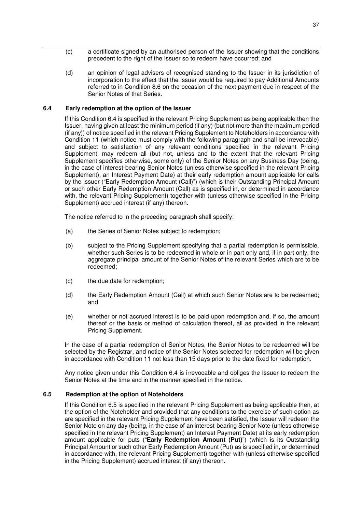- (c) a certificate signed by an authorised person of the Issuer showing that the conditions precedent to the right of the Issuer so to redeem have occurred; and
- (d) an opinion of legal advisers of recognised standing to the Issuer in its jurisdiction of incorporation to the effect that the Issuer would be required to pay Additional Amounts referred to in Condition 8.6 on the occasion of the next payment due in respect of the Senior Notes of that Series.

#### **6.4 Early redemption at the option of the Issuer**

If this Condition 6.4 is specified in the relevant Pricing Supplement as being applicable then the Issuer, having given at least the minimum period (if any) (but not more than the maximum period (if any)) of notice specified in the relevant Pricing Supplement to Noteholders in accordance with Condition 11 (which notice must comply with the following paragraph and shall be irrevocable) and subject to satisfaction of any relevant conditions specified in the relevant Pricing Supplement, may redeem all (but not, unless and to the extent that the relevant Pricing Supplement specifies otherwise, some only) of the Senior Notes on any Business Day (being, in the case of interest-bearing Senior Notes (unless otherwise specified in the relevant Pricing Supplement), an Interest Payment Date) at their early redemption amount applicable for calls by the Issuer ("Early Redemption Amount (Call)") (which is their Outstanding Principal Amount or such other Early Redemption Amount (Call) as is specified in, or determined in accordance with, the relevant Pricing Supplement) together with (unless otherwise specified in the Pricing Supplement) accrued interest (if any) thereon.

The notice referred to in the preceding paragraph shall specify:

- (a) the Series of Senior Notes subject to redemption;
- (b) subject to the Pricing Supplement specifying that a partial redemption is permissible, whether such Series is to be redeemed in whole or in part only and, if in part only, the aggregate principal amount of the Senior Notes of the relevant Series which are to be redeemed;
- (c) the due date for redemption;
- (d) the Early Redemption Amount (Call) at which such Senior Notes are to be redeemed; and
- (e) whether or not accrued interest is to be paid upon redemption and, if so, the amount thereof or the basis or method of calculation thereof, all as provided in the relevant Pricing Supplement.

In the case of a partial redemption of Senior Notes, the Senior Notes to be redeemed will be selected by the Registrar, and notice of the Senior Notes selected for redemption will be given in accordance with Condition 11 not less than 15 days prior to the date fixed for redemption.

Any notice given under this Condition 6.4 is irrevocable and obliges the Issuer to redeem the Senior Notes at the time and in the manner specified in the notice.

#### **6.5 Redemption at the option of Noteholders**

If this Condition 6.5 is specified in the relevant Pricing Supplement as being applicable then, at the option of the Noteholder and provided that any conditions to the exercise of such option as are specified in the relevant Pricing Supplement have been satisfied, the Issuer will redeem the Senior Note on any day (being, in the case of an interest-bearing Senior Note (unless otherwise specified in the relevant Pricing Supplement) an Interest Payment Date) at its early redemption amount applicable for puts ("**Early Redemption Amount (Put)**") (which is its Outstanding Principal Amount or such other Early Redemption Amount (Put) as is specified in, or determined in accordance with, the relevant Pricing Supplement) together with (unless otherwise specified in the Pricing Supplement) accrued interest (if any) thereon.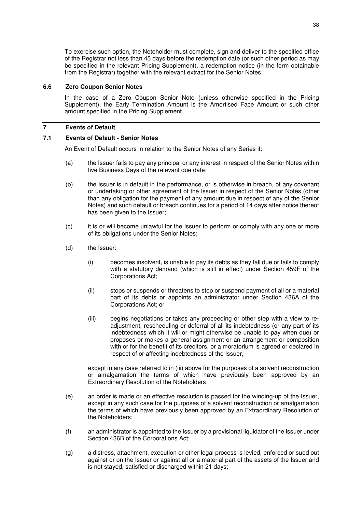To exercise such option, the Noteholder must complete, sign and deliver to the specified office of the Registrar not less than 45 days before the redemption date (or such other period as may be specified in the relevant Pricing Supplement), a redemption notice (in the form obtainable from the Registrar) together with the relevant extract for the Senior Notes.

#### **6.6 Zero Coupon Senior Notes**

In the case of a Zero Coupon Senior Note (unless otherwise specified in the Pricing Supplement), the Early Termination Amount is the Amortised Face Amount or such other amount specified in the Pricing Supplement.

## **7 Events of Default**

## **7.1 Events of Default - Senior Notes**

An Event of Default occurs in relation to the Senior Notes of any Series if:

- (a) the Issuer fails to pay any principal or any interest in respect of the Senior Notes within five Business Days of the relevant due date;
- (b) the Issuer is in default in the performance, or is otherwise in breach, of any covenant or undertaking or other agreement of the Issuer in respect of the Senior Notes (other than any obligation for the payment of any amount due in respect of any of the Senior Notes) and such default or breach continues for a period of 14 days after notice thereof has been given to the Issuer;
- (c) it is or will become unlawful for the Issuer to perform or comply with any one or more of its obligations under the Senior Notes;
- (d) the Issuer:
	- (i) becomes insolvent, is unable to pay its debts as they fall due or fails to comply with a statutory demand (which is still in effect) under Section 459F of the Corporations Act;
	- (ii) stops or suspends or threatens to stop or suspend payment of all or a material part of its debts or appoints an administrator under Section 436A of the Corporations Act; or
	- (iii) begins negotiations or takes any proceeding or other step with a view to readjustment, rescheduling or deferral of all its indebtedness (or any part of its indebtedness which it will or might otherwise be unable to pay when due) or proposes or makes a general assignment or an arrangement or composition with or for the benefit of its creditors, or a moratorium is agreed or declared in respect of or affecting indebtedness of the Issuer,

except in any case referred to in (iii) above for the purposes of a solvent reconstruction or amalgamation the terms of which have previously been approved by an Extraordinary Resolution of the Noteholders;

- (e) an order is made or an effective resolution is passed for the winding-up of the Issuer, except in any such case for the purposes of a solvent reconstruction or amalgamation the terms of which have previously been approved by an Extraordinary Resolution of the Noteholders;
- (f) an administrator is appointed to the Issuer by a provisional liquidator of the Issuer under Section 436B of the Corporations Act;
- (g) a distress, attachment, execution or other legal process is levied, enforced or sued out against or on the Issuer or against all or a material part of the assets of the Issuer and is not stayed, satisfied or discharged within 21 days;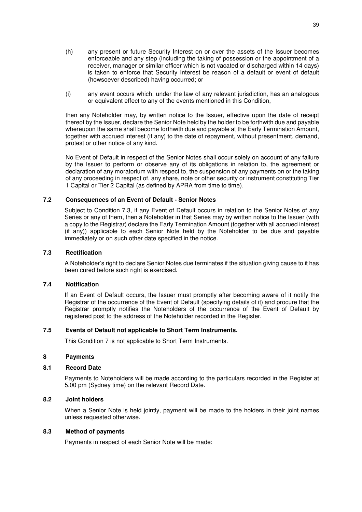- (h) any present or future Security Interest on or over the assets of the Issuer becomes enforceable and any step (including the taking of possession or the appointment of a receiver, manager or similar officer which is not vacated or discharged within 14 days) is taken to enforce that Security Interest be reason of a default or event of default (howsoever described) having occurred; or
- (i) any event occurs which, under the law of any relevant jurisdiction, has an analogous or equivalent effect to any of the events mentioned in this Condition,

then any Noteholder may, by written notice to the Issuer, effective upon the date of receipt thereof by the Issuer, declare the Senior Note held by the holder to be forthwith due and payable whereupon the same shall become forthwith due and payable at the Early Termination Amount, together with accrued interest (if any) to the date of repayment, without presentment, demand, protest or other notice of any kind.

No Event of Default in respect of the Senior Notes shall occur solely on account of any failure by the Issuer to perform or observe any of its obligations in relation to, the agreement or declaration of any moratorium with respect to, the suspension of any payments on or the taking of any proceeding in respect of, any share, note or other security or instrument constituting Tier 1 Capital or Tier 2 Capital (as defined by APRA from time to time).

### **7.2 Consequences of an Event of Default - Senior Notes**

Subject to Condition 7.3, if any Event of Default occurs in relation to the Senior Notes of any Series or any of them, then a Noteholder in that Series may by written notice to the Issuer (with a copy to the Registrar) declare the Early Termination Amount (together with all accrued interest (if any)) applicable to each Senior Note held by the Noteholder to be due and payable immediately or on such other date specified in the notice.

### **7.3 Rectification**

A Noteholder's right to declare Senior Notes due terminates if the situation giving cause to it has been cured before such right is exercised.

### **7.4 Notification**

If an Event of Default occurs, the Issuer must promptly after becoming aware of it notify the Registrar of the occurrence of the Event of Default (specifying details of it) and procure that the Registrar promptly notifies the Noteholders of the occurrence of the Event of Default by registered post to the address of the Noteholder recorded in the Register.

### **7.5 Events of Default not applicable to Short Term Instruments.**

This Condition 7 is not applicable to Short Term Instruments.

### **8 Payments**

### **8.1 Record Date**

Payments to Noteholders will be made according to the particulars recorded in the Register at 5.00 pm (Sydney time) on the relevant Record Date.

### **8.2 Joint holders**

When a Senior Note is held jointly, payment will be made to the holders in their joint names unless requested otherwise.

### **8.3 Method of payments**

Payments in respect of each Senior Note will be made: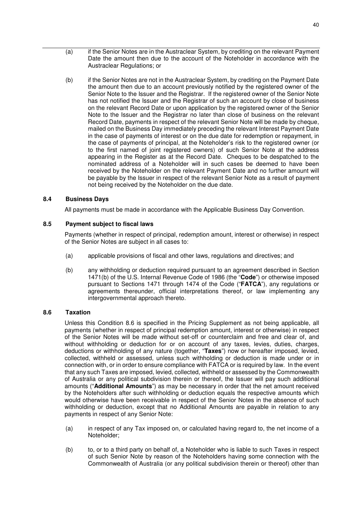- (a) if the Senior Notes are in the Austraclear System, by crediting on the relevant Payment Date the amount then due to the account of the Noteholder in accordance with the Austraclear Regulations; or
- (b) if the Senior Notes are not in the Austraclear System, by crediting on the Payment Date the amount then due to an account previously notified by the registered owner of the Senior Note to the Issuer and the Registrar. If the registered owner of the Senior Note has not notified the Issuer and the Registrar of such an account by close of business on the relevant Record Date or upon application by the registered owner of the Senior Note to the Issuer and the Registrar no later than close of business on the relevant Record Date, payments in respect of the relevant Senior Note will be made by cheque, mailed on the Business Day immediately preceding the relevant Interest Payment Date in the case of payments of interest or on the due date for redemption or repayment, in the case of payments of principal, at the Noteholder's risk to the registered owner (or to the first named of joint registered owners) of such Senior Note at the address appearing in the Register as at the Record Date. Cheques to be despatched to the nominated address of a Noteholder will in such cases be deemed to have been received by the Noteholder on the relevant Payment Date and no further amount will be payable by the Issuer in respect of the relevant Senior Note as a result of payment not being received by the Noteholder on the due date.

## **8.4 Business Days**

All payments must be made in accordance with the Applicable Business Day Convention.

### **8.5 Payment subject to fiscal laws**

Payments (whether in respect of principal, redemption amount, interest or otherwise) in respect of the Senior Notes are subject in all cases to:

- (a) applicable provisions of fiscal and other laws, regulations and directives; and
- (b) any withholding or deduction required pursuant to an agreement described in Section 1471(b) of the U.S. Internal Revenue Code of 1986 (the "**Code**") or otherwise imposed pursuant to Sections 1471 through 1474 of the Code ("**FATCA**"), any regulations or agreements thereunder, official interpretations thereof, or law implementing any intergovernmental approach thereto.

## **8.6 Taxation**

Unless this Condition 8.6 is specified in the Pricing Supplement as not being applicable, all payments (whether in respect of principal redemption amount, interest or otherwise) in respect of the Senior Notes will be made without set-off or counterclaim and free and clear of, and without withholding or deduction for or on account of any taxes, levies, duties, charges, deductions or withholding of any nature (together, "**Taxes**") now or hereafter imposed, levied, collected, withheld or assessed, unless such withholding or deduction is made under or in connection with, or in order to ensure compliance with FATCA or is required by law. In the event that any such Taxes are imposed, levied, collected, withheld or assessed by the Commonwealth of Australia or any political subdivision therein or thereof, the Issuer will pay such additional amounts ("**Additional Amounts**") as may be necessary in order that the net amount received by the Noteholders after such withholding or deduction equals the respective amounts which would otherwise have been receivable in respect of the Senior Notes in the absence of such withholding or deduction, except that no Additional Amounts are payable in relation to any payments in respect of any Senior Note:

- (a) in respect of any Tax imposed on, or calculated having regard to, the net income of a Noteholder;
- (b) to, or to a third party on behalf of, a Noteholder who is liable to such Taxes in respect of such Senior Note by reason of the Noteholders having some connection with the Commonwealth of Australia (or any political subdivision therein or thereof) other than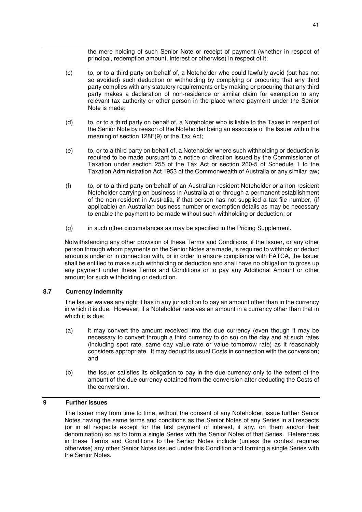the mere holding of such Senior Note or receipt of payment (whether in respect of principal, redemption amount, interest or otherwise) in respect of it;

- (c) to, or to a third party on behalf of, a Noteholder who could lawfully avoid (but has not so avoided) such deduction or withholding by complying or procuring that any third party complies with any statutory requirements or by making or procuring that any third party makes a declaration of non-residence or similar claim for exemption to any relevant tax authority or other person in the place where payment under the Senior Note is made;
- (d) to, or to a third party on behalf of, a Noteholder who is liable to the Taxes in respect of the Senior Note by reason of the Noteholder being an associate of the Issuer within the meaning of section 128F(9) of the Tax Act;
- (e) to, or to a third party on behalf of, a Noteholder where such withholding or deduction is required to be made pursuant to a notice or direction issued by the Commissioner of Taxation under section 255 of the Tax Act or section 260-5 of Schedule 1 to the Taxation Administration Act 1953 of the Commonwealth of Australia or any similar law;
- (f) to, or to a third party on behalf of an Australian resident Noteholder or a non-resident Noteholder carrying on business in Australia at or through a permanent establishment of the non-resident in Australia, if that person has not supplied a tax file number, (if applicable) an Australian business number or exemption details as may be necessary to enable the payment to be made without such withholding or deduction; or
- (g) in such other circumstances as may be specified in the Pricing Supplement.

Notwithstanding any other provision of these Terms and Conditions, if the Issuer, or any other person through whom payments on the Senior Notes are made, is required to withhold or deduct amounts under or in connection with, or in order to ensure compliance with FATCA, the Issuer shall be entitled to make such withholding or deduction and shall have no obligation to gross up any payment under these Terms and Conditions or to pay any Additional Amount or other amount for such withholding or deduction.

### **8.7 Currency indemnity**

The Issuer waives any right it has in any jurisdiction to pay an amount other than in the currency in which it is due. However, if a Noteholder receives an amount in a currency other than that in which it is due:

- (a) it may convert the amount received into the due currency (even though it may be necessary to convert through a third currency to do so) on the day and at such rates (including spot rate, same day value rate or value tomorrow rate) as it reasonably considers appropriate. It may deduct its usual Costs in connection with the conversion; and
- (b) the Issuer satisfies its obligation to pay in the due currency only to the extent of the amount of the due currency obtained from the conversion after deducting the Costs of the conversion.

## **9 Further issues**

The Issuer may from time to time, without the consent of any Noteholder, issue further Senior Notes having the same terms and conditions as the Senior Notes of any Series in all respects (or in all respects except for the first payment of interest, if any, on them and/or their denomination) so as to form a single Series with the Senior Notes of that Series. References in these Terms and Conditions to the Senior Notes include (unless the context requires otherwise) any other Senior Notes issued under this Condition and forming a single Series with the Senior Notes.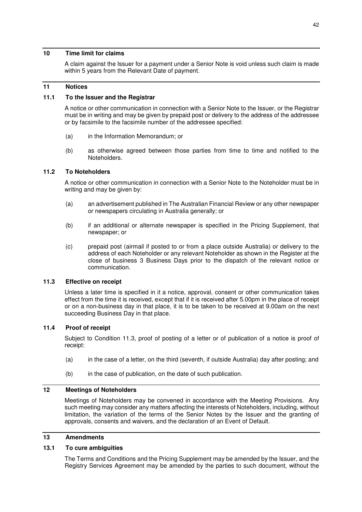## **10 Time limit for claims**

A claim against the Issuer for a payment under a Senior Note is void unless such claim is made within 5 years from the Relevant Date of payment.

#### **11 Notices**

### **11.1 To the Issuer and the Registrar**

A notice or other communication in connection with a Senior Note to the Issuer, or the Registrar must be in writing and may be given by prepaid post or delivery to the address of the addressee or by facsimile to the facsimile number of the addressee specified:

- (a) in the Information Memorandum; or
- (b) as otherwise agreed between those parties from time to time and notified to the Noteholders.

### **11.2 To Noteholders**

A notice or other communication in connection with a Senior Note to the Noteholder must be in writing and may be given by:

- (a) an advertisement published in The Australian Financial Review or any other newspaper or newspapers circulating in Australia generally; or
- (b) if an additional or alternate newspaper is specified in the Pricing Supplement, that newspaper; or
- (c) prepaid post (airmail if posted to or from a place outside Australia) or delivery to the address of each Noteholder or any relevant Noteholder as shown in the Register at the close of business 3 Business Days prior to the dispatch of the relevant notice or communication.

### **11.3 Effective on receipt**

Unless a later time is specified in it a notice, approval, consent or other communication takes effect from the time it is received, except that if it is received after 5.00pm in the place of receipt or on a non-business day in that place, it is to be taken to be received at 9.00am on the next succeeding Business Day in that place.

### **11.4 Proof of receipt**

Subject to Condition 11.3, proof of posting of a letter or of publication of a notice is proof of receipt:

- (a) in the case of a letter, on the third (seventh, if outside Australia) day after posting; and
- (b) in the case of publication, on the date of such publication.

#### **12 Meetings of Noteholders**

Meetings of Noteholders may be convened in accordance with the Meeting Provisions. Any such meeting may consider any matters affecting the interests of Noteholders, including, without limitation, the variation of the terms of the Senior Notes by the Issuer and the granting of approvals, consents and waivers, and the declaration of an Event of Default.

## **13 Amendments**

## **13.1 To cure ambiguities**

The Terms and Conditions and the Pricing Supplement may be amended by the Issuer, and the Registry Services Agreement may be amended by the parties to such document, without the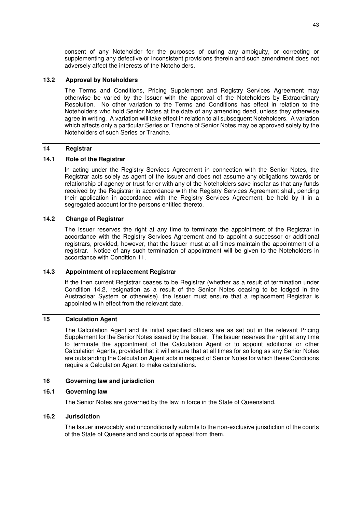consent of any Noteholder for the purposes of curing any ambiguity, or correcting or supplementing any defective or inconsistent provisions therein and such amendment does not adversely affect the interests of the Noteholders.

### **13.2 Approval by Noteholders**

The Terms and Conditions, Pricing Supplement and Registry Services Agreement may otherwise be varied by the Issuer with the approval of the Noteholders by Extraordinary Resolution. No other variation to the Terms and Conditions has effect in relation to the Noteholders who hold Senior Notes at the date of any amending deed, unless they otherwise agree in writing. A variation will take effect in relation to all subsequent Noteholders. A variation which affects only a particular Series or Tranche of Senior Notes may be approved solely by the Noteholders of such Series or Tranche.

## **14 Registrar**

### **14.1 Role of the Registrar**

In acting under the Registry Services Agreement in connection with the Senior Notes, the Registrar acts solely as agent of the Issuer and does not assume any obligations towards or relationship of agency or trust for or with any of the Noteholders save insofar as that any funds received by the Registrar in accordance with the Registry Services Agreement shall, pending their application in accordance with the Registry Services Agreement, be held by it in a segregated account for the persons entitled thereto.

### **14.2 Change of Registrar**

The Issuer reserves the right at any time to terminate the appointment of the Registrar in accordance with the Registry Services Agreement and to appoint a successor or additional registrars, provided, however, that the Issuer must at all times maintain the appointment of a registrar. Notice of any such termination of appointment will be given to the Noteholders in accordance with Condition 11.

### **14.3 Appointment of replacement Registrar**

If the then current Registrar ceases to be Registrar (whether as a result of termination under Condition 14.2, resignation as a result of the Senior Notes ceasing to be lodged in the Austraclear System or otherwise), the Issuer must ensure that a replacement Registrar is appointed with effect from the relevant date.

### **15 Calculation Agent**

The Calculation Agent and its initial specified officers are as set out in the relevant Pricing Supplement for the Senior Notes issued by the Issuer. The Issuer reserves the right at any time to terminate the appointment of the Calculation Agent or to appoint additional or other Calculation Agents, provided that it will ensure that at all times for so long as any Senior Notes are outstanding the Calculation Agent acts in respect of Senior Notes for which these Conditions require a Calculation Agent to make calculations.

### **16 Governing law and jurisdiction**

### **16.1 Governing law**

The Senior Notes are governed by the law in force in the State of Queensland.

### **16.2 Jurisdiction**

The Issuer irrevocably and unconditionally submits to the non-exclusive jurisdiction of the courts of the State of Queensland and courts of appeal from them.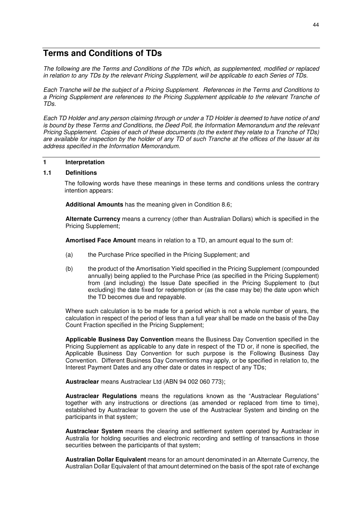# **Terms and Conditions of TDs**

*The following are the Terms and Conditions of the TDs which, as supplemented, modified or replaced in relation to any TDs by the relevant Pricing Supplement, will be applicable to each Series of TDs.*

*Each Tranche will be the subject of a Pricing Supplement. References in the Terms and Conditions to a Pricing Supplement are references to the Pricing Supplement applicable to the relevant Tranche of TDs.* 

*Each TD Holder and any person claiming through or under a TD Holder is deemed to have notice of and is bound by these Terms and Conditions, the Deed Poll, the Information Memorandum and the relevant Pricing Supplement. Copies of each of these documents (to the extent they relate to a Tranche of TDs) are available for inspection by the holder of any TD of such Tranche at the offices of the Issuer at its address specified in the Information Memorandum.* 

### **1 Interpretation**

## **1.1 Definitions**

The following words have these meanings in these terms and conditions unless the contrary intention appears:

**Additional Amounts** has the meaning given in Condition 8.6;

**Alternate Currency** means a currency (other than Australian Dollars) which is specified in the Pricing Supplement;

**Amortised Face Amount** means in relation to a TD, an amount equal to the sum of:

- (a) the Purchase Price specified in the Pricing Supplement; and
- (b) the product of the Amortisation Yield specified in the Pricing Supplement (compounded annually) being applied to the Purchase Price (as specified in the Pricing Supplement) from (and including) the Issue Date specified in the Pricing Supplement to (but excluding) the date fixed for redemption or (as the case may be) the date upon which the TD becomes due and repayable.

Where such calculation is to be made for a period which is not a whole number of years, the calculation in respect of the period of less than a full year shall be made on the basis of the Day Count Fraction specified in the Pricing Supplement;

**Applicable Business Day Convention** means the Business Day Convention specified in the Pricing Supplement as applicable to any date in respect of the TD or, if none is specified, the Applicable Business Day Convention for such purpose is the Following Business Day Convention. Different Business Day Conventions may apply, or be specified in relation to, the Interest Payment Dates and any other date or dates in respect of any TDs;

**Austraclear** means Austraclear Ltd (ABN 94 002 060 773);

**Austraclear Regulations** means the regulations known as the "Austraclear Regulations" together with any instructions or directions (as amended or replaced from time to time), established by Austraclear to govern the use of the Austraclear System and binding on the participants in that system;

**Austraclear System** means the clearing and settlement system operated by Austraclear in Australia for holding securities and electronic recording and settling of transactions in those securities between the participants of that system;

**Australian Dollar Equivalent** means for an amount denominated in an Alternate Currency, the Australian Dollar Equivalent of that amount determined on the basis of the spot rate of exchange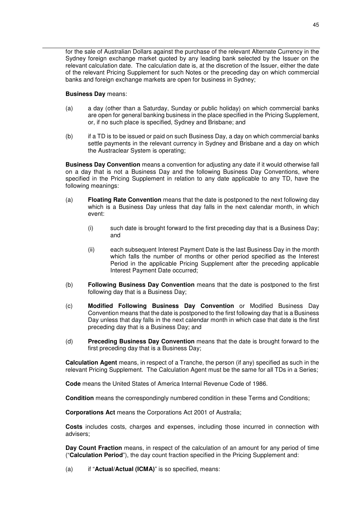for the sale of Australian Dollars against the purchase of the relevant Alternate Currency in the Sydney foreign exchange market quoted by any leading bank selected by the Issuer on the relevant calculation date. The calculation date is, at the discretion of the Issuer, either the date of the relevant Pricing Supplement for such Notes or the preceding day on which commercial banks and foreign exchange markets are open for business in Sydney;

### **Business Day** means:

- (a) a day (other than a Saturday, Sunday or public holiday) on which commercial banks are open for general banking business in the place specified in the Pricing Supplement, or, if no such place is specified, Sydney and Brisbane; and
- (b) if a TD is to be issued or paid on such Business Day, a day on which commercial banks settle payments in the relevant currency in Sydney and Brisbane and a day on which the Austraclear System is operating;

**Business Day Convention** means a convention for adjusting any date if it would otherwise fall on a day that is not a Business Day and the following Business Day Conventions, where specified in the Pricing Supplement in relation to any date applicable to any TD, have the following meanings:

- (a) **Floating Rate Convention** means that the date is postponed to the next following day which is a Business Day unless that day falls in the next calendar month, in which event:
	- (i) such date is brought forward to the first preceding day that is a Business Day; and
	- (ii) each subsequent Interest Payment Date is the last Business Day in the month which falls the number of months or other period specified as the Interest Period in the applicable Pricing Supplement after the preceding applicable Interest Payment Date occurred;
- (b) **Following Business Day Convention** means that the date is postponed to the first following day that is a Business Day;
- (c) **Modified Following Business Day Convention** or Modified Business Day Convention means that the date is postponed to the first following day that is a Business Day unless that day falls in the next calendar month in which case that date is the first preceding day that is a Business Day; and
- (d) **Preceding Business Day Convention** means that the date is brought forward to the first preceding day that is a Business Day;

**Calculation Agent** means, in respect of a Tranche, the person (if any) specified as such in the relevant Pricing Supplement. The Calculation Agent must be the same for all TDs in a Series;

**Code** means the United States of America Internal Revenue Code of 1986.

**Condition** means the correspondingly numbered condition in these Terms and Conditions;

**Corporations Act** means the Corporations Act 2001 of Australia;

**Costs** includes costs, charges and expenses, including those incurred in connection with advisers;

**Day Count Fraction** means, in respect of the calculation of an amount for any period of time ("**Calculation Period**"), the day count fraction specified in the Pricing Supplement and:

(a) if "**Actual/Actual (ICMA)**" is so specified, means: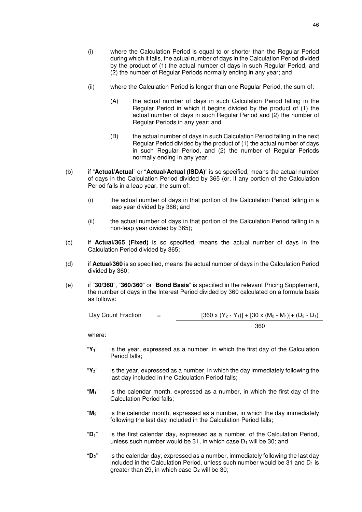- (i) where the Calculation Period is equal to or shorter than the Regular Period during which it falls, the actual number of days in the Calculation Period divided by the product of (1) the actual number of days in such Regular Period, and (2) the number of Regular Periods normally ending in any year; and
- (ii) where the Calculation Period is longer than one Regular Period, the sum of:
	- (A) the actual number of days in such Calculation Period falling in the Regular Period in which it begins divided by the product of (1) the actual number of days in such Regular Period and (2) the number of Regular Periods in any year; and
	- (B) the actual number of days in such Calculation Period falling in the next Regular Period divided by the product of (1) the actual number of days in such Regular Period, and (2) the number of Regular Periods normally ending in any year;
- (b) if "**Actual/Actual**" or "**Actual/Actual (ISDA)**" is so specified, means the actual number of days in the Calculation Period divided by 365 (or, if any portion of the Calculation Period falls in a leap year, the sum of:
	- (i) the actual number of days in that portion of the Calculation Period falling in a leap year divided by 366; and
	- (ii) the actual number of days in that portion of the Calculation Period falling in a non-leap year divided by 365);
- (c) if **Actual/365 (Fixed)** is so specified, means the actual number of days in the Calculation Period divided by 365;
- (d) if **Actual/360** is so specified, means the actual number of days in the Calculation Period divided by 360;
- (e) if "**30/360**", "**360/360**" or "**Bond Basis**" is specified in the relevant Pricing Supplement, the number of days in the Interest Period divided by 360 calculated on a formula basis as follows:

Day Count Fraction = 
$$
[360 \times (Y_2 - Y_1)] + [30 \times (M_2 - M_1)] + (D_2 - D_1)
$$

$$
360
$$

where:

- "**Y1**" is the year, expressed as a number, in which the first day of the Calculation Period falls;
- "**Y2**" is the year, expressed as a number, in which the day immediately following the last day included in the Calculation Period falls;
- "**M1**" is the calendar month, expressed as a number, in which the first day of the Calculation Period falls;
- "**M2**" is the calendar month, expressed as a number, in which the day immediately following the last day included in the Calculation Period falls;
- "**D1**" is the first calendar day, expressed as a number, of the Calculation Period, unless such number would be 31, in which case  $D_1$  will be 30; and
- "**D2**" is the calendar day, expressed as a number, immediately following the last day included in the Calculation Period, unless such number would be  $31$  and  $D_1$  is greater than 29, in which case  $D_2$  will be 30;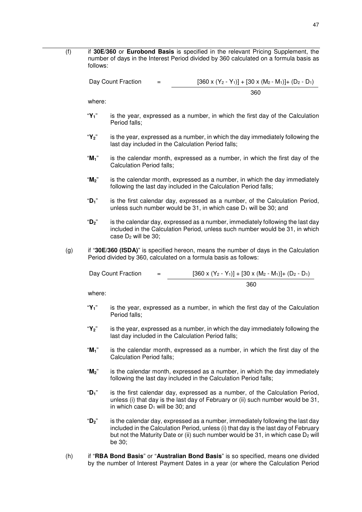(f) if **30E/360** or **Eurobond Basis** is specified in the relevant Pricing Supplement, the number of days in the Interest Period divided by 360 calculated on a formula basis as follows:

Day Count Fraction  $=$  [360 x (Y<sub>2</sub> - Y<sub>1</sub>)] + [30 x (M<sub>2</sub> - M<sub>1</sub>)] + (D<sub>2</sub> - D<sub>1</sub>) 360

where:

- "**Y1**" is the year, expressed as a number, in which the first day of the Calculation Period falls;
- "**Y2**" is the year, expressed as a number, in which the day immediately following the last day included in the Calculation Period falls;
- "**M1**" is the calendar month, expressed as a number, in which the first day of the Calculation Period falls;
- "**M2**" is the calendar month, expressed as a number, in which the day immediately following the last day included in the Calculation Period falls;
- "**D1**" is the first calendar day, expressed as a number, of the Calculation Period, unless such number would be 31, in which case  $D_1$  will be 30; and
- "**D2**" is the calendar day, expressed as a number, immediately following the last day included in the Calculation Period, unless such number would be 31, in which case  $D_2$  will be 30:
- (g) if "**30E/360 (ISDA)**" is specified hereon, means the number of days in the Calculation Period divided by 360, calculated on a formula basis as follows:

| Day Count Fraction | $=$ | $[360 \times (Y_2 - Y_1)] + [30 \times (M_2 - M_1)] + (D_2 - D_1)$ |
|--------------------|-----|--------------------------------------------------------------------|
|                    |     | 360                                                                |

where:

- "**Y1**" is the year, expressed as a number, in which the first day of the Calculation Period falls;
- "**Y2**" is the year, expressed as a number, in which the day immediately following the last day included in the Calculation Period falls;
- "**M1**" is the calendar month, expressed as a number, in which the first day of the Calculation Period falls;
- "**M2**" is the calendar month, expressed as a number, in which the day immediately following the last day included in the Calculation Period falls;
- "**D1**" is the first calendar day, expressed as a number, of the Calculation Period, unless (i) that day is the last day of February or (ii) such number would be 31, in which case  $D_1$  will be 30; and
- "**D2**" is the calendar day, expressed as a number, immediately following the last day included in the Calculation Period, unless (i) that day is the last day of February but not the Maturity Date or (ii) such number would be 31, in which case  $D_2$  will be 30;
- (h) if "**RBA Bond Basis**" or "**Australian Bond Basis**" is so specified, means one divided by the number of Interest Payment Dates in a year (or where the Calculation Period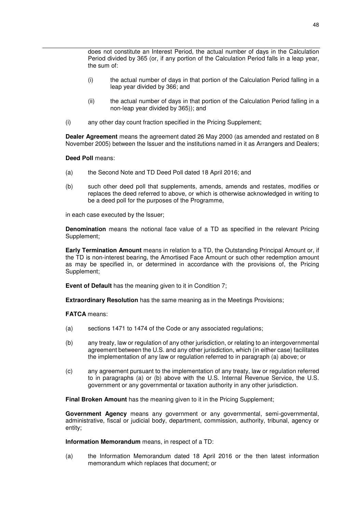does not constitute an Interest Period, the actual number of days in the Calculation Period divided by 365 (or, if any portion of the Calculation Period falls in a leap year, the sum of:

- (i) the actual number of days in that portion of the Calculation Period falling in a leap year divided by 366; and
- (ii) the actual number of days in that portion of the Calculation Period falling in a non-leap year divided by 365)); and
- (i) any other day count fraction specified in the Pricing Supplement;

**Dealer Agreement** means the agreement dated 26 May 2000 (as amended and restated on 8 November 2005) between the Issuer and the institutions named in it as Arrangers and Dealers;

### **Deed Poll** means:

- (a) the Second Note and TD Deed Poll dated 18 April 2016; and
- (b) such other deed poll that supplements, amends, amends and restates, modifies or replaces the deed referred to above, or which is otherwise acknowledged in writing to be a deed poll for the purposes of the Programme,

in each case executed by the Issuer;

**Denomination** means the notional face value of a TD as specified in the relevant Pricing Supplement;

**Early Termination Amount** means in relation to a TD, the Outstanding Principal Amount or, if the TD is non-interest bearing, the Amortised Face Amount or such other redemption amount as may be specified in, or determined in accordance with the provisions of, the Pricing Supplement;

**Event of Default** has the meaning given to it in Condition 7;

**Extraordinary Resolution** has the same meaning as in the Meetings Provisions;

**FATCA** means:

- (a) sections 1471 to 1474 of the Code or any associated regulations;
- (b) any treaty, law or regulation of any other jurisdiction, or relating to an intergovernmental agreement between the U.S. and any other jurisdiction, which (in either case) facilitates the implementation of any law or regulation referred to in paragraph (a) above; or
- (c) any agreement pursuant to the implementation of any treaty, law or regulation referred to in paragraphs (a) or (b) above with the U.S. Internal Revenue Service, the U.S. government or any governmental or taxation authority in any other jurisdiction.

**Final Broken Amount** has the meaning given to it in the Pricing Supplement;

**Government Agency** means any government or any governmental, semi-governmental, administrative, fiscal or judicial body, department, commission, authority, tribunal, agency or entity;

**Information Memorandum** means, in respect of a TD:

(a) the Information Memorandum dated 18 April 2016 or the then latest information memorandum which replaces that document; or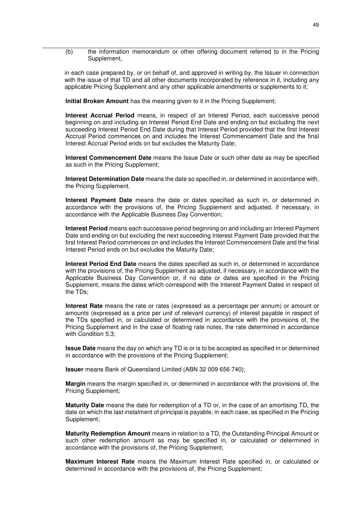(b) the information memorandum or other offering document referred to in the Pricing Supplement,

in each case prepared by, or on behalf of, and approved in writing by, the Issuer in connection with the issue of that TD and all other documents incorporated by reference in it, including any applicable Pricing Supplement and any other applicable amendments or supplements to it;

**Initial Broken Amount** has the meaning given to it in the Pricing Supplement;

**Interest Accrual Period** means, in respect of an Interest Period, each successive period beginning on and including an Interest Period End Date and ending on but excluding the next succeeding Interest Period End Date during that Interest Period provided that the first Interest Accrual Period commences on and includes the Interest Commencement Date and the final Interest Accrual Period ends on but excludes the Maturity Date;

**Interest Commencement Date** means the Issue Date or such other date as may be specified as such in the Pricing Supplement;

**Interest Determination Date** means the date so specified in, or determined in accordance with, the Pricing Supplement.

**Interest Payment Date** means the date or dates specified as such in, or determined in accordance with the provisions of, the Pricing Supplement and adjusted, if necessary, in accordance with the Applicable Business Day Convention;

**Interest Period** means each successive period beginning on and including an Interest Payment Date and ending on but excluding the next succeeding Interest Payment Date provided that the first Interest Period commences on and includes the Interest Commencement Date and the final Interest Period ends on but excludes the Maturity Date;

**Interest Period End Date** means the dates specified as such in, or determined in accordance with the provisions of, the Pricing Supplement as adjusted, if necessary, in accordance with the Applicable Business Day Convention or, if no date or dates are specified in the Pricing Supplement, means the dates which correspond with the Interest Payment Dates in respect of the TDs;

**Interest Rate** means the rate or rates (expressed as a percentage per annum) or amount or amounts (expressed as a price per unit of relevant currency) of interest payable in respect of the TDs specified in, or calculated or determined in accordance with the provisions of, the Pricing Supplement and in the case of floating rate notes, the rate determined in accordance with Condition 5.3;

**Issue Date** means the day on which any TD is or is to be accepted as specified in or determined in accordance with the provisions of the Pricing Supplement;

**Issuer** means Bank of Queensland Limited (ABN 32 009 656 740);

**Margin** means the margin specified in, or determined in accordance with the provisions of, the Pricing Supplement;

**Maturity Date** means the date for redemption of a TD or, in the case of an amortising TD, the date on which the last instalment of principal is payable, in each case, as specified in the Pricing Supplement;

**Maturity Redemption Amount** means in relation to a TD, the Outstanding Principal Amount or such other redemption amount as may be specified in, or calculated or determined in accordance with the provisions of, the Pricing Supplement;

**Maximum Interest Rate** means the Maximum Interest Rate specified in, or calculated or determined in accordance with the provisions of, the Pricing Supplement;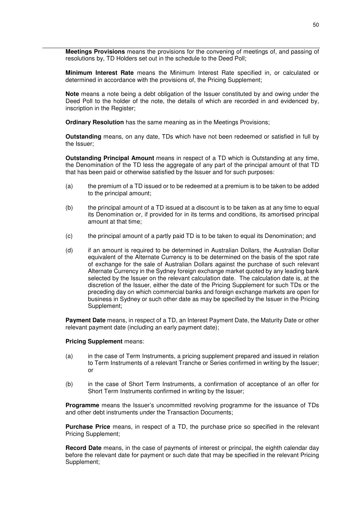**Meetings Provisions** means the provisions for the convening of meetings of, and passing of resolutions by, TD Holders set out in the schedule to the Deed Poll;

**Minimum Interest Rate** means the Minimum Interest Rate specified in, or calculated or determined in accordance with the provisions of, the Pricing Supplement;

**Note** means a note being a debt obligation of the Issuer constituted by and owing under the Deed Poll to the holder of the note, the details of which are recorded in and evidenced by, inscription in the Register;

**Ordinary Resolution** has the same meaning as in the Meetings Provisions;

**Outstanding** means, on any date, TDs which have not been redeemed or satisfied in full by the Issuer;

**Outstanding Principal Amount** means in respect of a TD which is Outstanding at any time, the Denomination of the TD less the aggregate of any part of the principal amount of that TD that has been paid or otherwise satisfied by the Issuer and for such purposes:

- (a) the premium of a TD issued or to be redeemed at a premium is to be taken to be added to the principal amount;
- (b) the principal amount of a TD issued at a discount is to be taken as at any time to equal its Denomination or, if provided for in its terms and conditions, its amortised principal amount at that time;
- (c) the principal amount of a partly paid TD is to be taken to equal its Denomination; and
- (d) if an amount is required to be determined in Australian Dollars, the Australian Dollar equivalent of the Alternate Currency is to be determined on the basis of the spot rate of exchange for the sale of Australian Dollars against the purchase of such relevant Alternate Currency in the Sydney foreign exchange market quoted by any leading bank selected by the Issuer on the relevant calculation date. The calculation date is, at the discretion of the Issuer, either the date of the Pricing Supplement for such TDs or the preceding day on which commercial banks and foreign exchange markets are open for business in Sydney or such other date as may be specified by the Issuer in the Pricing Supplement;

**Payment Date** means, in respect of a TD, an Interest Payment Date, the Maturity Date or other relevant payment date (including an early payment date);

#### **Pricing Supplement** means:

- (a) in the case of Term Instruments, a pricing supplement prepared and issued in relation to Term Instruments of a relevant Tranche or Series confirmed in writing by the Issuer; or
- (b) in the case of Short Term Instruments, a confirmation of acceptance of an offer for Short Term Instruments confirmed in writing by the Issuer;

**Programme** means the Issuer's uncommitted revolving programme for the issuance of TDs and other debt instruments under the Transaction Documents;

**Purchase Price** means, in respect of a TD, the purchase price so specified in the relevant Pricing Supplement;

**Record Date** means, in the case of payments of interest or principal, the eighth calendar day before the relevant date for payment or such date that may be specified in the relevant Pricing Supplement;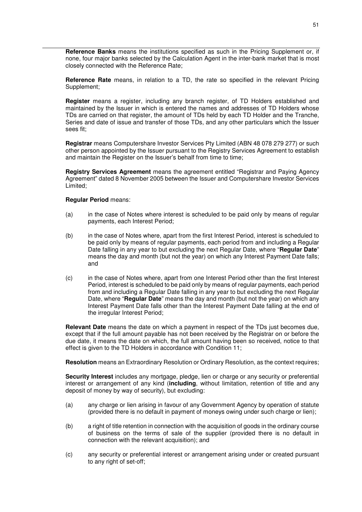**Reference Banks** means the institutions specified as such in the Pricing Supplement or, if none, four major banks selected by the Calculation Agent in the inter-bank market that is most closely connected with the Reference Rate;

**Reference Rate** means, in relation to a TD, the rate so specified in the relevant Pricing Supplement;

**Register** means a register, including any branch register, of TD Holders established and maintained by the Issuer in which is entered the names and addresses of TD Holders whose TDs are carried on that register, the amount of TDs held by each TD Holder and the Tranche, Series and date of issue and transfer of those TDs, and any other particulars which the Issuer sees fit;

**Registrar** means Computershare Investor Services Pty Limited (ABN 48 078 279 277) or such other person appointed by the Issuer pursuant to the Registry Services Agreement to establish and maintain the Register on the Issuer's behalf from time to time;

**Registry Services Agreement** means the agreement entitled "Registrar and Paying Agency Agreement" dated 8 November 2005 between the Issuer and Computershare Investor Services Limited;

### **Regular Period** means:

- (a) in the case of Notes where interest is scheduled to be paid only by means of regular payments, each Interest Period;
- (b) in the case of Notes where, apart from the first Interest Period, interest is scheduled to be paid only by means of regular payments, each period from and including a Regular Date falling in any year to but excluding the next Regular Date, where "**Regular Date**" means the day and month (but not the year) on which any Interest Payment Date falls; and
- (c) in the case of Notes where, apart from one Interest Period other than the first Interest Period, interest is scheduled to be paid only by means of regular payments, each period from and including a Regular Date falling in any year to but excluding the next Regular Date, where "**Regular Date**" means the day and month (but not the year) on which any Interest Payment Date falls other than the Interest Payment Date falling at the end of the irregular Interest Period;

**Relevant Date** means the date on which a payment in respect of the TDs just becomes due, except that if the full amount payable has not been received by the Registrar on or before the due date, it means the date on which, the full amount having been so received, notice to that effect is given to the TD Holders in accordance with Condition 11;

**Resolution** means an Extraordinary Resolution or Ordinary Resolution, as the context requires;

**Security Interest** includes any mortgage, pledge, lien or charge or any security or preferential interest or arrangement of any kind (**including**, without limitation, retention of title and any deposit of money by way of security), but excluding:

- (a) any charge or lien arising in favour of any Government Agency by operation of statute (provided there is no default in payment of moneys owing under such charge or lien);
- (b) a right of title retention in connection with the acquisition of goods in the ordinary course of business on the terms of sale of the supplier (provided there is no default in connection with the relevant acquisition); and
- (c) any security or preferential interest or arrangement arising under or created pursuant to any right of set-off;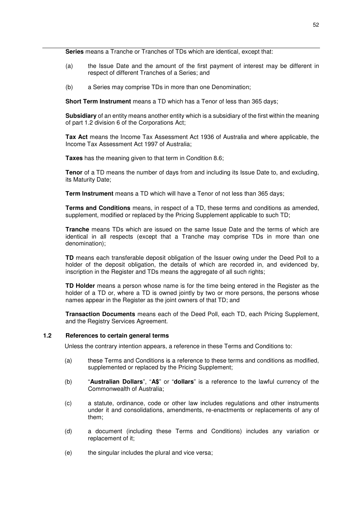**Series** means a Tranche or Tranches of TDs which are identical, except that:

- (a) the Issue Date and the amount of the first payment of interest may be different in respect of different Tranches of a Series; and
- (b) a Series may comprise TDs in more than one Denomination;

**Short Term Instrument** means a TD which has a Tenor of less than 365 days;

**Subsidiary** of an entity means another entity which is a subsidiary of the first within the meaning of part 1.2 division 6 of the Corporations Act;

**Tax Act** means the Income Tax Assessment Act 1936 of Australia and where applicable, the Income Tax Assessment Act 1997 of Australia;

**Taxes** has the meaning given to that term in Condition 8.6;

**Tenor** of a TD means the number of days from and including its Issue Date to, and excluding, its Maturity Date;

**Term Instrument** means a TD which will have a Tenor of not less than 365 days;

**Terms and Conditions** means, in respect of a TD, these terms and conditions as amended, supplement, modified or replaced by the Pricing Supplement applicable to such TD;

**Tranche** means TDs which are issued on the same Issue Date and the terms of which are identical in all respects (except that a Tranche may comprise TDs in more than one denomination);

**TD** means each transferable deposit obligation of the Issuer owing under the Deed Poll to a holder of the deposit obligation, the details of which are recorded in, and evidenced by, inscription in the Register and TDs means the aggregate of all such rights;

**TD Holder** means a person whose name is for the time being entered in the Register as the holder of a TD or, where a TD is owned jointly by two or more persons, the persons whose names appear in the Register as the joint owners of that TD; and

**Transaction Documents** means each of the Deed Poll, each TD, each Pricing Supplement, and the Registry Services Agreement.

### **1.2 References to certain general terms**

Unless the contrary intention appears, a reference in these Terms and Conditions to:

- (a) these Terms and Conditions is a reference to these terms and conditions as modified, supplemented or replaced by the Pricing Supplement;
- (b) "**Australian Dollars**", "**A\$**" or "**dollars**" is a reference to the lawful currency of the Commonwealth of Australia;
- (c) a statute, ordinance, code or other law includes regulations and other instruments under it and consolidations, amendments, re-enactments or replacements of any of them;
- (d) a document (including these Terms and Conditions) includes any variation or replacement of it;
- (e) the singular includes the plural and vice versa;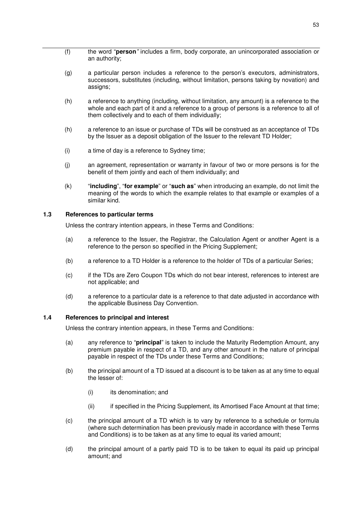- (f) the word "**person***"* includes a firm, body corporate, an unincorporated association or an authority;
- (g) a particular person includes a reference to the person's executors, administrators, successors, substitutes (including, without limitation, persons taking by novation) and assigns;
- (h) a reference to anything (including, without limitation, any amount) is a reference to the whole and each part of it and a reference to a group of persons is a reference to all of them collectively and to each of them individually;
- (h) a reference to an issue or purchase of TDs will be construed as an acceptance of TDs by the Issuer as a deposit obligation of the Issuer to the relevant TD Holder;
- (i) a time of day is a reference to Sydney time;
- (j) an agreement, representation or warranty in favour of two or more persons is for the benefit of them jointly and each of them individually; and
- (k) "**including**", "**for example**" or "**such as**" when introducing an example, do not limit the meaning of the words to which the example relates to that example or examples of a similar kind.

## **1.3 References to particular terms**

Unless the contrary intention appears, in these Terms and Conditions:

- (a) a reference to the Issuer, the Registrar, the Calculation Agent or another Agent is a reference to the person so specified in the Pricing Supplement;
- (b) a reference to a TD Holder is a reference to the holder of TDs of a particular Series;
- (c) if the TDs are Zero Coupon TDs which do not bear interest, references to interest are not applicable; and
- (d) a reference to a particular date is a reference to that date adjusted in accordance with the applicable Business Day Convention.

### **1.4 References to principal and interest**

Unless the contrary intention appears, in these Terms and Conditions:

- (a) any reference to "**principal**" is taken to include the Maturity Redemption Amount, any premium payable in respect of a TD, and any other amount in the nature of principal payable in respect of the TDs under these Terms and Conditions;
- (b) the principal amount of a TD issued at a discount is to be taken as at any time to equal the lesser of:
	- (i) its denomination; and
	- (ii) if specified in the Pricing Supplement, its Amortised Face Amount at that time;
- (c) the principal amount of a TD which is to vary by reference to a schedule or formula (where such determination has been previously made in accordance with these Terms and Conditions) is to be taken as at any time to equal its varied amount;
- (d) the principal amount of a partly paid TD is to be taken to equal its paid up principal amount; and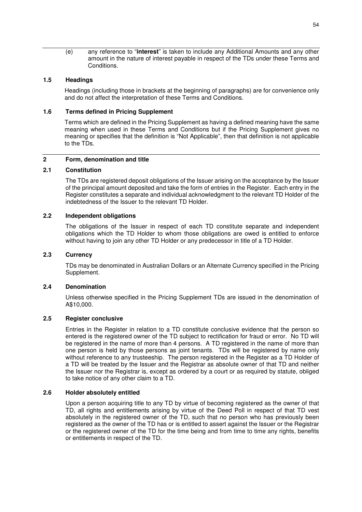(e) any reference to "**interest**" is taken to include any Additional Amounts and any other amount in the nature of interest payable in respect of the TDs under these Terms and Conditions.

### **1.5 Headings**

Headings (including those in brackets at the beginning of paragraphs) are for convenience only and do not affect the interpretation of these Terms and Conditions.

### **1.6 Terms defined in Pricing Supplement**

Terms which are defined in the Pricing Supplement as having a defined meaning have the same meaning when used in these Terms and Conditions but if the Pricing Supplement gives no meaning or specifies that the definition is "Not Applicable", then that definition is not applicable to the TDs.

### **2 Form, denomination and title**

## **2.1 Constitution**

The TDs are registered deposit obligations of the Issuer arising on the acceptance by the Issuer of the principal amount deposited and take the form of entries in the Register. Each entry in the Register constitutes a separate and individual acknowledgment to the relevant TD Holder of the indebtedness of the Issuer to the relevant TD Holder.

## **2.2 Independent obligations**

The obligations of the Issuer in respect of each TD constitute separate and independent obligations which the TD Holder to whom those obligations are owed is entitled to enforce without having to join any other TD Holder or any predecessor in title of a TD Holder.

### **2.3 Currency**

TDs may be denominated in Australian Dollars or an Alternate Currency specified in the Pricing Supplement.

### **2.4 Denomination**

Unless otherwise specified in the Pricing Supplement TDs are issued in the denomination of A\$10,000.

### **2.5 Register conclusive**

Entries in the Register in relation to a TD constitute conclusive evidence that the person so entered is the registered owner of the TD subject to rectification for fraud or error. No TD will be registered in the name of more than 4 persons. A TD registered in the name of more than one person is held by those persons as joint tenants. TDs will be registered by name only without reference to any trusteeship. The person registered in the Register as a TD Holder of a TD will be treated by the Issuer and the Registrar as absolute owner of that TD and neither the Issuer nor the Registrar is, except as ordered by a court or as required by statute, obliged to take notice of any other claim to a TD.

### **2.6 Holder absolutely entitled**

Upon a person acquiring title to any TD by virtue of becoming registered as the owner of that TD, all rights and entitlements arising by virtue of the Deed Poll in respect of that TD vest absolutely in the registered owner of the TD, such that no person who has previously been registered as the owner of the TD has or is entitled to assert against the Issuer or the Registrar or the registered owner of the TD for the time being and from time to time any rights, benefits or entitlements in respect of the TD.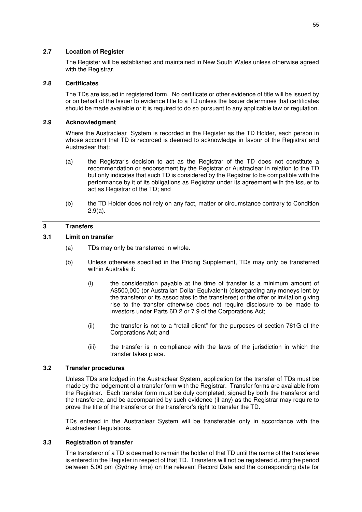## **2.7 Location of Register**

The Register will be established and maintained in New South Wales unless otherwise agreed with the Registrar.

### **2.8 Certificates**

The TDs are issued in registered form. No certificate or other evidence of title will be issued by or on behalf of the Issuer to evidence title to a TD unless the Issuer determines that certificates should be made available or it is required to do so pursuant to any applicable law or regulation.

## **2.9 Acknowledgment**

Where the Austraclear System is recorded in the Register as the TD Holder, each person in whose account that TD is recorded is deemed to acknowledge in favour of the Registrar and Austraclear that:

- (a) the Registrar's decision to act as the Registrar of the TD does not constitute a recommendation or endorsement by the Registrar or Austraclear in relation to the TD but only indicates that such TD is considered by the Registrar to be compatible with the performance by it of its obligations as Registrar under its agreement with the Issuer to act as Registrar of the TD; and
- (b) the TD Holder does not rely on any fact, matter or circumstance contrary to Condition 2.9(a).

### **3 Transfers**

### **3.1 Limit on transfer**

- (a) TDs may only be transferred in whole.
- (b) Unless otherwise specified in the Pricing Supplement, TDs may only be transferred within Australia if:
	- (i) the consideration payable at the time of transfer is a minimum amount of A\$500,000 (or Australian Dollar Equivalent) (disregarding any moneys lent by the transferor or its associates to the transferee) or the offer or invitation giving rise to the transfer otherwise does not require disclosure to be made to investors under Parts 6D.2 or 7.9 of the Corporations Act;
	- (ii) the transfer is not to a "retail client" for the purposes of section 761G of the Corporations Act; and
	- (iii) the transfer is in compliance with the laws of the jurisdiction in which the transfer takes place.

### **3.2 Transfer procedures**

Unless TDs are lodged in the Austraclear System, application for the transfer of TDs must be made by the lodgement of a transfer form with the Registrar. Transfer forms are available from the Registrar. Each transfer form must be duly completed, signed by both the transferor and the transferee, and be accompanied by such evidence (if any) as the Registrar may require to prove the title of the transferor or the transferor's right to transfer the TD.

TDs entered in the Austraclear System will be transferable only in accordance with the Austraclear Regulations.

## **3.3 Registration of transfer**

The transferor of a TD is deemed to remain the holder of that TD until the name of the transferee is entered in the Register in respect of that TD. Transfers will not be registered during the period between 5.00 pm (Sydney time) on the relevant Record Date and the corresponding date for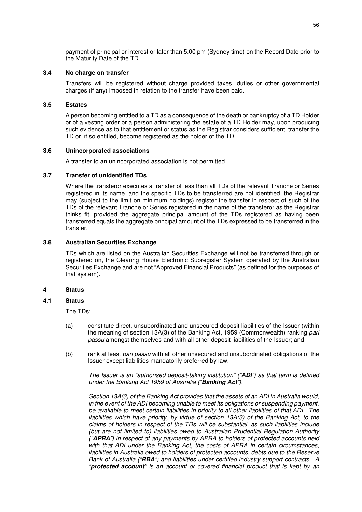payment of principal or interest or later than 5.00 pm (Sydney time) on the Record Date prior to the Maturity Date of the TD.

#### **3.4 No charge on transfer**

Transfers will be registered without charge provided taxes, duties or other governmental charges (if any) imposed in relation to the transfer have been paid.

### **3.5 Estates**

A person becoming entitled to a TD as a consequence of the death or bankruptcy of a TD Holder or of a vesting order or a person administering the estate of a TD Holder may, upon producing such evidence as to that entitlement or status as the Registrar considers sufficient, transfer the TD or, if so entitled, become registered as the holder of the TD.

## **3.6 Unincorporated associations**

A transfer to an unincorporated association is not permitted.

#### **3.7 Transfer of unidentified TDs**

Where the transferor executes a transfer of less than all TDs of the relevant Tranche or Series registered in its name, and the specific TDs to be transferred are not identified, the Registrar may (subject to the limit on minimum holdings) register the transfer in respect of such of the TDs of the relevant Tranche or Series registered in the name of the transferor as the Registrar thinks fit, provided the aggregate principal amount of the TDs registered as having been transferred equals the aggregate principal amount of the TDs expressed to be transferred in the transfer.

### **3.8 Australian Securities Exchange**

TDs which are listed on the Australian Securities Exchange will not be transferred through or registered on, the Clearing House Electronic Subregister System operated by the Australian Securities Exchange and are not "Approved Financial Products" (as defined for the purposes of that system).

### **4 Status**

#### **4.1 Status**

The TDs:

- (a) constitute direct, unsubordinated and unsecured deposit liabilities of the Issuer (within the meaning of section 13A(3) of the Banking Act, 1959 (Commonwealth) ranking *pari passu* amongst themselves and with all other deposit liabilities of the Issuer; and
- (b) rank at least *pari passu* with all other unsecured and unsubordinated obligations of the Issuer except liabilities mandatorily preferred by law.

*The Issuer is an "authorised deposit-taking institution" ("ADI") as that term is defined under the Banking Act 1959 of Australia ("Banking Act").*

*Section 13A(3) of the Banking Act provides that the assets of an ADI in Australia would, in the event of the ADI becoming unable to meet its obligations or suspending payment, be available to meet certain liabilities in priority to all other liabilities of that ADI. The liabilities which have priority, by virtue of section 13A(3) of the Banking Act, to the claims of holders in respect of the TDs will be substantial, as such liabilities include (but are not limited to) liabilities owed to Australian Prudential Regulation Authority ("APRA") in respect of any payments by APRA to holders of protected accounts held with that ADI under the Banking Act, the costs of APRA in certain circumstances, liabilities in Australia owed to holders of protected accounts, debts due to the Reserve Bank of Australia ("RBA") and liabilities under certified industry support contracts. A "protected account" is an account or covered financial product that is kept by an*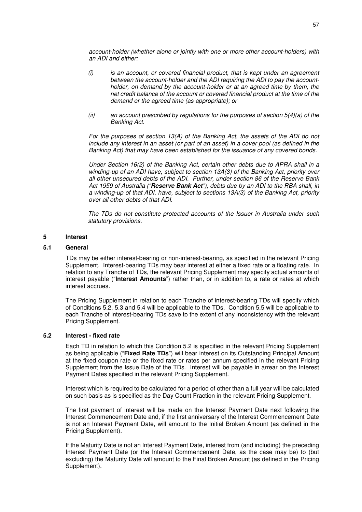*account-holder (whether alone or jointly with one or more other account-holders) with an ADI and either:* 

- *(i) is an account, or covered financial product, that is kept under an agreement between the account-holder and the ADI requiring the ADI to pay the accountholder, on demand by the account-holder or at an agreed time by them, the net credit balance of the account or covered financial product at the time of the demand or the agreed time (as appropriate); or*
- *(ii) an account prescribed by regulations for the purposes of section 5(4)(a) of the Banking Act.*

*For the purposes of section 13(A) of the Banking Act, the assets of the ADI do not include any interest in an asset (or part of an asset) in a cover pool (as defined in the Banking Act) that may have been established for the issuance of any covered bonds.* 

*Under Section 16(2) of the Banking Act, certain other debts due to APRA shall in a winding-up of an ADI have, subject to section 13A(3) of the Banking Act, priority over all other unsecured debts of the ADI. Further, under section 86 of the Reserve Bank Act 1959 of Australia ("Reserve Bank Act"), debts due by an ADI to the RBA shall, in a winding-up of that ADI, have, subject to sections 13A(3) of the Banking Act, priority over all other debts of that ADI.*

*The TDs do not constitute protected accounts of the Issuer in Australia under such statutory provisions.* 

## **5 Interest**

## **5.1 General**

TDs may be either interest-bearing or non-interest-bearing, as specified in the relevant Pricing Supplement. Interest-bearing TDs may bear interest at either a fixed rate or a floating rate. In relation to any Tranche of TDs, the relevant Pricing Supplement may specify actual amounts of interest payable ("**Interest Amounts**") rather than, or in addition to, a rate or rates at which interest accrues.

The Pricing Supplement in relation to each Tranche of interest-bearing TDs will specify which of Conditions 5.2, 5.3 and 5.4 will be applicable to the TDs. Condition 5.5 will be applicable to each Tranche of interest-bearing TDs save to the extent of any inconsistency with the relevant Pricing Supplement.

## **5.2 Interest - fixed rate**

Each TD in relation to which this Condition 5.2 is specified in the relevant Pricing Supplement as being applicable ("**Fixed Rate TDs**") will bear interest on its Outstanding Principal Amount at the fixed coupon rate or the fixed rate or rates per annum specified in the relevant Pricing Supplement from the Issue Date of the TDs. Interest will be payable in arrear on the Interest Payment Dates specified in the relevant Pricing Supplement.

Interest which is required to be calculated for a period of other than a full year will be calculated on such basis as is specified as the Day Count Fraction in the relevant Pricing Supplement.

The first payment of interest will be made on the Interest Payment Date next following the Interest Commencement Date and, if the first anniversary of the Interest Commencement Date is not an Interest Payment Date, will amount to the Initial Broken Amount (as defined in the Pricing Supplement).

If the Maturity Date is not an Interest Payment Date, interest from (and including) the preceding Interest Payment Date (or the Interest Commencement Date, as the case may be) to (but excluding) the Maturity Date will amount to the Final Broken Amount (as defined in the Pricing Supplement).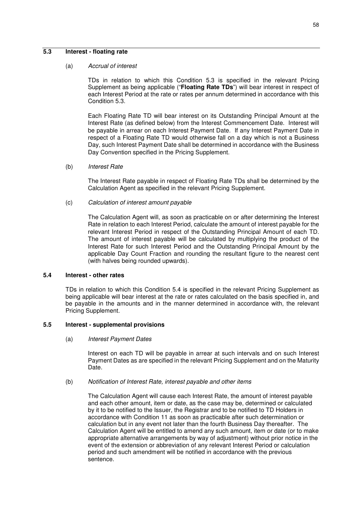## **5.3 Interest - floating rate**

#### (a) *Accrual of interest*

TDs in relation to which this Condition 5.3 is specified in the relevant Pricing Supplement as being applicable ("**Floating Rate TDs**") will bear interest in respect of each Interest Period at the rate or rates per annum determined in accordance with this Condition 5.3.

Each Floating Rate TD will bear interest on its Outstanding Principal Amount at the Interest Rate (as defined below) from the Interest Commencement Date. Interest will be payable in arrear on each Interest Payment Date. If any Interest Payment Date in respect of a Floating Rate TD would otherwise fall on a day which is not a Business Day, such Interest Payment Date shall be determined in accordance with the Business Day Convention specified in the Pricing Supplement.

### (b) *Interest Rate*

The Interest Rate payable in respect of Floating Rate TDs shall be determined by the Calculation Agent as specified in the relevant Pricing Supplement.

#### (c) *Calculation of interest amount payable*

The Calculation Agent will, as soon as practicable on or after determining the Interest Rate in relation to each Interest Period, calculate the amount of interest payable for the relevant Interest Period in respect of the Outstanding Principal Amount of each TD. The amount of interest payable will be calculated by multiplying the product of the Interest Rate for such Interest Period and the Outstanding Principal Amount by the applicable Day Count Fraction and rounding the resultant figure to the nearest cent (with halves being rounded upwards).

### **5.4 Interest - other rates**

TDs in relation to which this Condition 5.4 is specified in the relevant Pricing Supplement as being applicable will bear interest at the rate or rates calculated on the basis specified in, and be payable in the amounts and in the manner determined in accordance with, the relevant Pricing Supplement.

### **5.5 Interest - supplemental provisions**

### (a) *Interest Payment Dates*

Interest on each TD will be payable in arrear at such intervals and on such Interest Payment Dates as are specified in the relevant Pricing Supplement and on the Maturity Date.

#### (b) *Notification of Interest Rate, interest payable and other items*

The Calculation Agent will cause each Interest Rate, the amount of interest payable and each other amount, item or date, as the case may be, determined or calculated by it to be notified to the Issuer, the Registrar and to be notified to TD Holders in accordance with Condition 11 as soon as practicable after such determination or calculation but in any event not later than the fourth Business Day thereafter. The Calculation Agent will be entitled to amend any such amount, item or date (or to make appropriate alternative arrangements by way of adjustment) without prior notice in the event of the extension or abbreviation of any relevant Interest Period or calculation period and such amendment will be notified in accordance with the previous sentence.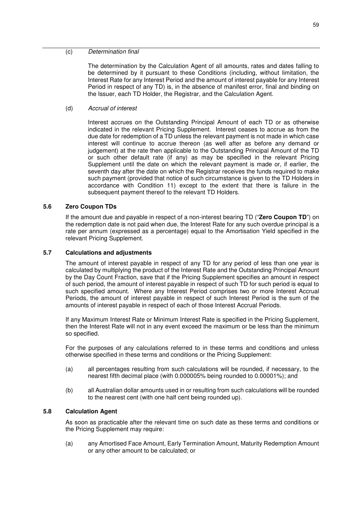### (c) *Determination final*

The determination by the Calculation Agent of all amounts, rates and dates falling to be determined by it pursuant to these Conditions (including, without limitation, the Interest Rate for any Interest Period and the amount of interest payable for any Interest Period in respect of any TD) is, in the absence of manifest error, final and binding on the Issuer, each TD Holder, the Registrar, and the Calculation Agent.

(d) *Accrual of interest*

Interest accrues on the Outstanding Principal Amount of each TD or as otherwise indicated in the relevant Pricing Supplement. Interest ceases to accrue as from the due date for redemption of a TD unless the relevant payment is not made in which case interest will continue to accrue thereon (as well after as before any demand or judgement) at the rate then applicable to the Outstanding Principal Amount of the TD or such other default rate (if any) as may be specified in the relevant Pricing Supplement until the date on which the relevant payment is made or, if earlier, the seventh day after the date on which the Registrar receives the funds required to make such payment (provided that notice of such circumstance is given to the TD Holders in accordance with Condition 11) except to the extent that there is failure in the subsequent payment thereof to the relevant TD Holders.

### **5.6 Zero Coupon TDs**

If the amount due and payable in respect of a non-interest bearing TD ("**Zero Coupon TD**") on the redemption date is not paid when due, the Interest Rate for any such overdue principal is a rate per annum (expressed as a percentage) equal to the Amortisation Yield specified in the relevant Pricing Supplement.

### **5.7 Calculations and adjustments**

The amount of interest payable in respect of any TD for any period of less than one year is calculated by multiplying the product of the Interest Rate and the Outstanding Principal Amount by the Day Count Fraction, save that if the Pricing Supplement specifies an amount in respect of such period, the amount of interest payable in respect of such TD for such period is equal to such specified amount. Where any Interest Period comprises two or more Interest Accrual Periods, the amount of interest payable in respect of such Interest Period is the sum of the amounts of interest payable in respect of each of those Interest Accrual Periods.

If any Maximum Interest Rate or Minimum Interest Rate is specified in the Pricing Supplement, then the Interest Rate will not in any event exceed the maximum or be less than the minimum so specified.

For the purposes of any calculations referred to in these terms and conditions and unless otherwise specified in these terms and conditions or the Pricing Supplement:

- (a) all percentages resulting from such calculations will be rounded, if necessary, to the nearest fifth decimal place (with 0.000005% being rounded to 0.00001%); and
- (b) all Australian dollar amounts used in or resulting from such calculations will be rounded to the nearest cent (with one half cent being rounded up).

### **5.8 Calculation Agent**

As soon as practicable after the relevant time on such date as these terms and conditions or the Pricing Supplement may require:

(a) any Amortised Face Amount, Early Termination Amount, Maturity Redemption Amount or any other amount to be calculated; or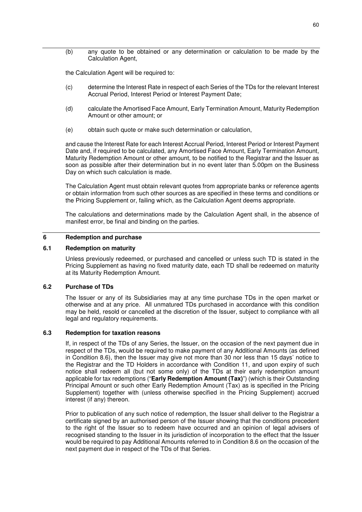(b) any quote to be obtained or any determination or calculation to be made by the Calculation Agent,

the Calculation Agent will be required to:

- (c) determine the Interest Rate in respect of each Series of the TDs for the relevant Interest Accrual Period, Interest Period or Interest Payment Date;
- (d) calculate the Amortised Face Amount, Early Termination Amount, Maturity Redemption Amount or other amount; or
- (e) obtain such quote or make such determination or calculation,

and cause the Interest Rate for each Interest Accrual Period, Interest Period or Interest Payment Date and, if required to be calculated, any Amortised Face Amount, Early Termination Amount, Maturity Redemption Amount or other amount, to be notified to the Registrar and the Issuer as soon as possible after their determination but in no event later than 5.00pm on the Business Day on which such calculation is made.

The Calculation Agent must obtain relevant quotes from appropriate banks or reference agents or obtain information from such other sources as are specified in these terms and conditions or the Pricing Supplement or, failing which, as the Calculation Agent deems appropriate.

The calculations and determinations made by the Calculation Agent shall, in the absence of manifest error, be final and binding on the parties.

## **6 Redemption and purchase**

### **6.1 Redemption on maturity**

Unless previously redeemed, or purchased and cancelled or unless such TD is stated in the Pricing Supplement as having no fixed maturity date, each TD shall be redeemed on maturity at its Maturity Redemption Amount.

#### **6.2 Purchase of TDs**

The Issuer or any of its Subsidiaries may at any time purchase TDs in the open market or otherwise and at any price. All unmatured TDs purchased in accordance with this condition may be held, resold or cancelled at the discretion of the Issuer, subject to compliance with all legal and regulatory requirements.

#### **6.3 Redemption for taxation reasons**

If, in respect of the TDs of any Series, the Issuer, on the occasion of the next payment due in respect of the TDs, would be required to make payment of any Additional Amounts (as defined in Condition 8.6), then the Issuer may give not more than 30 nor less than 15 days' notice to the Registrar and the TD Holders in accordance with Condition 11, and upon expiry of such notice shall redeem all (but not some only) of the TDs at their early redemption amount applicable for tax redemptions ("**Early Redemption Amount (Tax)**") (which is their Outstanding Principal Amount or such other Early Redemption Amount (Tax) as is specified in the Pricing Supplement) together with (unless otherwise specified in the Pricing Supplement) accrued interest (if any) thereon.

Prior to publication of any such notice of redemption, the Issuer shall deliver to the Registrar a certificate signed by an authorised person of the Issuer showing that the conditions precedent to the right of the Issuer so to redeem have occurred and an opinion of legal advisers of recognised standing to the Issuer in its jurisdiction of incorporation to the effect that the Issuer would be required to pay Additional Amounts referred to in Condition 8.6 on the occasion of the next payment due in respect of the TDs of that Series.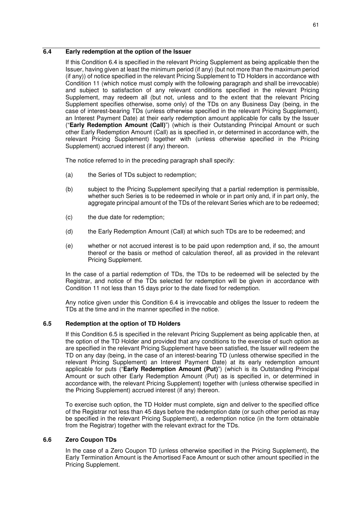## **6.4 Early redemption at the option of the Issuer**

If this Condition 6.4 is specified in the relevant Pricing Supplement as being applicable then the Issuer, having given at least the minimum period (if any) (but not more than the maximum period (if any)) of notice specified in the relevant Pricing Supplement to TD Holders in accordance with Condition 11 (which notice must comply with the following paragraph and shall be irrevocable) and subject to satisfaction of any relevant conditions specified in the relevant Pricing Supplement, may redeem all (but not, unless and to the extent that the relevant Pricing Supplement specifies otherwise, some only) of the TDs on any Business Day (being, in the case of interest-bearing TDs (unless otherwise specified in the relevant Pricing Supplement), an Interest Payment Date) at their early redemption amount applicable for calls by the Issuer ("**Early Redemption Amount (Call)**") (which is their Outstanding Principal Amount or such other Early Redemption Amount (Call) as is specified in, or determined in accordance with, the relevant Pricing Supplement) together with (unless otherwise specified in the Pricing Supplement) accrued interest (if any) thereon.

The notice referred to in the preceding paragraph shall specify:

- (a) the Series of TDs subject to redemption;
- (b) subject to the Pricing Supplement specifying that a partial redemption is permissible, whether such Series is to be redeemed in whole or in part only and, if in part only, the aggregate principal amount of the TDs of the relevant Series which are to be redeemed;
- (c) the due date for redemption;
- (d) the Early Redemption Amount (Call) at which such TDs are to be redeemed; and
- (e) whether or not accrued interest is to be paid upon redemption and, if so, the amount thereof or the basis or method of calculation thereof, all as provided in the relevant Pricing Supplement.

In the case of a partial redemption of TDs, the TDs to be redeemed will be selected by the Registrar, and notice of the TDs selected for redemption will be given in accordance with Condition 11 not less than 15 days prior to the date fixed for redemption.

Any notice given under this Condition 6.4 is irrevocable and obliges the Issuer to redeem the TDs at the time and in the manner specified in the notice.

## **6.5 Redemption at the option of TD Holders**

If this Condition 6.5 is specified in the relevant Pricing Supplement as being applicable then, at the option of the TD Holder and provided that any conditions to the exercise of such option as are specified in the relevant Pricing Supplement have been satisfied, the Issuer will redeem the TD on any day (being, in the case of an interest-bearing TD (unless otherwise specified in the relevant Pricing Supplement) an Interest Payment Date) at its early redemption amount applicable for puts ("**Early Redemption Amount (Put)**") (which is its Outstanding Principal Amount or such other Early Redemption Amount (Put) as is specified in, or determined in accordance with, the relevant Pricing Supplement) together with (unless otherwise specified in the Pricing Supplement) accrued interest (if any) thereon.

To exercise such option, the TD Holder must complete, sign and deliver to the specified office of the Registrar not less than 45 days before the redemption date (or such other period as may be specified in the relevant Pricing Supplement), a redemption notice (in the form obtainable from the Registrar) together with the relevant extract for the TDs.

## **6.6 Zero Coupon TDs**

In the case of a Zero Coupon TD (unless otherwise specified in the Pricing Supplement), the Early Termination Amount is the Amortised Face Amount or such other amount specified in the Pricing Supplement.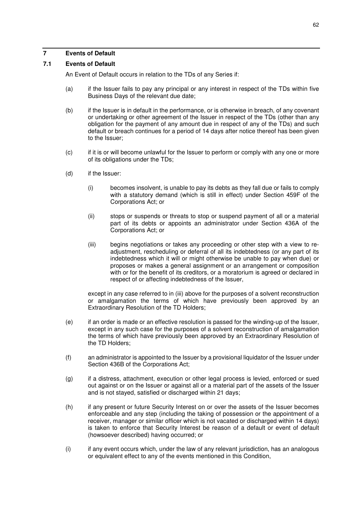## **7 Events of Default**

## **7.1 Events of Default**

An Event of Default occurs in relation to the TDs of any Series if:

- (a) if the Issuer fails to pay any principal or any interest in respect of the TDs within five Business Days of the relevant due date;
- (b) if the Issuer is in default in the performance, or is otherwise in breach, of any covenant or undertaking or other agreement of the Issuer in respect of the TDs (other than any obligation for the payment of any amount due in respect of any of the TDs) and such default or breach continues for a period of 14 days after notice thereof has been given to the Issuer;
- (c) if it is or will become unlawful for the Issuer to perform or comply with any one or more of its obligations under the TDs;
- (d) if the Issuer:
	- (i) becomes insolvent, is unable to pay its debts as they fall due or fails to comply with a statutory demand (which is still in effect) under Section 459F of the Corporations Act; or
	- (ii) stops or suspends or threats to stop or suspend payment of all or a material part of its debts or appoints an administrator under Section 436A of the Corporations Act; or
	- (iii) begins negotiations or takes any proceeding or other step with a view to readjustment, rescheduling or deferral of all its indebtedness (or any part of its indebtedness which it will or might otherwise be unable to pay when due) or proposes or makes a general assignment or an arrangement or composition with or for the benefit of its creditors, or a moratorium is agreed or declared in respect of or affecting indebtedness of the Issuer,

 except in any case referred to in (iii) above for the purposes of a solvent reconstruction or amalgamation the terms of which have previously been approved by an Extraordinary Resolution of the TD Holders;

- (e) if an order is made or an effective resolution is passed for the winding-up of the Issuer, except in any such case for the purposes of a solvent reconstruction of amalgamation the terms of which have previously been approved by an Extraordinary Resolution of the TD Holders;
- (f) an administrator is appointed to the Issuer by a provisional liquidator of the Issuer under Section 436B of the Corporations Act;
- (g) if a distress, attachment, execution or other legal process is levied, enforced or sued out against or on the Issuer or against all or a material part of the assets of the Issuer and is not stayed, satisfied or discharged within 21 days;
- (h) if any present or future Security Interest on or over the assets of the Issuer becomes enforceable and any step (including the taking of possession or the appointment of a receiver, manager or similar officer which is not vacated or discharged within 14 days) is taken to enforce that Security Interest be reason of a default or event of default (howsoever described) having occurred; or
- (i) if any event occurs which, under the law of any relevant jurisdiction, has an analogous or equivalent effect to any of the events mentioned in this Condition,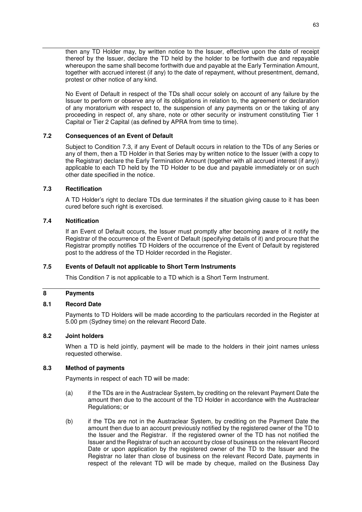then any TD Holder may, by written notice to the Issuer, effective upon the date of receipt thereof by the Issuer, declare the TD held by the holder to be forthwith due and repayable whereupon the same shall become forthwith due and payable at the Early Termination Amount, together with accrued interest (if any) to the date of repayment, without presentment, demand, protest or other notice of any kind.

No Event of Default in respect of the TDs shall occur solely on account of any failure by the Issuer to perform or observe any of its obligations in relation to, the agreement or declaration of any moratorium with respect to, the suspension of any payments on or the taking of any proceeding in respect of, any share, note or other security or instrument constituting Tier 1 Capital or Tier 2 Capital (as defined by APRA from time to time).

### **7.2 Consequences of an Event of Default**

Subject to Condition 7.3, if any Event of Default occurs in relation to the TDs of any Series or any of them, then a TD Holder in that Series may by written notice to the Issuer (with a copy to the Registrar) declare the Early Termination Amount (together with all accrued interest (if any)) applicable to each TD held by the TD Holder to be due and payable immediately or on such other date specified in the notice.

#### **7.3 Rectification**

A TD Holder's right to declare TDs due terminates if the situation giving cause to it has been cured before such right is exercised.

#### **7.4 Notification**

If an Event of Default occurs, the Issuer must promptly after becoming aware of it notify the Registrar of the occurrence of the Event of Default (specifying details of it) and procure that the Registrar promptly notifies TD Holders of the occurrence of the Event of Default by registered post to the address of the TD Holder recorded in the Register.

#### **7.5 Events of Default not applicable to Short Term Instruments**

This Condition 7 is not applicable to a TD which is a Short Term Instrument.

### **8 Payments**

#### **8.1 Record Date**

Payments to TD Holders will be made according to the particulars recorded in the Register at 5.00 pm (Sydney time) on the relevant Record Date.

### **8.2 Joint holders**

When a TD is held jointly, payment will be made to the holders in their joint names unless requested otherwise.

#### **8.3 Method of payments**

Payments in respect of each TD will be made:

- (a) if the TDs are in the Austraclear System, by crediting on the relevant Payment Date the amount then due to the account of the TD Holder in accordance with the Austraclear Regulations; or
- (b) if the TDs are not in the Austraclear System, by crediting on the Payment Date the amount then due to an account previously notified by the registered owner of the TD to the Issuer and the Registrar. If the registered owner of the TD has not notified the Issuer and the Registrar of such an account by close of business on the relevant Record Date or upon application by the registered owner of the TD to the Issuer and the Registrar no later than close of business on the relevant Record Date, payments in respect of the relevant TD will be made by cheque, mailed on the Business Day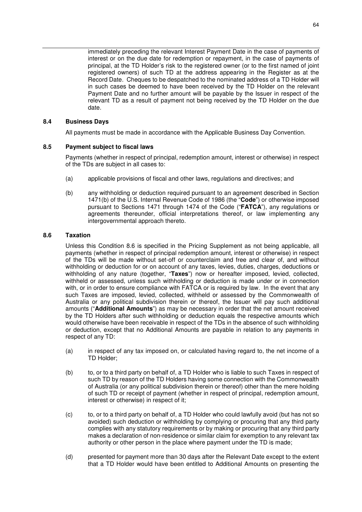immediately preceding the relevant Interest Payment Date in the case of payments of interest or on the due date for redemption or repayment, in the case of payments of principal, at the TD Holder's risk to the registered owner (or to the first named of joint registered owners) of such TD at the address appearing in the Register as at the Record Date. Cheques to be despatched to the nominated address of a TD Holder will in such cases be deemed to have been received by the TD Holder on the relevant Payment Date and no further amount will be payable by the Issuer in respect of the relevant TD as a result of payment not being received by the TD Holder on the due date.

### **8.4 Business Days**

All payments must be made in accordance with the Applicable Business Day Convention.

### **8.5 Payment subject to fiscal laws**

Payments (whether in respect of principal, redemption amount, interest or otherwise) in respect of the TDs are subject in all cases to:

- (a) applicable provisions of fiscal and other laws, regulations and directives; and
- (b) any withholding or deduction required pursuant to an agreement described in Section 1471(b) of the U.S. Internal Revenue Code of 1986 (the "**Code**") or otherwise imposed pursuant to Sections 1471 through 1474 of the Code ("**FATCA**"), any regulations or agreements thereunder, official interpretations thereof, or law implementing any intergovernmental approach thereto.

### **8.6 Taxation**

Unless this Condition 8.6 is specified in the Pricing Supplement as not being applicable, all payments (whether in respect of principal redemption amount, interest or otherwise) in respect of the TDs will be made without set-off or counterclaim and free and clear of, and without withholding or deduction for or on account of any taxes, levies, duties, charges, deductions or withholding of any nature (together, "**Taxes**") now or hereafter imposed, levied, collected, withheld or assessed, unless such withholding or deduction is made under or in connection with, or in order to ensure compliance with FATCA or is required by law. In the event that any such Taxes are imposed, levied, collected, withheld or assessed by the Commonwealth of Australia or any political subdivision therein or thereof, the Issuer will pay such additional amounts ("**Additional Amounts**") as may be necessary in order that the net amount received by the TD Holders after such withholding or deduction equals the respective amounts which would otherwise have been receivable in respect of the TDs in the absence of such withholding or deduction, except that no Additional Amounts are payable in relation to any payments in respect of any TD:

- (a) in respect of any tax imposed on, or calculated having regard to, the net income of a TD Holder;
- (b) to, or to a third party on behalf of, a TD Holder who is liable to such Taxes in respect of such TD by reason of the TD Holders having some connection with the Commonwealth of Australia (or any political subdivision therein or thereof) other than the mere holding of such TD or receipt of payment (whether in respect of principal, redemption amount, interest or otherwise) in respect of it;
- (c) to, or to a third party on behalf of, a TD Holder who could lawfully avoid (but has not so avoided) such deduction or withholding by complying or procuring that any third party complies with any statutory requirements or by making or procuring that any third party makes a declaration of non-residence or similar claim for exemption to any relevant tax authority or other person in the place where payment under the TD is made;
- (d) presented for payment more than 30 days after the Relevant Date except to the extent that a TD Holder would have been entitled to Additional Amounts on presenting the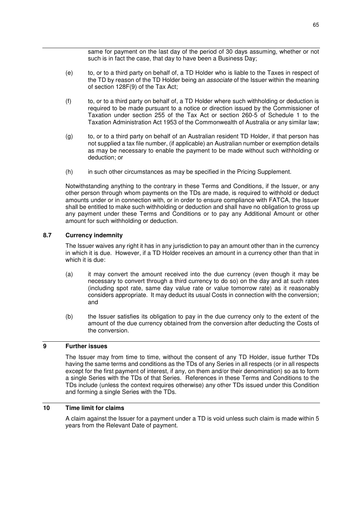same for payment on the last day of the period of 30 days assuming, whether or not such is in fact the case, that day to have been a Business Day;

- (e) to, or to a third party on behalf of, a TD Holder who is liable to the Taxes in respect of the TD by reason of the TD Holder being an *associate* of the Issuer within the meaning of section 128F(9) of the Tax Act;
- (f) to, or to a third party on behalf of, a TD Holder where such withholding or deduction is required to be made pursuant to a notice or direction issued by the Commissioner of Taxation under section 255 of the Tax Act or section 260-5 of Schedule 1 to the Taxation Administration Act 1953 of the Commonwealth of Australia or any similar law;
- (g) to, or to a third party on behalf of an Australian resident TD Holder, if that person has not supplied a tax file number, (if applicable) an Australian number or exemption details as may be necessary to enable the payment to be made without such withholding or deduction; or
- (h) in such other circumstances as may be specified in the Pricing Supplement.

Notwithstanding anything to the contrary in these Terms and Conditions, if the Issuer, or any other person through whom payments on the TDs are made, is required to withhold or deduct amounts under or in connection with, or in order to ensure compliance with FATCA, the Issuer shall be entitled to make such withholding or deduction and shall have no obligation to gross up any payment under these Terms and Conditions or to pay any Additional Amount or other amount for such withholding or deduction.

## **8.7 Currency indemnity**

The Issuer waives any right it has in any jurisdiction to pay an amount other than in the currency in which it is due. However, if a TD Holder receives an amount in a currency other than that in which it is due:

- (a) it may convert the amount received into the due currency (even though it may be necessary to convert through a third currency to do so) on the day and at such rates (including spot rate, same day value rate or value tomorrow rate) as it reasonably considers appropriate. It may deduct its usual Costs in connection with the conversion; and
- (b) the Issuer satisfies its obligation to pay in the due currency only to the extent of the amount of the due currency obtained from the conversion after deducting the Costs of the conversion.

### **9 Further issues**

The Issuer may from time to time, without the consent of any TD Holder, issue further TDs having the same terms and conditions as the TDs of any Series in all respects (or in all respects except for the first payment of interest, if any, on them and/or their denomination) so as to form a single Series with the TDs of that Series. References in these Terms and Conditions to the TDs include (unless the context requires otherwise) any other TDs issued under this Condition and forming a single Series with the TDs.

### **10 Time limit for claims**

A claim against the Issuer for a payment under a TD is void unless such claim is made within 5 years from the Relevant Date of payment.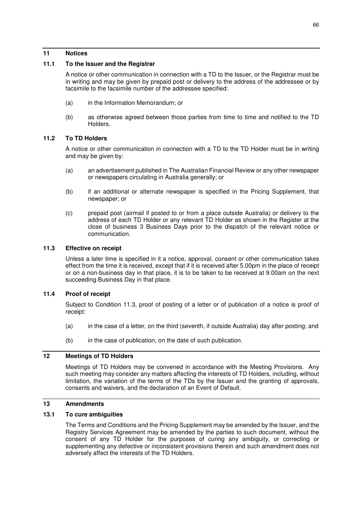### **11 Notices**

## **11.1 To the Issuer and the Registrar**

A notice or other communication in connection with a TD to the Issuer, or the Registrar must be in writing and may be given by prepaid post or delivery to the address of the addressee or by facsimile to the facsimile number of the addressee specified:

- (a) in the Information Memorandum; or
- (b) as otherwise agreed between those parties from time to time and notified to the TD Holders.

## **11.2 To TD Holders**

A notice or other communication in connection with a TD to the TD Holder must be in writing and may be given by:

- (a) an advertisement published in The Australian Financial Review or any other newspaper or newspapers circulating in Australia generally; or
- (b) if an additional or alternate newspaper is specified in the Pricing Supplement, that newspaper; or
- (c) prepaid post (airmail if posted to or from a place outside Australia) or delivery to the address of each TD Holder or any relevant TD Holder as shown in the Register at the close of business 3 Business Days prior to the dispatch of the relevant notice or communication.

### **11.3 Effective on receipt**

Unless a later time is specified in it a notice, approval, consent or other communication takes effect from the time it is received, except that if it is received after 5.00pm in the place of receipt or on a non-business day in that place, it is to be taken to be received at 9.00am on the next succeeding Business Day in that place.

## **11.4 Proof of receipt**

Subject to Condition 11.3, proof of posting of a letter or of publication of a notice is proof of receipt:

- (a) in the case of a letter, on the third (seventh, if outside Australia) day after posting; and
- (b) in the case of publication, on the date of such publication.

## **12 Meetings of TD Holders**

Meetings of TD Holders may be convened in accordance with the Meeting Provisions. Any such meeting may consider any matters affecting the interests of TD Holders, including, without limitation, the variation of the terms of the TDs by the Issuer and the granting of approvals, consents and waivers, and the declaration of an Event of Default.

## **13 Amendments**

### **13.1 To cure ambiguities**

The Terms and Conditions and the Pricing Supplement may be amended by the Issuer, and the Registry Services Agreement may be amended by the parties to such document, without the consent of any TD Holder for the purposes of curing any ambiguity, or correcting or supplementing any defective or inconsistent provisions therein and such amendment does not adversely affect the interests of the TD Holders.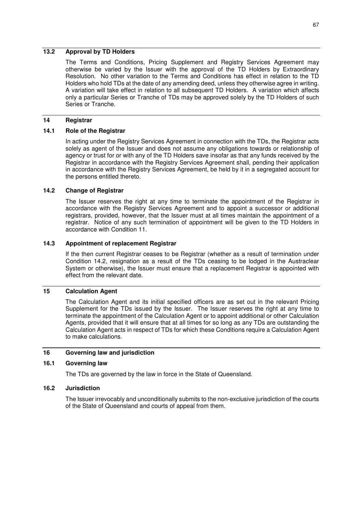## **13.2 Approval by TD Holders**

The Terms and Conditions, Pricing Supplement and Registry Services Agreement may otherwise be varied by the Issuer with the approval of the TD Holders by Extraordinary Resolution. No other variation to the Terms and Conditions has effect in relation to the TD Holders who hold TDs at the date of any amending deed, unless they otherwise agree in writing. A variation will take effect in relation to all subsequent TD Holders. A variation which affects only a particular Series or Tranche of TDs may be approved solely by the TD Holders of such Series or Tranche.

### **14 Registrar**

## **14.1 Role of the Registrar**

In acting under the Registry Services Agreement in connection with the TDs, the Registrar acts solely as agent of the Issuer and does not assume any obligations towards or relationship of agency or trust for or with any of the TD Holders save insofar as that any funds received by the Registrar in accordance with the Registry Services Agreement shall, pending their application in accordance with the Registry Services Agreement, be held by it in a segregated account for the persons entitled thereto.

### **14.2 Change of Registrar**

The Issuer reserves the right at any time to terminate the appointment of the Registrar in accordance with the Registry Services Agreement and to appoint a successor or additional registrars, provided, however, that the Issuer must at all times maintain the appointment of a registrar. Notice of any such termination of appointment will be given to the TD Holders in accordance with Condition 11.

## **14.3 Appointment of replacement Registrar**

If the then current Registrar ceases to be Registrar (whether as a result of termination under Condition 14.2, resignation as a result of the TDs ceasing to be lodged in the Austraclear System or otherwise), the Issuer must ensure that a replacement Registrar is appointed with effect from the relevant date.

## **15 Calculation Agent**

The Calculation Agent and its initial specified officers are as set out in the relevant Pricing Supplement for the TDs issued by the Issuer. The Issuer reserves the right at any time to terminate the appointment of the Calculation Agent or to appoint additional or other Calculation Agents, provided that it will ensure that at all times for so long as any TDs are outstanding the Calculation Agent acts in respect of TDs for which these Conditions require a Calculation Agent to make calculations.

## **16 Governing law and jurisdiction**

## **16.1 Governing law**

The TDs are governed by the law in force in the State of Queensland.

### **16.2 Jurisdiction**

The Issuer irrevocably and unconditionally submits to the non-exclusive jurisdiction of the courts of the State of Queensland and courts of appeal from them.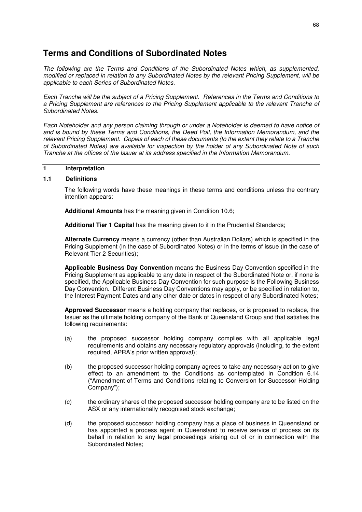# **Terms and Conditions of Subordinated Notes**

*The following are the Terms and Conditions of the Subordinated Notes which, as supplemented, modified or replaced in relation to any Subordinated Notes by the relevant Pricing Supplement, will be applicable to each Series of Subordinated Notes.* 

*Each Tranche will be the subject of a Pricing Supplement. References in the Terms and Conditions to a Pricing Supplement are references to the Pricing Supplement applicable to the relevant Tranche of Subordinated Notes.* 

*Each Noteholder and any person claiming through or under a Noteholder is deemed to have notice of and is bound by these Terms and Conditions, the Deed Poll, the Information Memorandum, and the relevant Pricing Supplement. Copies of each of these documents (to the extent they relate to a Tranche of Subordinated Notes) are available for inspection by the holder of any Subordinated Note of such Tranche at the offices of the Issuer at its address specified in the Information Memorandum.* 

## **1 Interpretation**

## **1.1 Definitions**

The following words have these meanings in these terms and conditions unless the contrary intention appears:

**Additional Amounts** has the meaning given in Condition 10.6;

**Additional Tier 1 Capital** has the meaning given to it in the Prudential Standards;

**Alternate Currency** means a currency (other than Australian Dollars) which is specified in the Pricing Supplement (in the case of Subordinated Notes) or in the terms of issue (in the case of Relevant Tier 2 Securities);

**Applicable Business Day Convention** means the Business Day Convention specified in the Pricing Supplement as applicable to any date in respect of the Subordinated Note or, if none is specified, the Applicable Business Day Convention for such purpose is the Following Business Day Convention. Different Business Day Conventions may apply, or be specified in relation to, the Interest Payment Dates and any other date or dates in respect of any Subordinated Notes;

**Approved Successor** means a holding company that replaces, or is proposed to replace, the Issuer as the ultimate holding company of the Bank of Queensland Group and that satisfies the following requirements:

- (a) the proposed successor holding company complies with all applicable legal requirements and obtains any necessary regulatory approvals (including, to the extent required, APRA's prior written approval);
- (b) the proposed successor holding company agrees to take any necessary action to give effect to an amendment to the Conditions as contemplated in Condition 6.14 ("Amendment of Terms and Conditions relating to Conversion for Successor Holding Company");
- (c) the ordinary shares of the proposed successor holding company are to be listed on the ASX or any internationally recognised stock exchange;
- (d) the proposed successor holding company has a place of business in Queensland or has appointed a process agent in Queensland to receive service of process on its behalf in relation to any legal proceedings arising out of or in connection with the Subordinated Notes;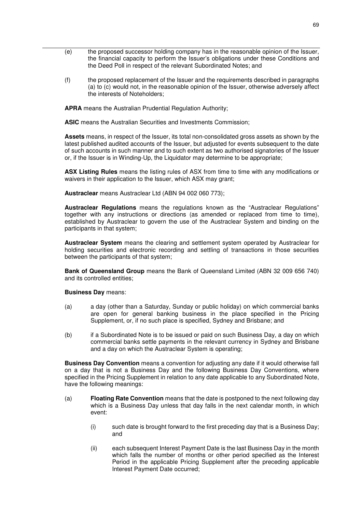- (e) the proposed successor holding company has in the reasonable opinion of the Issuer, the financial capacity to perform the Issuer's obligations under these Conditions and the Deed Poll in respect of the relevant Subordinated Notes; and
- (f) the proposed replacement of the Issuer and the requirements described in paragraphs (a) to (c) would not, in the reasonable opinion of the Issuer, otherwise adversely affect the interests of Noteholders;

**APRA** means the Australian Prudential Regulation Authority;

**ASIC** means the Australian Securities and Investments Commission;

**Assets** means, in respect of the Issuer, its total non-consolidated gross assets as shown by the latest published audited accounts of the Issuer, but adjusted for events subsequent to the date of such accounts in such manner and to such extent as two authorised signatories of the Issuer or, if the Issuer is in Winding-Up, the Liquidator may determine to be appropriate;

**ASX Listing Rules** means the listing rules of ASX from time to time with any modifications or waivers in their application to the Issuer, which ASX may grant;

**Austraclear** means Austraclear Ltd (ABN 94 002 060 773);

**Austraclear Regulations** means the regulations known as the "Austraclear Regulations" together with any instructions or directions (as amended or replaced from time to time), established by Austraclear to govern the use of the Austraclear System and binding on the participants in that system;

**Austraclear System** means the clearing and settlement system operated by Austraclear for holding securities and electronic recording and settling of transactions in those securities between the participants of that system;

**Bank of Queensland Group** means the Bank of Queensland Limited (ABN 32 009 656 740) and its controlled entities;

### **Business Day** means:

- (a) a day (other than a Saturday, Sunday or public holiday) on which commercial banks are open for general banking business in the place specified in the Pricing Supplement, or, if no such place is specified, Sydney and Brisbane; and
- (b) if a Subordinated Note is to be issued or paid on such Business Day, a day on which commercial banks settle payments in the relevant currency in Sydney and Brisbane and a day on which the Austraclear System is operating;

**Business Day Convention** means a convention for adjusting any date if it would otherwise fall on a day that is not a Business Day and the following Business Day Conventions, where specified in the Pricing Supplement in relation to any date applicable to any Subordinated Note, have the following meanings:

- (a) **Floating Rate Convention** means that the date is postponed to the next following day which is a Business Day unless that day falls in the next calendar month, in which event:
	- (i) such date is brought forward to the first preceding day that is a Business Day; and
	- (ii) each subsequent Interest Payment Date is the last Business Day in the month which falls the number of months or other period specified as the Interest Period in the applicable Pricing Supplement after the preceding applicable Interest Payment Date occurred;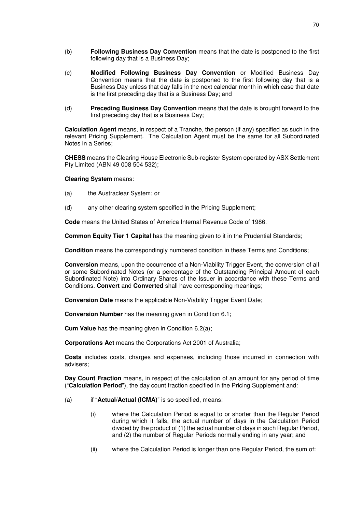- (b) **Following Business Day Convention** means that the date is postponed to the first following day that is a Business Day;
- (c) **Modified Following Business Day Convention** or Modified Business Day Convention means that the date is postponed to the first following day that is a Business Day unless that day falls in the next calendar month in which case that date is the first preceding day that is a Business Day; and
- (d) **Preceding Business Day Convention** means that the date is brought forward to the first preceding day that is a Business Day;

**Calculation Agent** means, in respect of a Tranche, the person (if any) specified as such in the relevant Pricing Supplement. The Calculation Agent must be the same for all Subordinated Notes in a Series;

**CHESS** means the Clearing House Electronic Sub-register System operated by ASX Settlement Pty Limited (ABN 49 008 504 532);

#### **Clearing System** means:

- (a) the Austraclear System; or
- (d) any other clearing system specified in the Pricing Supplement;

**Code** means the United States of America Internal Revenue Code of 1986.

**Common Equity Tier 1 Capital** has the meaning given to it in the Prudential Standards;

**Condition** means the correspondingly numbered condition in these Terms and Conditions;

**Conversion** means, upon the occurrence of a Non-Viability Trigger Event, the conversion of all or some Subordinated Notes (or a percentage of the Outstanding Principal Amount of each Subordinated Note) into Ordinary Shares of the Issuer in accordance with these Terms and Conditions. **Convert** and **Converted** shall have corresponding meanings;

**Conversion Date** means the applicable Non-Viability Trigger Event Date;

**Conversion Number** has the meaning given in Condition 6.1;

**Cum Value** has the meaning given in Condition 6.2(a);

**Corporations Act** means the Corporations Act 2001 of Australia;

**Costs** includes costs, charges and expenses, including those incurred in connection with advisers;

**Day Count Fraction** means, in respect of the calculation of an amount for any period of time ("**Calculation Period**"), the day count fraction specified in the Pricing Supplement and:

- (a) if "**Actual/Actual (ICMA)**" is so specified, means:
	- (i) where the Calculation Period is equal to or shorter than the Regular Period during which it falls, the actual number of days in the Calculation Period divided by the product of (1) the actual number of days in such Regular Period, and (2) the number of Regular Periods normally ending in any year; and
	- (ii) where the Calculation Period is longer than one Regular Period, the sum of: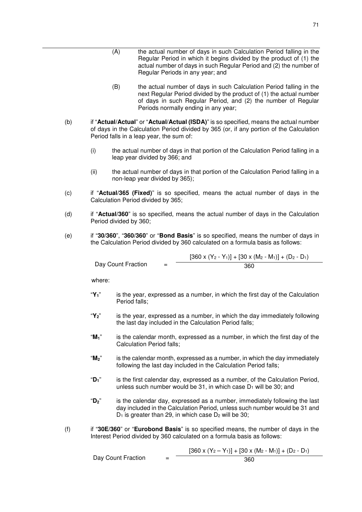- (A) the actual number of days in such Calculation Period falling in the Regular Period in which it begins divided by the product of (1) the actual number of days in such Regular Period and (2) the number of Regular Periods in any year; and
- (B) the actual number of days in such Calculation Period falling in the next Regular Period divided by the product of (1) the actual number of days in such Regular Period, and (2) the number of Regular Periods normally ending in any year;
- (b) if "**Actual/Actual**" or "**Actual/Actual (ISDA)**" is so specified, means the actual number of days in the Calculation Period divided by 365 (or, if any portion of the Calculation Period falls in a leap year, the sum of:
	- (i) the actual number of days in that portion of the Calculation Period falling in a leap year divided by 366; and
	- (ii) the actual number of days in that portion of the Calculation Period falling in a non-leap year divided by 365);
- (c) if "**Actual/365 (Fixed)**" is so specified, means the actual number of days in the Calculation Period divided by 365;
- (d) if "**Actual/360**" is so specified, means the actual number of days in the Calculation Period divided by 360;
- (e) if "**30/360**", "**360/360**" or "**Bond Basis**" is so specified, means the number of days in the Calculation Period divided by 360 calculated on a formula basis as follows:

| Day Count Fraction |     | $[360 \times (Y_2 - Y_1)] + [30 \times (M_2 - M_1)] + (D_2 - D_1)$ |
|--------------------|-----|--------------------------------------------------------------------|
|                    | $=$ | 360                                                                |

where:

- "**Y1**" is the year, expressed as a number, in which the first day of the Calculation Period falls;
- "**Y2**" is the year, expressed as a number, in which the day immediately following the last day included in the Calculation Period falls;
- "**M1**" is the calendar month, expressed as a number, in which the first day of the Calculation Period falls;
- "**M2**" is the calendar month, expressed as a number, in which the day immediately following the last day included in the Calculation Period falls;
- "**D1**" is the first calendar day, expressed as a number, of the Calculation Period, unless such number would be 31, in which case  $D_1$  will be 30; and
- "**D2**" is the calendar day, expressed as a number, immediately following the last day included in the Calculation Period, unless such number would be 31 and  $D_1$  is greater than 29, in which case  $D_2$  will be 30;
- (f) if "**30E/360**" or "**Eurobond Basis**" is so specified means, the number of days in the Interest Period divided by 360 calculated on a formula basis as follows:

|                    | $[360 \times (Y_2 - Y_1)] + [30 \times (M_2 - M_1)] + (D_2 - D_1)$ |
|--------------------|--------------------------------------------------------------------|
| Day Count Fraction | 360                                                                |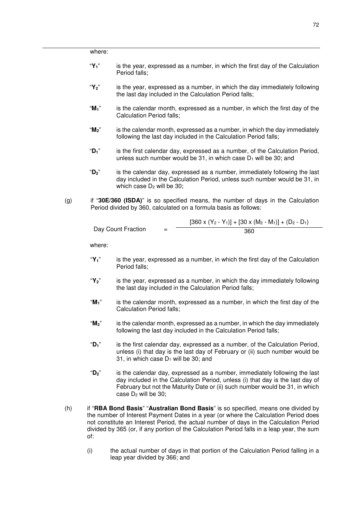|     | where:            |                                                                                                                                                                                                                                                                                 |
|-----|-------------------|---------------------------------------------------------------------------------------------------------------------------------------------------------------------------------------------------------------------------------------------------------------------------------|
|     | " $Y_1$ "         | is the year, expressed as a number, in which the first day of the Calculation<br>Period falls;                                                                                                                                                                                  |
|     | " $Y_2$ "         | is the year, expressed as a number, in which the day immediately following<br>the last day included in the Calculation Period falls;                                                                                                                                            |
|     | " $M_1$ "         | is the calendar month, expressed as a number, in which the first day of the<br><b>Calculation Period falls;</b>                                                                                                                                                                 |
|     | " $M_2$ "         | is the calendar month, expressed as a number, in which the day immediately<br>following the last day included in the Calculation Period falls;                                                                                                                                  |
|     | " $D_1$ "         | is the first calendar day, expressed as a number, of the Calculation Period,<br>unless such number would be 31, in which case D <sub>1</sub> will be 30; and                                                                                                                    |
|     | $"D_2"$           | is the calendar day, expressed as a number, immediately following the last<br>day included in the Calculation Period, unless such number would be 31, in<br>which case $D_2$ will be 30;                                                                                        |
| (g) |                   | if "30E/360 (ISDA)" is so specified means, the number of days in the Calculation<br>Period divided by 360, calculated on a formula basis as follows:                                                                                                                            |
|     |                   | $[360 \times (Y_2 - Y_1)] + [30 \times (M_2 - M_1)] + (D_2 - D_1)$                                                                                                                                                                                                              |
|     |                   | Day Count Fraction<br>$=$<br>360                                                                                                                                                                                                                                                |
|     | where:            |                                                                                                                                                                                                                                                                                 |
|     | "Y <sub>1</sub> " | is the year, expressed as a number, in which the first day of the Calculation<br>Period falls;                                                                                                                                                                                  |
|     | " $Y_2$ "         | is the year, expressed as a number, in which the day immediately following<br>the last day included in the Calculation Period falls;                                                                                                                                            |
|     | " $M_1$ "         | is the calendar month, expressed as a number, in which the first day of the<br><b>Calculation Period falls;</b>                                                                                                                                                                 |
|     | $M_2$ "           | is the calendar month, expressed as a number, in which the day immediately<br>following the last day included in the Calculation Period falls;                                                                                                                                  |
|     | " $D_1$ "         | is the first calendar day, expressed as a number, of the Calculation Period,<br>unless (i) that day is the last day of February or (ii) such number would be<br>31, in which case $D_1$ will be 30; and                                                                         |
|     | $"D_2"$           | is the calendar day, expressed as a number, immediately following the last<br>day included in the Calculation Period, unless (i) that day is the last day of<br>February but not the Maturity Date or (ii) such number would be 31, in which<br>case D <sub>2</sub> will be 30; |
| (h) |                   | if "RBA Bond Basis" "Australian Bond Basis" is so specified, means one divided by                                                                                                                                                                                               |

- (h) if "**RBA Bond Basis**" "**Australian Bond Basis**" is so specified, means one divided by the number of Interest Payment Dates in a year (or where the Calculation Period does not constitute an Interest Period, the actual number of days in the Calculation Period divided by 365 (or, if any portion of the Calculation Period falls in a leap year, the sum of:
	- (i) the actual number of days in that portion of the Calculation Period falling in a leap year divided by 366; and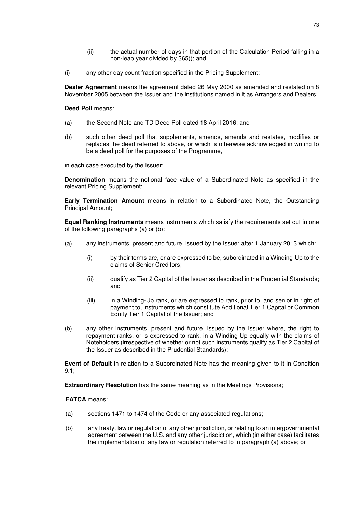- (ii) the actual number of days in that portion of the Calculation Period falling in a non-leap year divided by 365)); and
- (i) any other day count fraction specified in the Pricing Supplement;

**Dealer Agreement** means the agreement dated 26 May 2000 as amended and restated on 8 November 2005 between the Issuer and the institutions named in it as Arrangers and Dealers;

#### **Deed Poll** means:

- (a) the Second Note and TD Deed Poll dated 18 April 2016; and
- (b) such other deed poll that supplements, amends, amends and restates, modifies or replaces the deed referred to above, or which is otherwise acknowledged in writing to be a deed poll for the purposes of the Programme,

in each case executed by the Issuer;

**Denomination** means the notional face value of a Subordinated Note as specified in the relevant Pricing Supplement;

**Early Termination Amount** means in relation to a Subordinated Note, the Outstanding Principal Amount;

**Equal Ranking Instruments** means instruments which satisfy the requirements set out in one of the following paragraphs (a) or (b):

- (a) any instruments, present and future, issued by the Issuer after 1 January 2013 which:
	- (i) by their terms are, or are expressed to be, subordinated in a Winding-Up to the claims of Senior Creditors;
	- (ii) qualify as Tier 2 Capital of the Issuer as described in the Prudential Standards; and
	- (iii) in a Winding-Up rank, or are expressed to rank, prior to, and senior in right of payment to, instruments which constitute Additional Tier 1 Capital or Common Equity Tier 1 Capital of the Issuer; and
- (b) any other instruments, present and future, issued by the Issuer where, the right to repayment ranks, or is expressed to rank, in a Winding-Up equally with the claims of Noteholders (irrespective of whether or not such instruments qualify as Tier 2 Capital of the Issuer as described in the Prudential Standards);

**Event of Default** in relation to a Subordinated Note has the meaning given to it in Condition 9.1;

**Extraordinary Resolution** has the same meaning as in the Meetings Provisions;

**FATCA** means:

- (a) sections 1471 to 1474 of the Code or any associated regulations;
- (b) any treaty, law or regulation of any other jurisdiction, or relating to an intergovernmental agreement between the U.S. and any other jurisdiction, which (in either case) facilitates the implementation of any law or regulation referred to in paragraph (a) above; or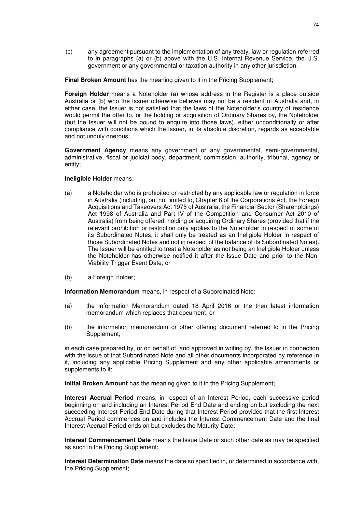(c) any agreement pursuant to the implementation of any treaty, law or regulation referred to in paragraphs (a) or (b) above with the U.S. Internal Revenue Service, the U.S. government or any governmental or taxation authority in any other jurisdiction.

**Final Broken Amount** has the meaning given to it in the Pricing Supplement;

**Foreign Holder** means a Noteholder (a) whose address in the Register is a place outside Australia or (b) who the Issuer otherwise believes may not be a resident of Australia and, in either case, the Issuer is not satisfied that the laws of the Noteholder's country of residence would permit the offer to, or the holding or acquisition of Ordinary Shares by, the Noteholder (but the Issuer will not be bound to enquire into those laws), either unconditionally or after compliance with conditions which the Issuer, in its absolute discretion, regards as acceptable and not unduly onerous;

**Government Agency** means any government or any governmental, semi-governmental, administrative, fiscal or judicial body, department, commission, authority, tribunal, agency or entity;

#### **Ineligible Holder** means:

- (a) a Noteholder who is prohibited or restricted by any applicable law or regulation in force in Australia (including, but not limited to, Chapter 6 of the Corporations Act, the Foreign Acquisitions and Takeovers Act 1975 of Australia, the Financial Sector (Shareholdings) Act 1998 of Australia and Part IV of the Competition and Consumer Act 2010 of Australia) from being offered, holding or acquiring Ordinary Shares (provided that if the relevant prohibition or restriction only applies to the Noteholder in respect of some of its Subordinated Notes, it shall only be treated as an Ineligible Holder in respect of those Subordinated Notes and not in respect of the balance of its Subordinated Notes). The Issuer will be entitled to treat a Noteholder as not being an Ineligible Holder unless the Noteholder has otherwise notified it after the Issue Date and prior to the Non-Viability Trigger Event Date; or
- (b) a Foreign Holder;

**Information Memorandum** means, in respect of a Subordinated Note:

- (a) the Information Memorandum dated 18 April 2016 or the then latest information memorandum which replaces that document; or
- (b) the information memorandum or other offering document referred to in the Pricing Supplement,

in each case prepared by, or on behalf of, and approved in writing by, the Issuer in connection with the issue of that Subordinated Note and all other documents incorporated by reference in it, including any applicable Pricing Supplement and any other applicable amendments or supplements to it;

**Initial Broken Amount** has the meaning given to it in the Pricing Supplement;

**Interest Accrual Period** means, in respect of an Interest Period, each successive period beginning on and including an Interest Period End Date and ending on but excluding the next succeeding Interest Period End Date during that Interest Period provided that the first Interest Accrual Period commences on and includes the Interest Commencement Date and the final Interest Accrual Period ends on but excludes the Maturity Date;

**Interest Commencement Date** means the Issue Date or such other date as may be specified as such in the Pricing Supplement;

**Interest Determination Date** means the date so specified in, or determined in accordance with, the Pricing Supplement;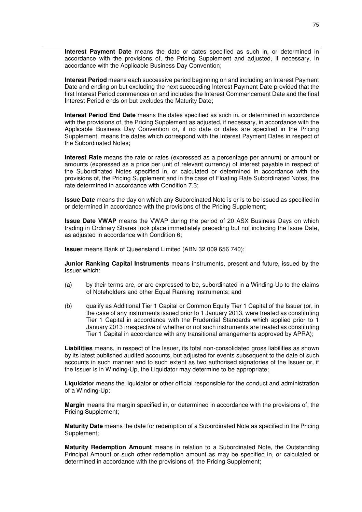**Interest Payment Date** means the date or dates specified as such in, or determined in accordance with the provisions of, the Pricing Supplement and adjusted, if necessary, in accordance with the Applicable Business Day Convention;

**Interest Period** means each successive period beginning on and including an Interest Payment Date and ending on but excluding the next succeeding Interest Payment Date provided that the first Interest Period commences on and includes the Interest Commencement Date and the final Interest Period ends on but excludes the Maturity Date;

**Interest Period End Date** means the dates specified as such in, or determined in accordance with the provisions of, the Pricing Supplement as adjusted, if necessary, in accordance with the Applicable Business Day Convention or, if no date or dates are specified in the Pricing Supplement, means the dates which correspond with the Interest Payment Dates in respect of the Subordinated Notes;

**Interest Rate** means the rate or rates (expressed as a percentage per annum) or amount or amounts (expressed as a price per unit of relevant currency) of interest payable in respect of the Subordinated Notes specified in, or calculated or determined in accordance with the provisions of, the Pricing Supplement and in the case of Floating Rate Subordinated Notes, the rate determined in accordance with Condition 7.3;

**Issue Date** means the day on which any Subordinated Note is or is to be issued as specified in or determined in accordance with the provisions of the Pricing Supplement;

**Issue Date VWAP** means the VWAP during the period of 20 ASX Business Days on which trading in Ordinary Shares took place immediately preceding but not including the Issue Date, as adjusted in accordance with Condition 6;

**Issuer** means Bank of Queensland Limited (ABN 32 009 656 740);

**Junior Ranking Capital Instruments** means instruments, present and future, issued by the Issuer which:

- (a) by their terms are, or are expressed to be, subordinated in a Winding-Up to the claims of Noteholders and other Equal Ranking Instruments; and
- (b) qualify as Additional Tier 1 Capital or Common Equity Tier 1 Capital of the Issuer (or, in the case of any instruments issued prior to 1 January 2013, were treated as constituting Tier 1 Capital in accordance with the Prudential Standards which applied prior to 1 January 2013 irrespective of whether or not such instruments are treated as constituting Tier 1 Capital in accordance with any transitional arrangements approved by APRA);

**Liabilities** means, in respect of the Issuer, its total non-consolidated gross liabilities as shown by its latest published audited accounts, but adjusted for events subsequent to the date of such accounts in such manner and to such extent as two authorised signatories of the Issuer or, if the Issuer is in Winding-Up, the Liquidator may determine to be appropriate;

**Liquidator** means the liquidator or other official responsible for the conduct and administration of a Winding-Up;

**Margin** means the margin specified in, or determined in accordance with the provisions of, the Pricing Supplement;

**Maturity Date** means the date for redemption of a Subordinated Note as specified in the Pricing Supplement;

**Maturity Redemption Amount** means in relation to a Subordinated Note, the Outstanding Principal Amount or such other redemption amount as may be specified in, or calculated or determined in accordance with the provisions of, the Pricing Supplement;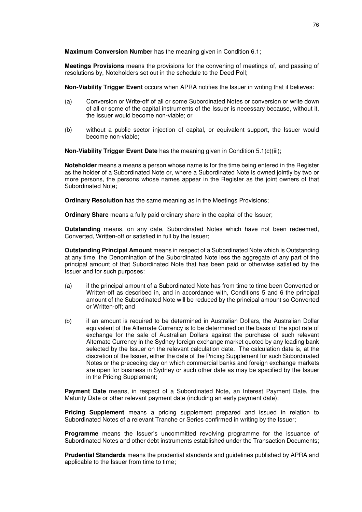**Maximum Conversion Number** has the meaning given in Condition 6.1;

**Meetings Provisions** means the provisions for the convening of meetings of, and passing of resolutions by, Noteholders set out in the schedule to the Deed Poll;

**Non-Viability Trigger Event** occurs when APRA notifies the Issuer in writing that it believes:

- (a) Conversion or Write-off of all or some Subordinated Notes or conversion or write down of all or some of the capital instruments of the Issuer is necessary because, without it, the Issuer would become non-viable; or
- (b) without a public sector injection of capital, or equivalent support, the Issuer would become non-viable;

**Non-Viability Trigger Event Date** has the meaning given in Condition 5.1(c)(iii);

**Noteholder** means a means a person whose name is for the time being entered in the Register as the holder of a Subordinated Note or, where a Subordinated Note is owned jointly by two or more persons, the persons whose names appear in the Register as the joint owners of that Subordinated Note;

**Ordinary Resolution** has the same meaning as in the Meetings Provisions;

**Ordinary Share** means a fully paid ordinary share in the capital of the Issuer;

**Outstanding** means, on any date, Subordinated Notes which have not been redeemed, Converted, Written-off or satisfied in full by the Issuer;

**Outstanding Principal Amount** means in respect of a Subordinated Note which is Outstanding at any time, the Denomination of the Subordinated Note less the aggregate of any part of the principal amount of that Subordinated Note that has been paid or otherwise satisfied by the Issuer and for such purposes:

- (a) if the principal amount of a Subordinated Note has from time to time been Converted or Written-off as described in, and in accordance with, Conditions 5 and 6 the principal amount of the Subordinated Note will be reduced by the principal amount so Converted or Written-off; and
- (b) if an amount is required to be determined in Australian Dollars, the Australian Dollar equivalent of the Alternate Currency is to be determined on the basis of the spot rate of exchange for the sale of Australian Dollars against the purchase of such relevant Alternate Currency in the Sydney foreign exchange market quoted by any leading bank selected by the Issuer on the relevant calculation date. The calculation date is, at the discretion of the Issuer, either the date of the Pricing Supplement for such Subordinated Notes or the preceding day on which commercial banks and foreign exchange markets are open for business in Sydney or such other date as may be specified by the Issuer in the Pricing Supplement;

**Payment Date** means, in respect of a Subordinated Note, an Interest Payment Date, the Maturity Date or other relevant payment date (including an early payment date);

**Pricing Supplement** means a pricing supplement prepared and issued in relation to Subordinated Notes of a relevant Tranche or Series confirmed in writing by the Issuer;

Proaramme means the Issuer's uncommitted revolving programme for the issuance of Subordinated Notes and other debt instruments established under the Transaction Documents;

**Prudential Standards** means the prudential standards and guidelines published by APRA and applicable to the Issuer from time to time;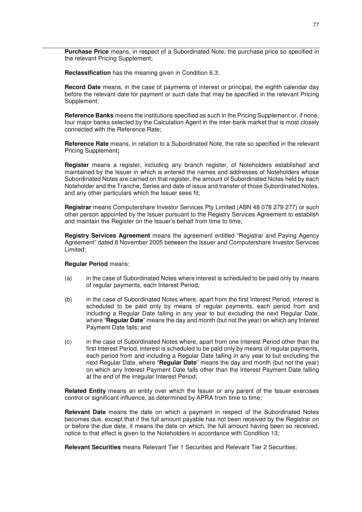**Purchase Price** means, in respect of a Subordinated Note, the purchase price so specified in the relevant Pricing Supplement;

**Reclassification** has the meaning given in Condition 6.3;

**Record Date** means, in the case of payments of interest or principal, the eighth calendar day before the relevant date for payment or such date that may be specified in the relevant Pricing Supplement;

**Reference Banks** means the institutions specified as such in the Pricing Supplement or, if none, four major banks selected by the Calculation Agent in the inter-bank market that is most closely connected with the Reference Rate;

**Reference Rate** means, in relation to a Subordinated Note, the rate so specified in the relevant Pricing Supplement**;**

**Register** means a register, including any branch register, of Noteholders established and maintained by the Issuer in which is entered the names and addresses of Noteholders whose Subordinated Notes are carried on that register, the amount of Subordinated Notes held by each Noteholder and the Tranche, Series and date of issue and transfer of those Subordinated Notes, and any other particulars which the Issuer sees fit;

**Registrar** means Computershare Investor Services Pty Limited (ABN 48 078 279 277) or such other person appointed by the Issuer pursuant to the Registry Services Agreement to establish and maintain the Register on the Issuer's behalf from time to time;

**Registry Services Agreement** means the agreement entitled "Registrar and Paying Agency Agreement" dated 8 November 2005 between the Issuer and Computershare Investor Services Limited;

# **Regular Period** means:

- (a) in the case of Subordinated Notes where interest is scheduled to be paid only by means of regular payments, each Interest Period;
- (b) in the case of Subordinated Notes where, apart from the first Interest Period, interest is scheduled to be paid only by means of regular payments, each period from and including a Regular Date falling in any year to but excluding the next Regular Date, where "**Regular Date**" means the day and month (but not the year) on which any Interest Payment Date falls; and
- (c) in the case of Subordinated Notes where, apart from one Interest Period other than the first Interest Period, interest is scheduled to be paid only by means of regular payments, each period from and including a Regular Date falling in any year to but excluding the next Regular Date, where "**Regular Date**" means the day and month (but not the year) on which any Interest Payment Date falls other than the Interest Payment Date falling at the end of the irregular Interest Period;

**Related Entity** means an entity over which the Issuer or any parent of the Issuer exercises control or significant influence, as determined by APRA from time to time;

**Relevant Date** means the date on which a payment in respect of the Subordinated Notes becomes due, except that if the full amount payable has not been received by the Registrar on or before the due date, it means the date on which, the full amount having been so received, notice to that effect is given to the Noteholders in accordance with Condition 13;

**Relevant Securities** means Relevant Tier 1 Securities and Relevant Tier 2 Securities;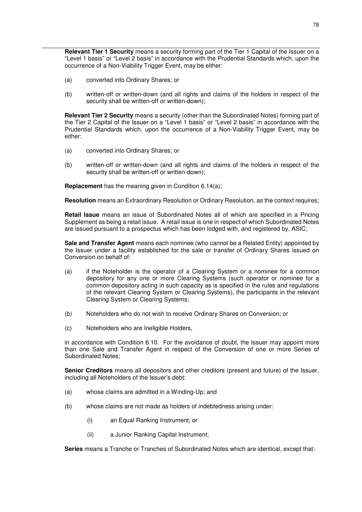**Relevant Tier 1 Security** means a security forming part of the Tier 1 Capital of the Issuer on a "Level 1 basis" or "Level 2 basis" in accordance with the Prudential Standards which, upon the occurrence of a Non-Viability Trigger Event, may be either:

- (a) converted into Ordinary Shares; or
- (b) written-off or written-down (and all rights and claims of the holders in respect of the security shall be written-off or written-down);

**Relevant Tier 2 Security** means a security (other than the Subordinated Notes) forming part of the Tier 2 Capital of the Issuer on a "Level 1 basis" or "Level 2 basis" in accordance with the Prudential Standards which, upon the occurrence of a Non-Viability Trigger Event, may be either:

- (a) converted into Ordinary Shares; or
- (b) written-off or written-down (and all rights and claims of the holders in respect of the security shall be written-off or written-down);

**Replacement** has the meaning given in Condition 6.14(a);

**Resolution** means an Extraordinary Resolution or Ordinary Resolution, as the context requires;

**Retail Issue** means an issue of Subordinated Notes all of which are specified in a Pricing Supplement as being a retail issue. A retail issue is one in respect of which Subordinated Notes are issued pursuant to a prospectus which has been lodged with, and registered by, ASIC;

**Sale and Transfer Agent** means each nominee (who cannot be a Related Entity) appointed by the Issuer under a facility established for the sale or transfer of Ordinary Shares issued on Conversion on behalf of:

- (a) if the Noteholder is the operator of a Clearing System or a nominee for a common depository for any one or more Clearing Systems (such operator or nominee for a common depository acting in such capacity as is specified in the rules and regulations of the relevant Clearing System or Clearing Systems), the participants in the relevant Clearing System or Clearing Systems;
- (b) Noteholders who do not wish to receive Ordinary Shares on Conversion; or
- (c) Noteholders who are Ineligible Holders,

in accordance with Condition 6.10. For the avoidance of doubt, the Issuer may appoint more than one Sale and Transfer Agent in respect of the Conversion of one or more Series of Subordinated Notes;

**Senior Creditors** means all depositors and other creditors (present and future) of the Issuer, including all Noteholders of the Issuer's debt:

- (a) whose claims are admitted in a Winding-Up; and
- (b) whose claims are not made as holders of indebtedness arising under:
	- (i) an Equal Ranking Instrument; or
	- (ii) a Junior Ranking Capital Instrument;

**Series** means a Tranche or Tranches of Subordinated Notes which are identical, except that: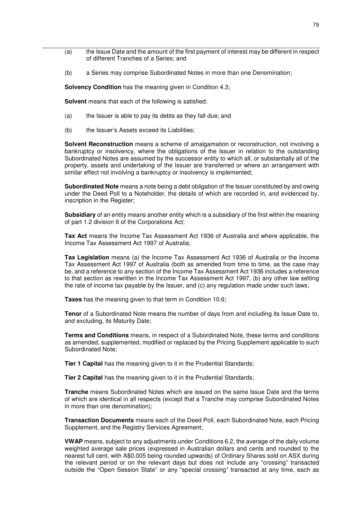- (a) the Issue Date and the amount of the first payment of interest may be different in respect of different Tranches of a Series; and
- (b) a Series may comprise Subordinated Notes in more than one Denomination;

**Solvency Condition** has the meaning given in Condition 4.3;

**Solvent** means that each of the following is satisfied:

- (a) the Issuer is able to pay its debts as they fall due; and
- (b) the Issuer's Assets exceed its Liabilities;

**Solvent Reconstruction** means a scheme of amalgamation or reconstruction, not involving a bankruptcy or insolvency, where the obligations of the Issuer in relation to the outstanding Subordinated Notes are assumed by the successor entity to which all, or substantially all of the property, assets and undertaking of the Issuer are transferred or where an arrangement with similar effect not involving a bankruptcy or insolvency is implemented;

**Subordinated Note** means a note being a debt obligation of the Issuer constituted by and owing under the Deed Poll to a Noteholder, the details of which are recorded in, and evidenced by, inscription in the Register;

**Subsidiary** of an entity means another entity which is a subsidiary of the first within the meaning of part 1.2 division 6 of the Corporations Act;

**Tax Act** means the Income Tax Assessment Act 1936 of Australia and where applicable, the Income Tax Assessment Act 1997 of Australia;

**Tax Legislation** means (a) the Income Tax Assessment Act 1936 of Australia or the Income Tax Assessment Act 1997 of Australia (both as amended from time to time, as the case may be, and a reference to any section of the Income Tax Assessment Act 1936 includes a reference to that section as rewritten in the Income Tax Assessment Act 1997, (b) any other law setting the rate of income tax payable by the Issuer, and (c) any regulation made under such laws;

**Taxes** has the meaning given to that term in Condition 10.6;

**Tenor** of a Subordinated Note means the number of days from and including its Issue Date to, and excluding, its Maturity Date;

**Terms and Conditions** means, in respect of a Subordinated Note, these terms and conditions as amended, supplemented, modified or replaced by the Pricing Supplement applicable to such Subordinated Note;

**Tier 1 Capital** has the meaning given to it in the Prudential Standards;

**Tier 2 Capital** has the meaning given to it in the Prudential Standards;

**Tranche** means Subordinated Notes which are issued on the same Issue Date and the terms of which are identical in all respects (except that a Tranche may comprise Subordinated Notes in more than one denomination);

**Transaction Documents** means each of the Deed Poll, each Subordinated Note, each Pricing Supplement, and the Registry Services Agreement;

**VWAP** means, subject to any adjustments under Conditions 6.2, the average of the daily volume weighted average sale prices (expressed in Australian dollars and cents and rounded to the nearest full cent, with A\$0.005 being rounded upwards) of Ordinary Shares sold on ASX during the relevant period or on the relevant days but does not include any "crossing" transacted outside the "Open Session State" or any "special crossing" transacted at any time, each as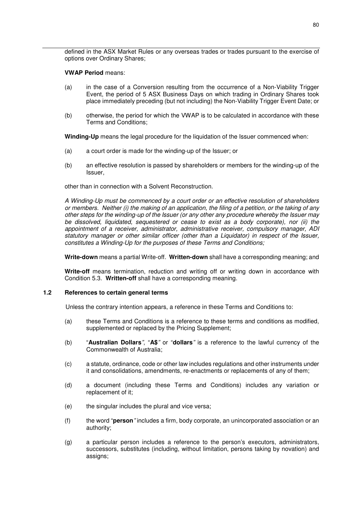defined in the ASX Market Rules or any overseas trades or trades pursuant to the exercise of options over Ordinary Shares;

## **VWAP Period** means:

- (a) in the case of a Conversion resulting from the occurrence of a Non-Viability Trigger Event, the period of 5 ASX Business Days on which trading in Ordinary Shares took place immediately preceding (but not including) the Non-Viability Trigger Event Date; or
- (b) otherwise, the period for which the VWAP is to be calculated in accordance with these Terms and Conditions;

**Winding-Up** means the legal procedure for the liquidation of the Issuer commenced when:

- (a) a court order is made for the winding-up of the Issuer; or
- (b) an effective resolution is passed by shareholders or members for the winding-up of the Issuer,

other than in connection with a Solvent Reconstruction.

*A Winding-Up must be commenced by a court order or an effective resolution of shareholders or members. Neither (i) the making of an application, the filing of a petition, or the taking of any other steps for the winding-up of the Issuer (or any other any procedure whereby the Issuer may be dissolved, liquidated, sequestered or cease to exist as a body corporate), nor (ii) the appointment of a receiver, administrator, administrative receiver, compulsory manager, ADI statutory manager or other similar officer (other than a Liquidator) in respect of the Issuer, constitutes a Winding-Up for the purposes of these Terms and Conditions;* 

**Write-down** means a partial Write-off. **Written-down** shall have a corresponding meaning; and

**Write-off** means termination, reduction and writing off or writing down in accordance with Condition 5.3. **Written-off** shall have a corresponding meaning.

# **1.2 References to certain general terms**

Unless the contrary intention appears, a reference in these Terms and Conditions to:

- (a) these Terms and Conditions is a reference to these terms and conditions as modified, supplemented or replaced by the Pricing Supplement;
- (b) "**Australian Dollars***"*, "**A\$***"* or "**dollars***"* is a reference to the lawful currency of the Commonwealth of Australia;
- (c) a statute, ordinance, code or other law includes regulations and other instruments under it and consolidations, amendments, re-enactments or replacements of any of them;
- (d) a document (including these Terms and Conditions) includes any variation or replacement of it;
- (e) the singular includes the plural and vice versa;
- (f) the word "**person***"* includes a firm, body corporate, an unincorporated association or an authority;
- (g) a particular person includes a reference to the person's executors, administrators, successors, substitutes (including, without limitation, persons taking by novation) and assigns;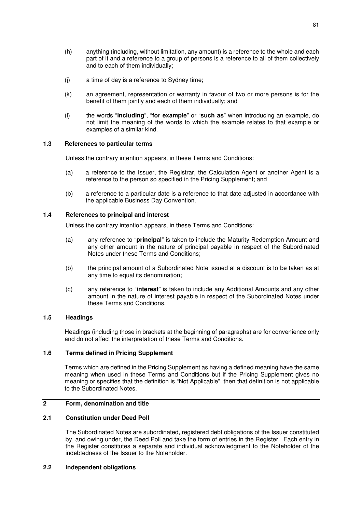- (h) anything (including, without limitation, any amount) is a reference to the whole and each part of it and a reference to a group of persons is a reference to all of them collectively and to each of them individually;
- (j) a time of day is a reference to Sydney time;
- (k) an agreement, representation or warranty in favour of two or more persons is for the benefit of them jointly and each of them individually; and
- (l) the words "**including**", "**for example**" or "**such as**" when introducing an example, do not limit the meaning of the words to which the example relates to that example or examples of a similar kind.

# **1.3 References to particular terms**

Unless the contrary intention appears, in these Terms and Conditions:

- (a) a reference to the Issuer, the Registrar, the Calculation Agent or another Agent is a reference to the person so specified in the Pricing Supplement; and
- (b) a reference to a particular date is a reference to that date adjusted in accordance with the applicable Business Day Convention.

# **1.4 References to principal and interest**

Unless the contrary intention appears, in these Terms and Conditions:

- (a) any reference to "**principal**" is taken to include the Maturity Redemption Amount and any other amount in the nature of principal payable in respect of the Subordinated Notes under these Terms and Conditions;
- (b) the principal amount of a Subordinated Note issued at a discount is to be taken as at any time to equal its denomination;
- (c) any reference to "**interest**" is taken to include any Additional Amounts and any other amount in the nature of interest payable in respect of the Subordinated Notes under these Terms and Conditions.

## **1.5 Headings**

Headings (including those in brackets at the beginning of paragraphs) are for convenience only and do not affect the interpretation of these Terms and Conditions.

## **1.6 Terms defined in Pricing Supplement**

Terms which are defined in the Pricing Supplement as having a defined meaning have the same meaning when used in these Terms and Conditions but if the Pricing Supplement gives no meaning or specifies that the definition is "Not Applicable", then that definition is not applicable to the Subordinated Notes.

# **2 Form, denomination and title**

## **2.1 Constitution under Deed Poll**

The Subordinated Notes are subordinated, registered debt obligations of the Issuer constituted by, and owing under, the Deed Poll and take the form of entries in the Register. Each entry in the Register constitutes a separate and individual acknowledgment to the Noteholder of the indebtedness of the Issuer to the Noteholder.

## **2.2 Independent obligations**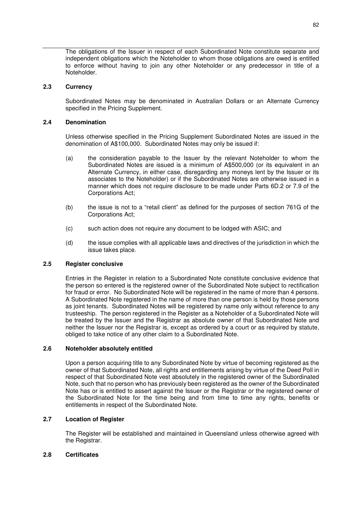The obligations of the Issuer in respect of each Subordinated Note constitute separate and independent obligations which the Noteholder to whom those obligations are owed is entitled to enforce without having to join any other Noteholder or any predecessor in title of a Noteholder.

# **2.3 Currency**

Subordinated Notes may be denominated in Australian Dollars or an Alternate Currency specified in the Pricing Supplement.

# **2.4 Denomination**

Unless otherwise specified in the Pricing Supplement Subordinated Notes are issued in the denomination of A\$100,000. Subordinated Notes may only be issued if:

- (a) the consideration payable to the Issuer by the relevant Noteholder to whom the Subordinated Notes are issued is a minimum of A\$500,000 (or its equivalent in an Alternate Currency, in either case, disregarding any moneys lent by the Issuer or its associates to the Noteholder) or if the Subordinated Notes are otherwise issued in a manner which does not require disclosure to be made under Parts 6D.2 or 7.9 of the Corporations Act;
- (b) the issue is not to a "retail client" as defined for the purposes of section 761G of the Corporations Act;
- (c) such action does not require any document to be lodged with ASIC; and
- (d) the issue complies with all applicable laws and directives of the jurisdiction in which the issue takes place.

# **2.5 Register conclusive**

Entries in the Register in relation to a Subordinated Note constitute conclusive evidence that the person so entered is the registered owner of the Subordinated Note subject to rectification for fraud or error. No Subordinated Note will be registered in the name of more than 4 persons. A Subordinated Note registered in the name of more than one person is held by those persons as joint tenants. Subordinated Notes will be registered by name only without reference to any trusteeship. The person registered in the Register as a Noteholder of a Subordinated Note will be treated by the Issuer and the Registrar as absolute owner of that Subordinated Note and neither the Issuer nor the Registrar is, except as ordered by a court or as required by statute, obliged to take notice of any other claim to a Subordinated Note.

## **2.6 Noteholder absolutely entitled**

Upon a person acquiring title to any Subordinated Note by virtue of becoming registered as the owner of that Subordinated Note, all rights and entitlements arising by virtue of the Deed Poll in respect of that Subordinated Note vest absolutely in the registered owner of the Subordinated Note, such that no person who has previously been registered as the owner of the Subordinated Note has or is entitled to assert against the Issuer or the Registrar or the registered owner of the Subordinated Note for the time being and from time to time any rights, benefits or entitlements in respect of the Subordinated Note.

# **2.7 Location of Register**

The Register will be established and maintained in Queensland unless otherwise agreed with the Registrar.

# **2.8 Certificates**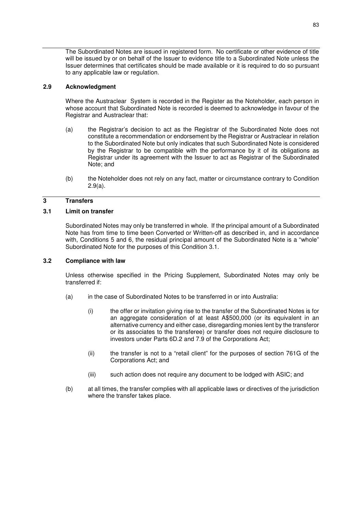The Subordinated Notes are issued in registered form. No certificate or other evidence of title will be issued by or on behalf of the Issuer to evidence title to a Subordinated Note unless the Issuer determines that certificates should be made available or it is required to do so pursuant to any applicable law or regulation.

# **2.9 Acknowledgment**

Where the Austraclear System is recorded in the Register as the Noteholder, each person in whose account that Subordinated Note is recorded is deemed to acknowledge in favour of the Registrar and Austraclear that:

- (a) the Registrar's decision to act as the Registrar of the Subordinated Note does not constitute a recommendation or endorsement by the Registrar or Austraclear in relation to the Subordinated Note but only indicates that such Subordinated Note is considered by the Registrar to be compatible with the performance by it of its obligations as Registrar under its agreement with the Issuer to act as Registrar of the Subordinated Note; and
- (b) the Noteholder does not rely on any fact, matter or circumstance contrary to Condition 2.9(a).

# **3 Transfers**

# **3.1 Limit on transfer**

Subordinated Notes may only be transferred in whole. If the principal amount of a Subordinated Note has from time to time been Converted or Written-off as described in, and in accordance with, Conditions 5 and 6, the residual principal amount of the Subordinated Note is a "whole" Subordinated Note for the purposes of this Condition 3.1.

## **3.2 Compliance with law**

Unless otherwise specified in the Pricing Supplement, Subordinated Notes may only be transferred if:

- (a) in the case of Subordinated Notes to be transferred in or into Australia:
	- (i) the offer or invitation giving rise to the transfer of the Subordinated Notes is for an aggregate consideration of at least A\$500,000 (or its equivalent in an alternative currency and either case, disregarding monies lent by the transferor or its associates to the transferee) or transfer does not require disclosure to investors under Parts 6D.2 and 7.9 of the Corporations Act;
	- (ii) the transfer is not to a "retail client" for the purposes of section 761G of the Corporations Act; and
	- (iii) such action does not require any document to be lodged with ASIC; and
- (b) at all times, the transfer complies with all applicable laws or directives of the jurisdiction where the transfer takes place.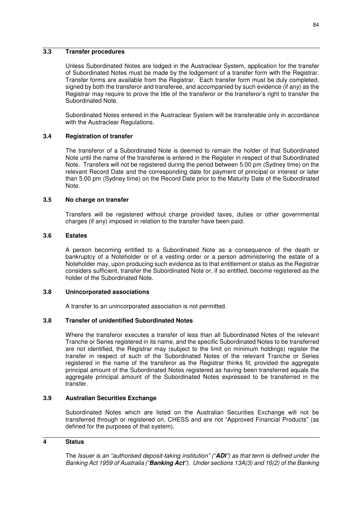# **3.3 Transfer procedures**

Unless Subordinated Notes are lodged in the Austraclear System, application for the transfer of Subordinated Notes must be made by the lodgement of a transfer form with the Registrar. Transfer forms are available from the Registrar. Each transfer form must be duly completed, signed by both the transferor and transferee, and accompanied by such evidence (if any) as the Registrar may require to prove the title of the transferor or the transferor's right to transfer the Subordinated Note.

Subordinated Notes entered in the Austraclear System will be transferable only in accordance with the Austraclear Regulations.

## **3.4 Registration of transfer**

The transferor of a Subordinated Note is deemed to remain the holder of that Subordinated Note until the name of the transferee is entered in the Register in respect of that Subordinated Note. Transfers will not be registered during the period between 5.00 pm (Sydney time) on the relevant Record Date and the corresponding date for payment of principal or interest or later than 5.00 pm (Sydney time) on the Record Date prior to the Maturity Date of the Subordinated Note.

## **3.5 No charge on transfer**

Transfers will be registered without charge provided taxes, duties or other governmental charges (if any) imposed in relation to the transfer have been paid.

## **3.6 Estates**

A person becoming entitled to a Subordinated Note as a consequence of the death or bankruptcy of a Noteholder or of a vesting order or a person administering the estate of a Noteholder may, upon producing such evidence as to that entitlement or status as the Registrar considers sufficient, transfer the Subordinated Note or, if so entitled, become registered as the holder of the Subordinated Note.

## **3.8 Unincorporated associations**

A transfer to an unincorporated association is not permitted.

## **3.8 Transfer of unidentified Subordinated Notes**

Where the transferor executes a transfer of less than all Subordinated Notes of the relevant Tranche or Series registered in its name, and the specific Subordinated Notes to be transferred are not identified, the Registrar may (subject to the limit on minimum holdings) register the transfer in respect of such of the Subordinated Notes of the relevant Tranche or Series registered in the name of the transferor as the Registrar thinks fit, provided the aggregate principal amount of the Subordinated Notes registered as having been transferred equals the aggregate principal amount of the Subordinated Notes expressed to be transferred in the transfer.

## **3.9 Australian Securities Exchange**

Subordinated Notes which are listed on the Australian Securities Exchange will not be transferred through or registered on, CHESS and are not "Approved Financial Products" (as defined for the purposes of that system).

## **4 Status**

The *Issuer is an "authorised deposit-taking institution" ("ADI") as that term is defined under the Banking Act 1959 of Australia ("Banking Act"). Under sections 13A(3) and 16(2) of the Banking*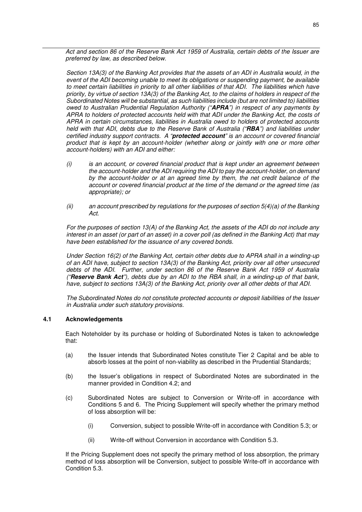*Act and section 86 of the Reserve Bank Act 1959 of Australia, certain debts of the Issuer are preferred by law, as described below.*

*Section 13A(3) of the Banking Act provides that the assets of an ADI in Australia would, in the event of the ADI becoming unable to meet its obligations or suspending payment, be available to meet certain liabilities in priority to all other liabilities of that ADI. The liabilities which have priority, by virtue of section 13A(3) of the Banking Act, to the claims of holders in respect of the Subordinated Notes will be substantial, as such liabilities include (but are not limited to) liabilities owed to Australian Prudential Regulation Authority ("APRA") in respect of any payments by APRA to holders of protected accounts held with that ADI under the Banking Act, the costs of APRA in certain circumstances, liabilities in Australia owed to holders of protected accounts held with that ADI, debts due to the Reserve Bank of Australia ("RBA") and liabilities under certified industry support contracts. A "protected account" is an account or covered financial product that is kept by an account-holder (whether along or jointly with one or more other account-holders) with an ADI and either:* 

- *(i) is an account, or covered financial product that is kept under an agreement between the account-holder and the ADI requiring the ADI to pay the account-holder, on demand by the account-holder or at an agreed time by them, the net credit balance of the account or covered financial product at the time of the demand or the agreed time (as appropriate); or*
- *(ii) an account prescribed by regulations for the purposes of section 5(4)(a) of the Banking Act.*

*For the purposes of section 13(A) of the Banking Act, the assets of the ADI do not include any interest in an asset (or part of an asset) in a cover poll (as defined in the Banking Act) that may have been established for the issuance of any covered bonds.* 

*Under Section 16(2) of the Banking Act, certain other debts due to APRA shall in a winding-up of an ADI have, subject to section 13A(3) of the Banking Act, priority over all other unsecured debts of the ADI. Further, under section 86 of the Reserve Bank Act 1959 of Australia ("Reserve Bank Act"), debts due by an ADI to the RBA shall, in a winding-up of that bank, have, subject to sections 13A(3) of the Banking Act, priority over all other debts of that ADI.*

*The Subordinated Notes do not constitute protected accounts or deposit liabilities of the Issuer in Australia under such statutory provisions.* 

## **4.1 Acknowledgements**

Each Noteholder by its purchase or holding of Subordinated Notes is taken to acknowledge that:

- (a) the Issuer intends that Subordinated Notes constitute Tier 2 Capital and be able to absorb losses at the point of non-viability as described in the Prudential Standards;
- (b) the Issuer's obligations in respect of Subordinated Notes are subordinated in the manner provided in Condition 4.2; and
- (c) Subordinated Notes are subject to Conversion or Write-off in accordance with Conditions 5 and 6. The Pricing Supplement will specify whether the primary method of loss absorption will be:
	- (i) Conversion, subject to possible Write-off in accordance with Condition 5.3; or
	- (ii) Write-off without Conversion in accordance with Condition 5.3.

If the Pricing Supplement does not specify the primary method of loss absorption, the primary method of loss absorption will be Conversion, subject to possible Write-off in accordance with Condition 5.3.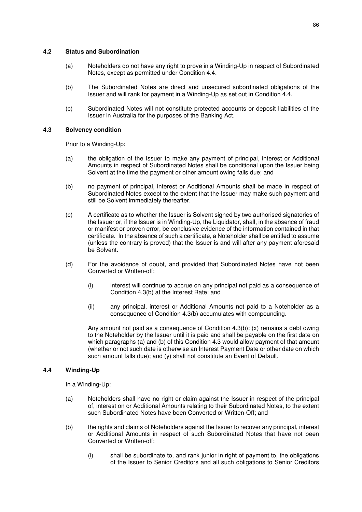# **4.2 Status and Subordination**

- (a) Noteholders do not have any right to prove in a Winding-Up in respect of Subordinated Notes, except as permitted under Condition 4.4.
- (b) The Subordinated Notes are direct and unsecured subordinated obligations of the Issuer and will rank for payment in a Winding-Up as set out in Condition 4.4.
- (c) Subordinated Notes will not constitute protected accounts or deposit liabilities of the Issuer in Australia for the purposes of the Banking Act.

## **4.3 Solvency condition**

Prior to a Winding-Up:

- (a) the obligation of the Issuer to make any payment of principal, interest or Additional Amounts in respect of Subordinated Notes shall be conditional upon the Issuer being Solvent at the time the payment or other amount owing falls due; and
- (b) no payment of principal, interest or Additional Amounts shall be made in respect of Subordinated Notes except to the extent that the Issuer may make such payment and still be Solvent immediately thereafter.
- (c) A certificate as to whether the Issuer is Solvent signed by two authorised signatories of the Issuer or, if the Issuer is in Winding-Up, the Liquidator, shall, in the absence of fraud or manifest or proven error, be conclusive evidence of the information contained in that certificate. In the absence of such a certificate, a Noteholder shall be entitled to assume (unless the contrary is proved) that the Issuer is and will after any payment aforesaid be Solvent.
- (d) For the avoidance of doubt, and provided that Subordinated Notes have not been Converted or Written-off:
	- (i) interest will continue to accrue on any principal not paid as a consequence of Condition 4.3(b) at the Interest Rate; and
	- (ii) any principal, interest or Additional Amounts not paid to a Noteholder as a consequence of Condition 4.3(b) accumulates with compounding.

Any amount not paid as a consequence of Condition 4.3(b): (x) remains a debt owing to the Noteholder by the Issuer until it is paid and shall be payable on the first date on which paragraphs (a) and (b) of this Condition 4.3 would allow payment of that amount (whether or not such date is otherwise an Interest Payment Date or other date on which such amount falls due); and (y) shall not constitute an Event of Default.

## **4.4 Winding-Up**

In a Winding-Up:

- (a) Noteholders shall have no right or claim against the Issuer in respect of the principal of, interest on or Additional Amounts relating to their Subordinated Notes, to the extent such Subordinated Notes have been Converted or Written-Off; and
- (b) the rights and claims of Noteholders against the Issuer to recover any principal, interest or Additional Amounts in respect of such Subordinated Notes that have not been Converted or Written-off:
	- (i) shall be subordinate to, and rank junior in right of payment to, the obligations of the Issuer to Senior Creditors and all such obligations to Senior Creditors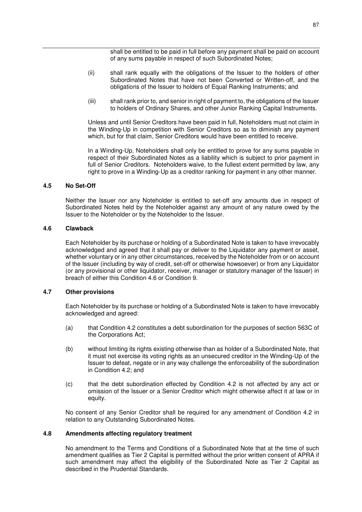shall be entitled to be paid in full before any payment shall be paid on account of any sums payable in respect of such Subordinated Notes;

- (ii) shall rank equally with the obligations of the Issuer to the holders of other Subordinated Notes that have not been Converted or Written-off, and the obligations of the Issuer to holders of Equal Ranking Instruments; and
- (iii) shall rank prior to, and senior in right of payment to, the obligations of the Issuer to holders of Ordinary Shares, and other Junior Ranking Capital Instruments.

Unless and until Senior Creditors have been paid in full, Noteholders must not claim in the Winding-Up in competition with Senior Creditors so as to diminish any payment which, but for that claim, Senior Creditors would have been entitled to receive.

In a Winding-Up, Noteholders shall only be entitled to prove for any sums payable in respect of their Subordinated Notes as a liability which is subject to prior payment in full of Senior Creditors. Noteholders waive, to the fullest extent permitted by law, any right to prove in a Winding-Up as a creditor ranking for payment in any other manner.

#### **4.5 No Set-Off**

Neither the Issuer nor any Noteholder is entitled to set-off any amounts due in respect of Subordinated Notes held by the Noteholder against any amount of any nature owed by the Issuer to the Noteholder or by the Noteholder to the Issuer.

#### **4.6 Clawback**

Each Noteholder by its purchase or holding of a Subordinated Note is taken to have irrevocably acknowledged and agreed that it shall pay or deliver to the Liquidator any payment or asset, whether voluntary or in any other circumstances, received by the Noteholder from or on account of the Issuer (including by way of credit, set-off or otherwise howsoever) or from any Liquidator (or any provisional or other liquidator, receiver, manager or statutory manager of the Issuer) in breach of either this Condition 4.6 or Condition 9.

#### **4.7 Other provisions**

Each Noteholder by its purchase or holding of a Subordinated Note is taken to have irrevocably acknowledged and agreed:

- (a) that Condition 4.2 constitutes a debt subordination for the purposes of section 563C of the Corporations Act;
- (b) without limiting its rights existing otherwise than as holder of a Subordinated Note, that it must not exercise its voting rights as an unsecured creditor in the Winding-Up of the Issuer to defeat, negate or in any way challenge the enforceability of the subordination in Condition 4.2; and
- (c) that the debt subordination effected by Condition 4.2 is not affected by any act or omission of the Issuer or a Senior Creditor which might otherwise affect it at law or in equity.

No consent of any Senior Creditor shall be required for any amendment of Condition 4.2 in relation to any Outstanding Subordinated Notes.

#### **4.8 Amendments affecting regulatory treatment**

No amendment to the Terms and Conditions of a Subordinated Note that at the time of such amendment qualifies as Tier 2 Capital is permitted without the prior written consent of APRA if such amendment may affect the eligibility of the Subordinated Note as Tier 2 Capital as described in the Prudential Standards.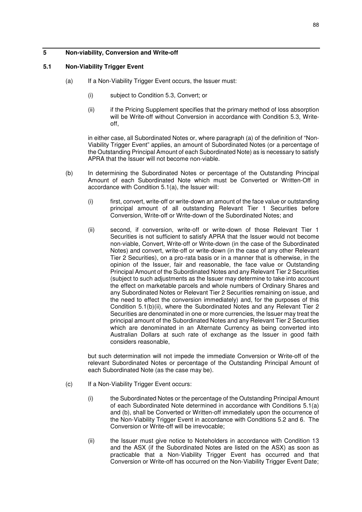# **5 Non-viability, Conversion and Write-off**

# **5.1 Non-Viability Trigger Event**

- (a) If a Non-Viability Trigger Event occurs, the Issuer must:
	- (i) subject to Condition 5.3, Convert; or
	- (ii) if the Pricing Supplement specifies that the primary method of loss absorption will be Write-off without Conversion in accordance with Condition 5.3, Writeoff,

in either case, all Subordinated Notes or, where paragraph (a) of the definition of "Non-Viability Trigger Event" applies, an amount of Subordinated Notes (or a percentage of the Outstanding Principal Amount of each Subordinated Note) as is necessary to satisfy APRA that the Issuer will not become non-viable.

- (b) In determining the Subordinated Notes or percentage of the Outstanding Principal Amount of each Subordinated Note which must be Converted or Written-Off in accordance with Condition 5.1(a), the Issuer will:
	- (i) first, convert, write-off or write-down an amount of the face value or outstanding principal amount of all outstanding Relevant Tier 1 Securities before Conversion, Write-off or Write-down of the Subordinated Notes; and
	- (ii) second, if conversion, write-off or write-down of those Relevant Tier 1 Securities is not sufficient to satisfy APRA that the Issuer would not become non-viable, Convert, Write-off or Write-down (in the case of the Subordinated Notes) and convert, write-off or write-down (in the case of any other Relevant Tier 2 Securities), on a pro-rata basis or in a manner that is otherwise, in the opinion of the Issuer, fair and reasonable, the face value or Outstanding Principal Amount of the Subordinated Notes and any Relevant Tier 2 Securities (subject to such adjustments as the Issuer may determine to take into account the effect on marketable parcels and whole numbers of Ordinary Shares and any Subordinated Notes or Relevant Tier 2 Securities remaining on issue, and the need to effect the conversion immediately) and, for the purposes of this Condition 5.1(b)(ii), where the Subordinated Notes and any Relevant Tier 2 Securities are denominated in one or more currencies, the Issuer may treat the principal amount of the Subordinated Notes and any Relevant Tier 2 Securities which are denominated in an Alternate Currency as being converted into Australian Dollars at such rate of exchange as the Issuer in good faith considers reasonable,

but such determination will not impede the immediate Conversion or Write-off of the relevant Subordinated Notes or percentage of the Outstanding Principal Amount of each Subordinated Note (as the case may be).

- (c) If a Non-Viability Trigger Event occurs:
	- (i) the Subordinated Notes or the percentage of the Outstanding Principal Amount of each Subordinated Note determined in accordance with Conditions 5.1(a) and (b), shall be Converted or Written-off immediately upon the occurrence of the Non-Viability Trigger Event in accordance with Conditions 5.2 and 6. The Conversion or Write-off will be irrevocable;
	- (ii) the Issuer must give notice to Noteholders in accordance with Condition 13 and the ASX (if the Subordinated Notes are listed on the ASX) as soon as practicable that a Non-Viability Trigger Event has occurred and that Conversion or Write-off has occurred on the Non-Viability Trigger Event Date;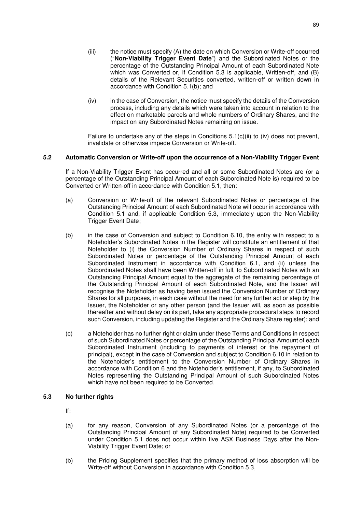- (iii) the notice must specify (A) the date on which Conversion or Write-off occurred ("**Non-Viability Trigger Event Date**") and the Subordinated Notes or the percentage of the Outstanding Principal Amount of each Subordinated Note which was Converted or, if Condition 5.3 is applicable, Written-off, and (B) details of the Relevant Securities converted, written-off or written down in accordance with Condition 5.1(b); and
- (iv) in the case of Conversion, the notice must specify the details of the Conversion process, including any details which were taken into account in relation to the effect on marketable parcels and whole numbers of Ordinary Shares, and the impact on any Subordinated Notes remaining on issue.

Failure to undertake any of the steps in Conditions  $5.1(c)(ii)$  to (iv) does not prevent, invalidate or otherwise impede Conversion or Write-off.

# **5.2 Automatic Conversion or Write-off upon the occurrence of a Non-Viability Trigger Event**

If a Non-Viability Trigger Event has occurred and all or some Subordinated Notes are (or a percentage of the Outstanding Principal Amount of each Subordinated Note is) required to be Converted or Written-off in accordance with Condition 5.1, then:

- (a) Conversion or Write-off of the relevant Subordinated Notes or percentage of the Outstanding Principal Amount of each Subordinated Note will occur in accordance with Condition 5.1 and, if applicable Condition 5.3, immediately upon the Non-Viability Trigger Event Date;
- (b) in the case of Conversion and subject to Condition 6.10, the entry with respect to a Noteholder's Subordinated Notes in the Register will constitute an entitlement of that Noteholder to (i) the Conversion Number of Ordinary Shares in respect of such Subordinated Notes or percentage of the Outstanding Principal Amount of each Subordinated Instrument in accordance with Condition 6.1, and (ii) unless the Subordinated Notes shall have been Written-off in full, to Subordinated Notes with an Outstanding Principal Amount equal to the aggregate of the remaining percentage of the Outstanding Principal Amount of each Subordinated Note, and the Issuer will recognise the Noteholder as having been issued the Conversion Number of Ordinary Shares for all purposes, in each case without the need for any further act or step by the Issuer, the Noteholder or any other person (and the Issuer will, as soon as possible thereafter and without delay on its part, take any appropriate procedural steps to record such Conversion, including updating the Register and the Ordinary Share register); and
- (c) a Noteholder has no further right or claim under these Terms and Conditions in respect of such Subordinated Notes or percentage of the Outstanding Principal Amount of each Subordinated Instrument (including to payments of interest or the repayment of principal), except in the case of Conversion and subject to Condition 6.10 in relation to the Noteholder's entitlement to the Conversion Number of Ordinary Shares in accordance with Condition 6 and the Noteholder's entitlement, if any, to Subordinated Notes representing the Outstanding Principal Amount of such Subordinated Notes which have not been required to be Converted.

# **5.3 No further rights**

- If:
- (a) for any reason, Conversion of any Subordinated Notes (or a percentage of the Outstanding Principal Amount of any Subordinated Note) required to be Converted under Condition 5.1 does not occur within five ASX Business Days after the Non-Viability Trigger Event Date; or
- (b) the Pricing Supplement specifies that the primary method of loss absorption will be Write-off without Conversion in accordance with Condition 5.3,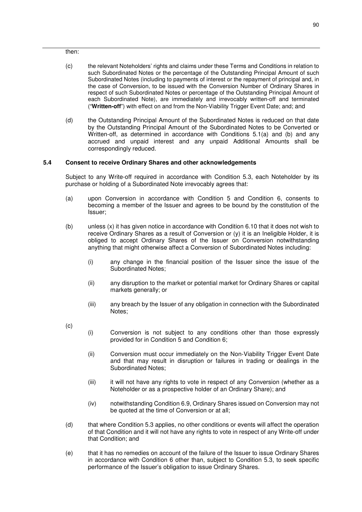then:

- (c) the relevant Noteholders' rights and claims under these Terms and Conditions in relation to such Subordinated Notes or the percentage of the Outstanding Principal Amount of such Subordinated Notes (including to payments of interest or the repayment of principal and, in the case of Conversion, to be issued with the Conversion Number of Ordinary Shares in respect of such Subordinated Notes or percentage of the Outstanding Principal Amount of each Subordinated Note), are immediately and irrevocably written-off and terminated ("**Written-off**") with effect on and from the Non-Viability Trigger Event Date; and; and
- (d) the Outstanding Principal Amount of the Subordinated Notes is reduced on that date by the Outstanding Principal Amount of the Subordinated Notes to be Converted or Written-off, as determined in accordance with Conditions 5.1(a) and (b) and any accrued and unpaid interest and any unpaid Additional Amounts shall be correspondingly reduced.

# **5.4 Consent to receive Ordinary Shares and other acknowledgements**

Subject to any Write-off required in accordance with Condition 5.3, each Noteholder by its purchase or holding of a Subordinated Note irrevocably agrees that:

- (a) upon Conversion in accordance with Condition 5 and Condition 6, consents to becoming a member of the Issuer and agrees to be bound by the constitution of the Issuer;
- (b) unless (x) it has given notice in accordance with Condition 6.10 that it does not wish to receive Ordinary Shares as a result of Conversion or  $(y)$  it is an Ineligible Holder, it is obliged to accept Ordinary Shares of the Issuer on Conversion notwithstanding anything that might otherwise affect a Conversion of Subordinated Notes including:
	- (i) any change in the financial position of the Issuer since the issue of the Subordinated Notes;
	- (ii) any disruption to the market or potential market for Ordinary Shares or capital markets generally; or
	- (iii) any breach by the Issuer of any obligation in connection with the Subordinated Notes;

(c)

- (i) Conversion is not subject to any conditions other than those expressly provided for in Condition 5 and Condition 6;
- (ii) Conversion must occur immediately on the Non-Viability Trigger Event Date and that may result in disruption or failures in trading or dealings in the Subordinated Notes;
- (iii) it will not have any rights to vote in respect of any Conversion (whether as a Noteholder or as a prospective holder of an Ordinary Share); and
- (iv) notwithstanding Condition 6.9, Ordinary Shares issued on Conversion may not be quoted at the time of Conversion or at all;
- (d) that where Condition 5.3 applies, no other conditions or events will affect the operation of that Condition and it will not have any rights to vote in respect of any Write-off under that Condition; and
- (e) that it has no remedies on account of the failure of the Issuer to issue Ordinary Shares in accordance with Condition 6 other than, subject to Condition 5.3, to seek specific performance of the Issuer's obligation to issue Ordinary Shares.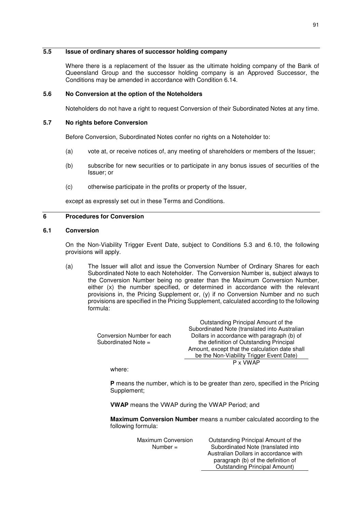# **5.5 Issue of ordinary shares of successor holding company**

Where there is a replacement of the Issuer as the ultimate holding company of the Bank of Queensland Group and the successor holding company is an Approved Successor, the Conditions may be amended in accordance with Condition 6.14.

# **5.6 No Conversion at the option of the Noteholders**

Noteholders do not have a right to request Conversion of their Subordinated Notes at any time.

# **5.7 No rights before Conversion**

Before Conversion, Subordinated Notes confer no rights on a Noteholder to:

- (a) vote at, or receive notices of, any meeting of shareholders or members of the Issuer;
- (b) subscribe for new securities or to participate in any bonus issues of securities of the Issuer; or
- (c) otherwise participate in the profits or property of the Issuer,

except as expressly set out in these Terms and Conditions.

# **6 Procedures for Conversion**

# **6.1 Conversion**

On the Non-Viability Trigger Event Date, subject to Conditions 5.3 and 6.10, the following provisions will apply.

(a) The Issuer will allot and issue the Conversion Number of Ordinary Shares for each Subordinated Note to each Noteholder. The Conversion Number is, subject always to the Conversion Number being no greater than the Maximum Conversion Number, either (x) the number specified, or determined in accordance with the relevant provisions in, the Pricing Supplement or, (y) if no Conversion Number and no such provisions are specified in the Pricing Supplement, calculated according to the following formula:

|                            | Outstanding Principal Amount of the            |
|----------------------------|------------------------------------------------|
|                            | Subordinated Note (translated into Australian  |
| Conversion Number for each | Dollars in accordance with paragraph (b) of    |
| Subordinated Note =        | the definition of Outstanding Principal        |
|                            | Amount, except that the calculation date shall |
|                            | be the Non-Viability Trigger Event Date)       |
|                            | P x VWAP                                       |
|                            |                                                |

where:

**P** means the number, which is to be greater than zero, specified in the Pricing Supplement;

**VWAP** means the VWAP during the VWAP Period; and

**Maximum Conversion Number** means a number calculated according to the following formula:

> Maximum Conversion Number =

Outstanding Principal Amount of the Subordinated Note (translated into Australian Dollars in accordance with paragraph (b) of the definition of Outstanding Principal Amount)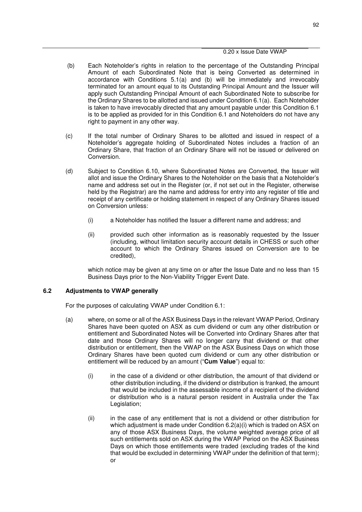- (b) Each Noteholder's rights in relation to the percentage of the Outstanding Principal Amount of each Subordinated Note that is being Converted as determined in accordance with Conditions 5.1(a) and (b) will be immediately and irrevocably terminated for an amount equal to its Outstanding Principal Amount and the Issuer will apply such Outstanding Principal Amount of each Subordinated Note to subscribe for the Ordinary Shares to be allotted and issued under Condition 6.1(a). Each Noteholder is taken to have irrevocably directed that any amount payable under this Condition 6.1 is to be applied as provided for in this Condition 6.1 and Noteholders do not have any right to payment in any other way.
- (c) If the total number of Ordinary Shares to be allotted and issued in respect of a Noteholder's aggregate holding of Subordinated Notes includes a fraction of an Ordinary Share, that fraction of an Ordinary Share will not be issued or delivered on Conversion.
- (d) Subject to Condition 6.10, where Subordinated Notes are Converted, the Issuer will allot and issue the Ordinary Shares to the Noteholder on the basis that a Noteholder's name and address set out in the Register (or, if not set out in the Register, otherwise held by the Registrar) are the name and address for entry into any register of title and receipt of any certificate or holding statement in respect of any Ordinary Shares issued on Conversion unless:
	- (i) a Noteholder has notified the Issuer a different name and address; and
	- (ii) provided such other information as is reasonably requested by the Issuer (including, without limitation security account details in CHESS or such other account to which the Ordinary Shares issued on Conversion are to be credited),

which notice may be given at any time on or after the Issue Date and no less than 15 Business Days prior to the Non-Viability Trigger Event Date.

# **6.2 Adjustments to VWAP generally**

For the purposes of calculating VWAP under Condition 6.1:

- (a) where, on some or all of the ASX Business Days in the relevant VWAP Period, Ordinary Shares have been quoted on ASX as cum dividend or cum any other distribution or entitlement and Subordinated Notes will be Converted into Ordinary Shares after that date and those Ordinary Shares will no longer carry that dividend or that other distribution or entitlement, then the VWAP on the ASX Business Days on which those Ordinary Shares have been quoted cum dividend or cum any other distribution or entitlement will be reduced by an amount ("**Cum Value**") equal to:
	- (i) in the case of a dividend or other distribution, the amount of that dividend or other distribution including, if the dividend or distribution is franked, the amount that would be included in the assessable income of a recipient of the dividend or distribution who is a natural person resident in Australia under the Tax Legislation;
	- (ii) in the case of any entitlement that is not a dividend or other distribution for which adjustment is made under Condition 6.2(a)(i) which is traded on ASX on any of those ASX Business Days, the volume weighted average price of all such entitlements sold on ASX during the VWAP Period on the ASX Business Days on which those entitlements were traded (excluding trades of the kind that would be excluded in determining VWAP under the definition of that term); or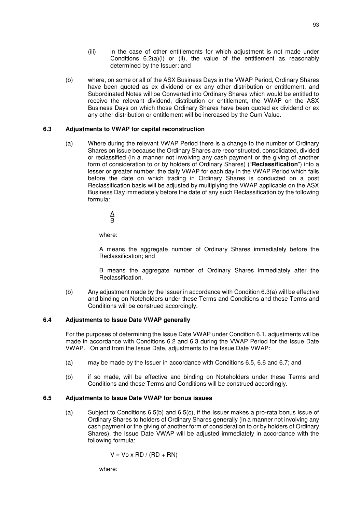- (iii) in the case of other entitlements for which adjustment is not made under Conditions 6.2(a)(i) or (ii), the value of the entitlement as reasonably determined by the Issuer; and
- (b) where, on some or all of the ASX Business Days in the VWAP Period, Ordinary Shares have been quoted as ex dividend or ex any other distribution or entitlement, and Subordinated Notes will be Converted into Ordinary Shares which would be entitled to receive the relevant dividend, distribution or entitlement, the VWAP on the ASX Business Days on which those Ordinary Shares have been quoted ex dividend or ex any other distribution or entitlement will be increased by the Cum Value.

# **6.3 Adjustments to VWAP for capital reconstruction**

(a) Where during the relevant VWAP Period there is a change to the number of Ordinary Shares on issue because the Ordinary Shares are reconstructed, consolidated, divided or reclassified (in a manner not involving any cash payment or the giving of another form of consideration to or by holders of Ordinary Shares) ("**Reclassification**") into a lesser or greater number, the daily VWAP for each day in the VWAP Period which falls before the date on which trading in Ordinary Shares is conducted on a post Reclassification basis will be adjusted by multiplying the VWAP applicable on the ASX Business Day immediately before the date of any such Reclassification by the following formula:

> A B

where:

A means the aggregate number of Ordinary Shares immediately before the Reclassification; and

B means the aggregate number of Ordinary Shares immediately after the Reclassification.

(b) Any adjustment made by the Issuer in accordance with Condition 6.3(a) will be effective and binding on Noteholders under these Terms and Conditions and these Terms and Conditions will be construed accordingly.

# **6.4 Adjustments to Issue Date VWAP generally**

For the purposes of determining the Issue Date VWAP under Condition 6.1, adjustments will be made in accordance with Conditions 6.2 and 6.3 during the VWAP Period for the Issue Date VWAP. On and from the Issue Date, adjustments to the Issue Date VWAP:

- (a) may be made by the Issuer in accordance with Conditions 6.5, 6.6 and 6.7; and
- (b) if so made, will be effective and binding on Noteholders under these Terms and Conditions and these Terms and Conditions will be construed accordingly.

# **6.5 Adjustments to Issue Date VWAP for bonus issues**

(a) Subject to Conditions 6.5(b) and 6.5(c), if the Issuer makes a pro-rata bonus issue of Ordinary Shares to holders of Ordinary Shares generally (in a manner not involving any cash payment or the giving of another form of consideration to or by holders of Ordinary Shares), the Issue Date VWAP will be adjusted immediately in accordance with the following formula:

$$
V = Vo \times RD / (RD + RN)
$$

where: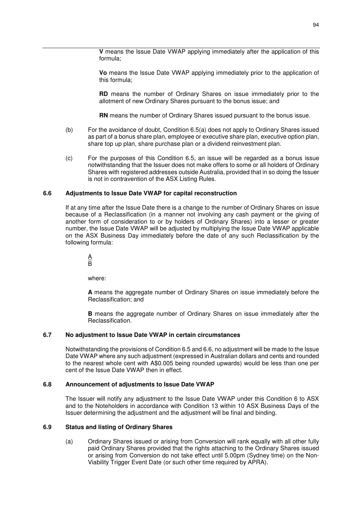**V** means the Issue Date VWAP applying immediately after the application of this formula;

**Vo** means the Issue Date VWAP applying immediately prior to the application of this formula;

**RD** means the number of Ordinary Shares on issue immediately prior to the allotment of new Ordinary Shares pursuant to the bonus issue; and

**RN** means the number of Ordinary Shares issued pursuant to the bonus issue.

- (b) For the avoidance of doubt, Condition 6.5(a) does not apply to Ordinary Shares issued as part of a bonus share plan, employee or executive share plan, executive option plan, share top up plan, share purchase plan or a dividend reinvestment plan.
- (c) For the purposes of this Condition 6.5, an issue will be regarded as a bonus issue notwithstanding that the Issuer does not make offers to some or all holders of Ordinary Shares with registered addresses outside Australia, provided that in so doing the Issuer is not in contravention of the ASX Listing Rules.

## **6.6 Adjustments to Issue Date VWAP for capital reconstruction**

If at any time after the Issue Date there is a change to the number of Ordinary Shares on issue because of a Reclassification (in a manner not involving any cash payment or the giving of another form of consideration to or by holders of Ordinary Shares) into a lesser or greater number, the Issue Date VWAP will be adjusted by multiplying the Issue Date VWAP applicable on the ASX Business Day immediately before the date of any such Reclassification by the following formula:

 $\underline{A}$  $\overline{B}$ 

where:

**A** means the aggregate number of Ordinary Shares on issue immediately before the Reclassification; and

**B** means the aggregate number of Ordinary Shares on issue immediately after the Reclassification.

#### **6.7 No adjustment to Issue Date VWAP in certain circumstances**

Notwithstanding the provisions of Condition 6.5 and 6.6, no adjustment will be made to the Issue Date VWAP where any such adjustment (expressed in Australian dollars and cents and rounded to the nearest whole cent with A\$0.005 being rounded upwards) would be less than one per cent of the Issue Date VWAP then in effect.

#### **6.8 Announcement of adjustments to Issue Date VWAP**

The Issuer will notify any adjustment to the Issue Date VWAP under this Condition 6 to ASX and to the Noteholders in accordance with Condition 13 within 10 ASX Business Days of the Issuer determining the adjustment and the adjustment will be final and binding.

## **6.9 Status and listing of Ordinary Shares**

(a) Ordinary Shares issued or arising from Conversion will rank equally with all other fully paid Ordinary Shares provided that the rights attaching to the Ordinary Shares issued or arising from Conversion do not take effect until 5.00pm (Sydney time) on the Non-Viability Trigger Event Date (or such other time required by APRA).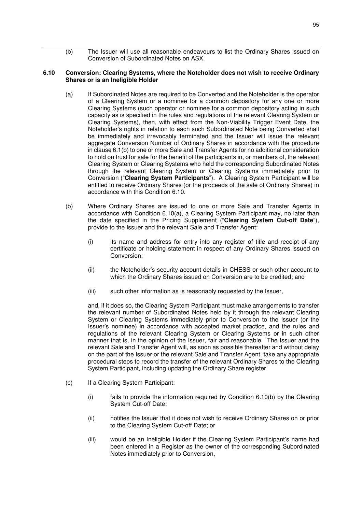(b) The Issuer will use all reasonable endeavours to list the Ordinary Shares issued on Conversion of Subordinated Notes on ASX.

### **6.10 Conversion: Clearing Systems, where the Noteholder does not wish to receive Ordinary Shares or is an Ineligible Holder**

- (a) If Subordinated Notes are required to be Converted and the Noteholder is the operator of a Clearing System or a nominee for a common depository for any one or more Clearing Systems (such operator or nominee for a common depository acting in such capacity as is specified in the rules and regulations of the relevant Clearing System or Clearing Systems), then, with effect from the Non-Viability Trigger Event Date, the Noteholder's rights in relation to each such Subordinated Note being Converted shall be immediately and irrevocably terminated and the Issuer will issue the relevant aggregate Conversion Number of Ordinary Shares in accordance with the procedure in clause 6.1(b) to one or more Sale and Transfer Agents for no additional consideration to hold on trust for sale for the benefit of the participants in, or members of, the relevant Clearing System or Clearing Systems who held the corresponding Subordinated Notes through the relevant Clearing System or Clearing Systems immediately prior to Conversion ("**Clearing System Participants**"). A Clearing System Participant will be entitled to receive Ordinary Shares (or the proceeds of the sale of Ordinary Shares) in accordance with this Condition 6.10.
- (b) Where Ordinary Shares are issued to one or more Sale and Transfer Agents in accordance with Condition 6.10(a), a Clearing System Participant may, no later than the date specified in the Pricing Supplement ("**Clearing System Cut-off Date**"), provide to the Issuer and the relevant Sale and Transfer Agent:
	- (i) its name and address for entry into any register of title and receipt of any certificate or holding statement in respect of any Ordinary Shares issued on Conversion;
	- (ii) the Noteholder's security account details in CHESS or such other account to which the Ordinary Shares issued on Conversion are to be credited; and
	- (iii) such other information as is reasonably requested by the Issuer,

and, if it does so, the Clearing System Participant must make arrangements to transfer the relevant number of Subordinated Notes held by it through the relevant Clearing System or Clearing Systems immediately prior to Conversion to the Issuer (or the Issuer's nominee) in accordance with accepted market practice, and the rules and regulations of the relevant Clearing System or Clearing Systems or in such other manner that is, in the opinion of the Issuer, fair and reasonable. The Issuer and the relevant Sale and Transfer Agent will, as soon as possible thereafter and without delay on the part of the Issuer or the relevant Sale and Transfer Agent, take any appropriate procedural steps to record the transfer of the relevant Ordinary Shares to the Clearing System Participant, including updating the Ordinary Share register.

- (c) If a Clearing System Participant:
	- (i) fails to provide the information required by Condition 6.10(b) by the Clearing System Cut-off Date;
	- (ii) notifies the Issuer that it does not wish to receive Ordinary Shares on or prior to the Clearing System Cut-off Date; or
	- (iii) would be an Ineligible Holder if the Clearing System Participant's name had been entered in a Register as the owner of the corresponding Subordinated Notes immediately prior to Conversion,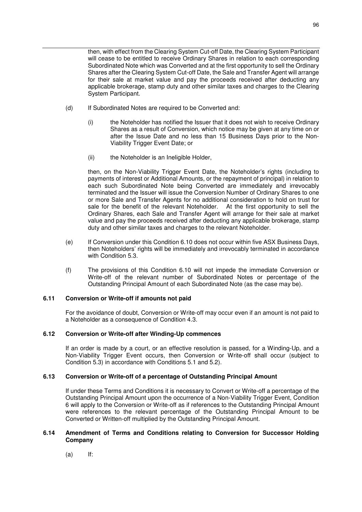then, with effect from the Clearing System Cut-off Date, the Clearing System Participant will cease to be entitled to receive Ordinary Shares in relation to each corresponding Subordinated Note which was Converted and at the first opportunity to sell the Ordinary Shares after the Clearing System Cut-off Date, the Sale and Transfer Agent will arrange for their sale at market value and pay the proceeds received after deducting any applicable brokerage, stamp duty and other similar taxes and charges to the Clearing System Participant.

- (d) If Subordinated Notes are required to be Converted and:
	- (i) the Noteholder has notified the Issuer that it does not wish to receive Ordinary Shares as a result of Conversion, which notice may be given at any time on or after the Issue Date and no less than 15 Business Days prior to the Non-Viability Trigger Event Date; or
	- (ii) the Noteholder is an Ineligible Holder,

then, on the Non-Viability Trigger Event Date, the Noteholder's rights (including to payments of interest or Additional Amounts, or the repayment of principal) in relation to each such Subordinated Note being Converted are immediately and irrevocably terminated and the Issuer will issue the Conversion Number of Ordinary Shares to one or more Sale and Transfer Agents for no additional consideration to hold on trust for sale for the benefit of the relevant Noteholder. At the first opportunity to sell the Ordinary Shares, each Sale and Transfer Agent will arrange for their sale at market value and pay the proceeds received after deducting any applicable brokerage, stamp duty and other similar taxes and charges to the relevant Noteholder.

- (e) If Conversion under this Condition 6.10 does not occur within five ASX Business Days, then Noteholders' rights will be immediately and irrevocably terminated in accordance with Condition 5.3.
- (f) The provisions of this Condition 6.10 will not impede the immediate Conversion or Write-off of the relevant number of Subordinated Notes or percentage of the Outstanding Principal Amount of each Subordinated Note (as the case may be).

## **6.11 Conversion or Write-off if amounts not paid**

For the avoidance of doubt, Conversion or Write-off may occur even if an amount is not paid to a Noteholder as a consequence of Condition 4.3.

## **6.12 Conversion or Write-off after Winding-Up commences**

If an order is made by a court, or an effective resolution is passed, for a Winding-Up, and a Non-Viability Trigger Event occurs, then Conversion or Write-off shall occur (subject to Condition 5.3) in accordance with Conditions 5.1 and 5.2).

# **6.13 Conversion or Write-off of a percentage of Outstanding Principal Amount**

If under these Terms and Conditions it is necessary to Convert or Write-off a percentage of the Outstanding Principal Amount upon the occurrence of a Non-Viability Trigger Event, Condition 6 will apply to the Conversion or Write-off as if references to the Outstanding Principal Amount were references to the relevant percentage of the Outstanding Principal Amount to be Converted or Written-off multiplied by the Outstanding Principal Amount.

## **6.14 Amendment of Terms and Conditions relating to Conversion for Successor Holding Company**

 $(a)$  If: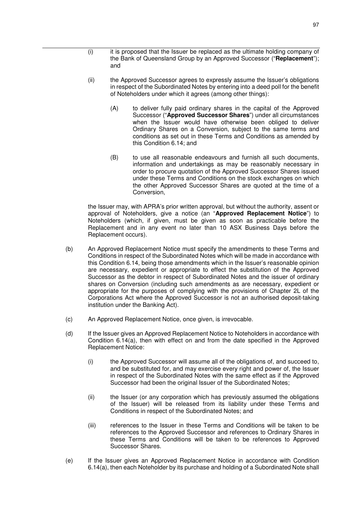- (i) it is proposed that the Issuer be replaced as the ultimate holding company of the Bank of Queensland Group by an Approved Successor ("**Replacement**"); and
- (ii) the Approved Successor agrees to expressly assume the Issuer's obligations in respect of the Subordinated Notes by entering into a deed poll for the benefit of Noteholders under which it agrees (among other things):
	- (A) to deliver fully paid ordinary shares in the capital of the Approved Successor ("**Approved Successor Shares**") under all circumstances when the Issuer would have otherwise been obliged to deliver Ordinary Shares on a Conversion, subject to the same terms and conditions as set out in these Terms and Conditions as amended by this Condition 6.14; and
	- (B) to use all reasonable endeavours and furnish all such documents, information and undertakings as may be reasonably necessary in order to procure quotation of the Approved Successor Shares issued under these Terms and Conditions on the stock exchanges on which the other Approved Successor Shares are quoted at the time of a Conversion,

the Issuer may, with APRA's prior written approval, but without the authority, assent or approval of Noteholders, give a notice (an "**Approved Replacement Notice**") to Noteholders (which, if given, must be given as soon as practicable before the Replacement and in any event no later than 10 ASX Business Days before the Replacement occurs).

- (b) An Approved Replacement Notice must specify the amendments to these Terms and Conditions in respect of the Subordinated Notes which will be made in accordance with this Condition 6.14, being those amendments which in the Issuer's reasonable opinion are necessary, expedient or appropriate to effect the substitution of the Approved Successor as the debtor in respect of Subordinated Notes and the issuer of ordinary shares on Conversion (including such amendments as are necessary, expedient or appropriate for the purposes of complying with the provisions of Chapter 2L of the Corporations Act where the Approved Successor is not an authorised deposit-taking institution under the Banking Act).
- (c) An Approved Replacement Notice, once given, is irrevocable.
- (d) If the Issuer gives an Approved Replacement Notice to Noteholders in accordance with Condition 6.14(a), then with effect on and from the date specified in the Approved Replacement Notice:
	- (i) the Approved Successor will assume all of the obligations of, and succeed to, and be substituted for, and may exercise every right and power of, the Issuer in respect of the Subordinated Notes with the same effect as if the Approved Successor had been the original Issuer of the Subordinated Notes;
	- (ii) the Issuer (or any corporation which has previously assumed the obligations of the Issuer) will be released from its liability under these Terms and Conditions in respect of the Subordinated Notes; and
	- (iii) references to the Issuer in these Terms and Conditions will be taken to be references to the Approved Successor and references to Ordinary Shares in these Terms and Conditions will be taken to be references to Approved Successor Shares.
- (e) If the Issuer gives an Approved Replacement Notice in accordance with Condition 6.14(a), then each Noteholder by its purchase and holding of a Subordinated Note shall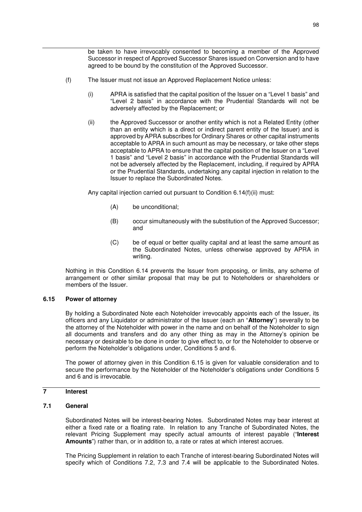be taken to have irrevocably consented to becoming a member of the Approved Successor in respect of Approved Successor Shares issued on Conversion and to have agreed to be bound by the constitution of the Approved Successor.

- (f) The Issuer must not issue an Approved Replacement Notice unless:
	- (i) APRA is satisfied that the capital position of the Issuer on a "Level 1 basis" and "Level 2 basis" in accordance with the Prudential Standards will not be adversely affected by the Replacement; or
	- (ii) the Approved Successor or another entity which is not a Related Entity (other than an entity which is a direct or indirect parent entity of the Issuer) and is approved by APRA subscribes for Ordinary Shares or other capital instruments acceptable to APRA in such amount as may be necessary, or take other steps acceptable to APRA to ensure that the capital position of the Issuer on a "Level 1 basis" and "Level 2 basis" in accordance with the Prudential Standards will not be adversely affected by the Replacement, including, if required by APRA or the Prudential Standards, undertaking any capital injection in relation to the Issuer to replace the Subordinated Notes.

Any capital injection carried out pursuant to Condition 6.14(f)(ii) must:

- (A) be unconditional;
- (B) occur simultaneously with the substitution of the Approved Successor; and
- (C) be of equal or better quality capital and at least the same amount as the Subordinated Notes, unless otherwise approved by APRA in writing.

Nothing in this Condition 6.14 prevents the Issuer from proposing, or limits, any scheme of arrangement or other similar proposal that may be put to Noteholders or shareholders or members of the Issuer.

# **6.15 Power of attorney**

By holding a Subordinated Note each Noteholder irrevocably appoints each of the Issuer, its officers and any Liquidator or administrator of the Issuer (each an "**Attorney**") severally to be the attorney of the Noteholder with power in the name and on behalf of the Noteholder to sign all documents and transfers and do any other thing as may in the Attorney's opinion be necessary or desirable to be done in order to give effect to, or for the Noteholder to observe or perform the Noteholder's obligations under, Conditions 5 and 6.

The power of attorney given in this Condition 6.15 is given for valuable consideration and to secure the performance by the Noteholder of the Noteholder's obligations under Conditions 5 and 6 and is irrevocable.

# **7 Interest**

# **7.1 General**

Subordinated Notes will be interest-bearing Notes. Subordinated Notes may bear interest at either a fixed rate or a floating rate. In relation to any Tranche of Subordinated Notes, the relevant Pricing Supplement may specify actual amounts of interest payable ("**Interest Amounts**") rather than, or in addition to, a rate or rates at which interest accrues.

The Pricing Supplement in relation to each Tranche of interest-bearing Subordinated Notes will specify which of Conditions 7.2, 7.3 and 7.4 will be applicable to the Subordinated Notes.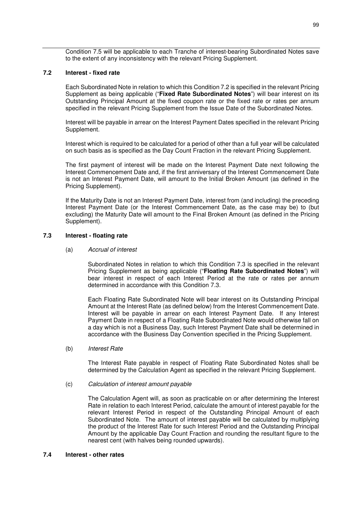Condition 7.5 will be applicable to each Tranche of interest-bearing Subordinated Notes save to the extent of any inconsistency with the relevant Pricing Supplement.

## **7.2 Interest - fixed rate**

Each Subordinated Note in relation to which this Condition 7.2 is specified in the relevant Pricing Supplement as being applicable ("**Fixed Rate Subordinated Notes**") will bear interest on its Outstanding Principal Amount at the fixed coupon rate or the fixed rate or rates per annum specified in the relevant Pricing Supplement from the Issue Date of the Subordinated Notes.

Interest will be payable in arrear on the Interest Payment Dates specified in the relevant Pricing Supplement.

Interest which is required to be calculated for a period of other than a full year will be calculated on such basis as is specified as the Day Count Fraction in the relevant Pricing Supplement.

The first payment of interest will be made on the Interest Payment Date next following the Interest Commencement Date and, if the first anniversary of the Interest Commencement Date is not an Interest Payment Date, will amount to the Initial Broken Amount (as defined in the Pricing Supplement).

If the Maturity Date is not an Interest Payment Date, interest from (and including) the preceding Interest Payment Date (or the Interest Commencement Date, as the case may be) to (but excluding) the Maturity Date will amount to the Final Broken Amount (as defined in the Pricing Supplement).

#### **7.3 Interest - floating rate**

#### (a) *Accrual of interest*

Subordinated Notes in relation to which this Condition 7.3 is specified in the relevant Pricing Supplement as being applicable ("**Floating Rate Subordinated Notes**") will bear interest in respect of each Interest Period at the rate or rates per annum determined in accordance with this Condition 7.3.

Each Floating Rate Subordinated Note will bear interest on its Outstanding Principal Amount at the Interest Rate (as defined below) from the Interest Commencement Date. Interest will be payable in arrear on each Interest Payment Date. If any Interest Payment Date in respect of a Floating Rate Subordinated Note would otherwise fall on a day which is not a Business Day, such Interest Payment Date shall be determined in accordance with the Business Day Convention specified in the Pricing Supplement.

#### (b) *Interest Rate*

The Interest Rate payable in respect of Floating Rate Subordinated Notes shall be determined by the Calculation Agent as specified in the relevant Pricing Supplement.

#### (c) *Calculation of interest amount payable*

The Calculation Agent will, as soon as practicable on or after determining the Interest Rate in relation to each Interest Period, calculate the amount of interest payable for the relevant Interest Period in respect of the Outstanding Principal Amount of each Subordinated Note. The amount of interest payable will be calculated by multiplying the product of the Interest Rate for such Interest Period and the Outstanding Principal Amount by the applicable Day Count Fraction and rounding the resultant figure to the nearest cent (with halves being rounded upwards).

#### **7.4 Interest - other rates**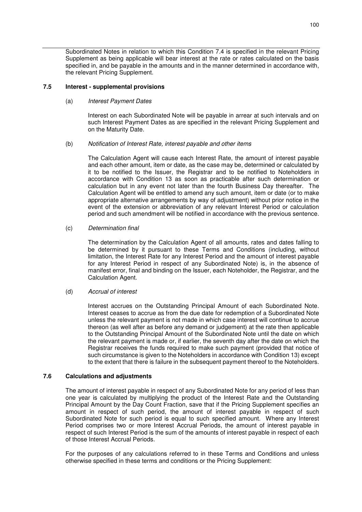Subordinated Notes in relation to which this Condition 7.4 is specified in the relevant Pricing Supplement as being applicable will bear interest at the rate or rates calculated on the basis specified in, and be payable in the amounts and in the manner determined in accordance with, the relevant Pricing Supplement.

#### **7.5 Interest - supplemental provisions**

## (a) *Interest Payment Dates*

Interest on each Subordinated Note will be payable in arrear at such intervals and on such Interest Payment Dates as are specified in the relevant Pricing Supplement and on the Maturity Date.

#### (b) *Notification of Interest Rate, interest payable and other items*

The Calculation Agent will cause each Interest Rate, the amount of interest payable and each other amount, item or date, as the case may be, determined or calculated by it to be notified to the Issuer, the Registrar and to be notified to Noteholders in accordance with Condition 13 as soon as practicable after such determination or calculation but in any event not later than the fourth Business Day thereafter. The Calculation Agent will be entitled to amend any such amount, item or date (or to make appropriate alternative arrangements by way of adjustment) without prior notice in the event of the extension or abbreviation of any relevant Interest Period or calculation period and such amendment will be notified in accordance with the previous sentence.

#### (c) *Determination final*

The determination by the Calculation Agent of all amounts, rates and dates falling to be determined by it pursuant to these Terms and Conditions (including, without limitation, the Interest Rate for any Interest Period and the amount of interest payable for any Interest Period in respect of any Subordinated Note) is, in the absence of manifest error, final and binding on the Issuer, each Noteholder, the Registrar, and the Calculation Agent.

## (d) *Accrual of interest*

Interest accrues on the Outstanding Principal Amount of each Subordinated Note. Interest ceases to accrue as from the due date for redemption of a Subordinated Note unless the relevant payment is not made in which case interest will continue to accrue thereon (as well after as before any demand or judgement) at the rate then applicable to the Outstanding Principal Amount of the Subordinated Note until the date on which the relevant payment is made or, if earlier, the seventh day after the date on which the Registrar receives the funds required to make such payment (provided that notice of such circumstance is given to the Noteholders in accordance with Condition 13) except to the extent that there is failure in the subsequent payment thereof to the Noteholders.

# **7.6 Calculations and adjustments**

The amount of interest payable in respect of any Subordinated Note for any period of less than one year is calculated by multiplying the product of the Interest Rate and the Outstanding Principal Amount by the Day Count Fraction, save that if the Pricing Supplement specifies an amount in respect of such period, the amount of interest payable in respect of such Subordinated Note for such period is equal to such specified amount. Where any Interest Period comprises two or more Interest Accrual Periods, the amount of interest payable in respect of such Interest Period is the sum of the amounts of interest payable in respect of each of those Interest Accrual Periods.

For the purposes of any calculations referred to in these Terms and Conditions and unless otherwise specified in these terms and conditions or the Pricing Supplement: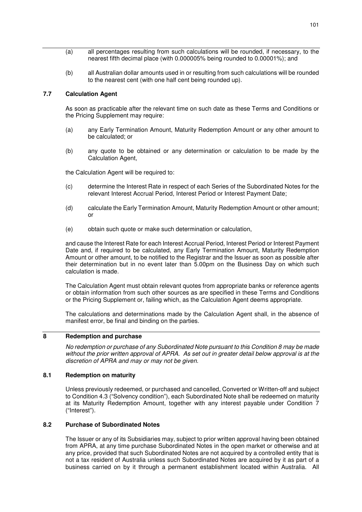- (a) all percentages resulting from such calculations will be rounded, if necessary, to the nearest fifth decimal place (with 0.000005% being rounded to 0.00001%); and
- (b) all Australian dollar amounts used in or resulting from such calculations will be rounded to the nearest cent (with one half cent being rounded up).

# **7.7 Calculation Agent**

As soon as practicable after the relevant time on such date as these Terms and Conditions or the Pricing Supplement may require:

- (a) any Early Termination Amount, Maturity Redemption Amount or any other amount to be calculated; or
- (b) any quote to be obtained or any determination or calculation to be made by the Calculation Agent,

the Calculation Agent will be required to:

- (c) determine the Interest Rate in respect of each Series of the Subordinated Notes for the relevant Interest Accrual Period, Interest Period or Interest Payment Date;
- (d) calculate the Early Termination Amount, Maturity Redemption Amount or other amount; or
- (e) obtain such quote or make such determination or calculation,

and cause the Interest Rate for each Interest Accrual Period, Interest Period or Interest Payment Date and, if required to be calculated, any Early Termination Amount, Maturity Redemption Amount or other amount, to be notified to the Registrar and the Issuer as soon as possible after their determination but in no event later than 5.00pm on the Business Day on which such calculation is made.

The Calculation Agent must obtain relevant quotes from appropriate banks or reference agents or obtain information from such other sources as are specified in these Terms and Conditions or the Pricing Supplement or, failing which, as the Calculation Agent deems appropriate.

The calculations and determinations made by the Calculation Agent shall, in the absence of manifest error, be final and binding on the parties.

# **8 Redemption and purchase**

*No redemption or purchase of any Subordinated Note pursuant to this Condition 8 may be made without the prior written approval of APRA. As set out in greater detail below approval is at the discretion of APRA and may or may not be given.* 

## **8.1 Redemption on maturity**

Unless previously redeemed, or purchased and cancelled, Converted or Written-off and subject to Condition 4.3 ("Solvency condition"), each Subordinated Note shall be redeemed on maturity at its Maturity Redemption Amount, together with any interest payable under Condition 7 ("Interest").

# **8.2 Purchase of Subordinated Notes**

The Issuer or any of its Subsidiaries may, subject to prior written approval having been obtained from APRA, at any time purchase Subordinated Notes in the open market or otherwise and at any price, provided that such Subordinated Notes are not acquired by a controlled entity that is not a tax resident of Australia unless such Subordinated Notes are acquired by it as part of a business carried on by it through a permanent establishment located within Australia. All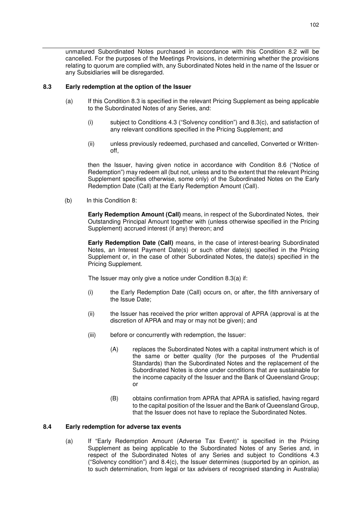unmatured Subordinated Notes purchased in accordance with this Condition 8.2 will be cancelled. For the purposes of the Meetings Provisions, in determining whether the provisions relating to quorum are complied with, any Subordinated Notes held in the name of the Issuer or any Subsidiaries will be disregarded.

# **8.3 Early redemption at the option of the Issuer**

- (a) If this Condition 8.3 is specified in the relevant Pricing Supplement as being applicable to the Subordinated Notes of any Series, and:
	- (i) subject to Conditions 4.3 ("Solvency condition") and 8.3(c), and satisfaction of any relevant conditions specified in the Pricing Supplement; and
	- (ii) unless previously redeemed, purchased and cancelled, Converted or Writtenoff,

then the Issuer, having given notice in accordance with Condition 8.6 ("Notice of Redemption") may redeem all (but not, unless and to the extent that the relevant Pricing Supplement specifies otherwise, some only) of the Subordinated Notes on the Early Redemption Date (Call) at the Early Redemption Amount (Call).

(b) In this Condition 8:

**Early Redemption Amount (Call)** means, in respect of the Subordinated Notes, their Outstanding Principal Amount together with (unless otherwise specified in the Pricing Supplement) accrued interest (if any) thereon; and

**Early Redemption Date (Call)** means, in the case of interest-bearing Subordinated Notes, an Interest Payment Date(s) or such other date(s) specified in the Pricing Supplement or, in the case of other Subordinated Notes, the date(s) specified in the Pricing Supplement.

The Issuer may only give a notice under Condition 8.3(a) if:

- (i) the Early Redemption Date (Call) occurs on, or after, the fifth anniversary of the Issue Date;
- (ii) the Issuer has received the prior written approval of APRA (approval is at the discretion of APRA and may or may not be given); and
- (iii) before or concurrently with redemption, the Issuer:
	- (A) replaces the Subordinated Notes with a capital instrument which is of the same or better quality (for the purposes of the Prudential Standards) than the Subordinated Notes and the replacement of the Subordinated Notes is done under conditions that are sustainable for the income capacity of the Issuer and the Bank of Queensland Group; or
	- (B) obtains confirmation from APRA that APRA is satisfied, having regard to the capital position of the Issuer and the Bank of Queensland Group, that the Issuer does not have to replace the Subordinated Notes.

## **8.4 Early redemption for adverse tax events**

(a) If "Early Redemption Amount (Adverse Tax Event)" is specified in the Pricing Supplement as being applicable to the Subordinated Notes of any Series and, in respect of the Subordinated Notes of any Series and subject to Conditions 4.3 ("Solvency condition") and  $8.4(c)$ , the Issuer determines (supported by an opinion, as to such determination, from legal or tax advisers of recognised standing in Australia)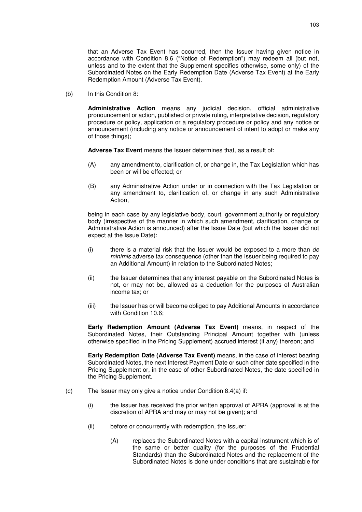that an Adverse Tax Event has occurred, then the Issuer having given notice in accordance with Condition 8.6 ("Notice of Redemption") may redeem all (but not, unless and to the extent that the Supplement specifies otherwise, some only) of the Subordinated Notes on the Early Redemption Date (Adverse Tax Event) at the Early Redemption Amount (Adverse Tax Event).

(b) In this Condition 8:

**Administrative Action** means any judicial decision, official administrative pronouncement or action, published or private ruling, interpretative decision, regulatory procedure or policy, application or a regulatory procedure or policy and any notice or announcement (including any notice or announcement of intent to adopt or make any of those things);

**Adverse Tax Event** means the Issuer determines that, as a result of:

- (A) any amendment to, clarification of, or change in, the Tax Legislation which has been or will be effected; or
- (B) any Administrative Action under or in connection with the Tax Legislation or any amendment to, clarification of, or change in any such Administrative Action,

being in each case by any legislative body, court, government authority or regulatory body (irrespective of the manner in which such amendment, clarification, change or Administrative Action is announced) after the Issue Date (but which the Issuer did not expect at the Issue Date):

- (i) there is a material risk that the Issuer would be exposed to a more than *de minimis* adverse tax consequence (other than the Issuer being required to pay an Additional Amount) in relation to the Subordinated Notes;
- (ii) the Issuer determines that any interest payable on the Subordinated Notes is not, or may not be, allowed as a deduction for the purposes of Australian income tax; or
- (iii) the Issuer has or will become obliged to pay Additional Amounts in accordance with Condition 10.6;

**Early Redemption Amount (Adverse Tax Event)** means, in respect of the Subordinated Notes, their Outstanding Principal Amount together with (unless otherwise specified in the Pricing Supplement) accrued interest (if any) thereon; and

**Early Redemption Date (Adverse Tax Event)** means, in the case of interest bearing Subordinated Notes, the next Interest Payment Date or such other date specified in the Pricing Supplement or, in the case of other Subordinated Notes, the date specified in the Pricing Supplement.

- (c) The Issuer may only give a notice under Condition 8.4(a) if:
	- (i) the Issuer has received the prior written approval of APRA (approval is at the discretion of APRA and may or may not be given); and
	- (ii) before or concurrently with redemption, the Issuer:
		- (A) replaces the Subordinated Notes with a capital instrument which is of the same or better quality (for the purposes of the Prudential Standards) than the Subordinated Notes and the replacement of the Subordinated Notes is done under conditions that are sustainable for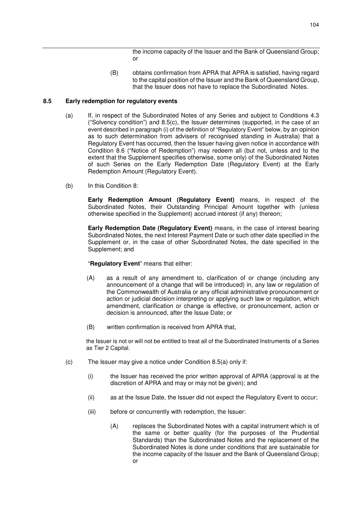the income capacity of the Issuer and the Bank of Queensland Group; or

(B) obtains confirmation from APRA that APRA is satisfied, having regard to the capital position of the Issuer and the Bank of Queensland Group, that the Issuer does not have to replace the Subordinated Notes.

#### **8.5 Early redemption for regulatory events**

- (a) If, in respect of the Subordinated Notes of any Series and subject to Conditions 4.3 ("Solvency condition") and 8.5(c), the Issuer determines (supported, in the case of an event described in paragraph (i) of the definition of "Regulatory Event" below, by an opinion as to such determination from advisers of recognised standing in Australia) that a Regulatory Event has occurred, then the Issuer having given notice in accordance with Condition 8.6 ("Notice of Redemption") may redeem all (but not, unless and to the extent that the Supplement specifies otherwise, some only) of the Subordinated Notes of such Series on the Early Redemption Date (Regulatory Event) at the Early Redemption Amount (Regulatory Event).
- (b) In this Condition 8:

**Early Redemption Amount (Regulatory Event)** means, in respect of the Subordinated Notes, their Outstanding Principal Amount together with (unless otherwise specified in the Supplement) accrued interest (if any) thereon;

**Early Redemption Date (Regulatory Event)** means, in the case of interest bearing Subordinated Notes, the next Interest Payment Date or such other date specified in the Supplement or, in the case of other Subordinated Notes, the date specified in the Supplement; and

"**Regulatory Event**" means that either:

- (A) as a result of any amendment to, clarification of or change (including any announcement of a change that will be introduced) in, any law or regulation of the Commonwealth of Australia or any official administrative pronouncement or action or judicial decision interpreting or applying such law or regulation, which amendment, clarification or change is effective, or pronouncement, action or decision is announced, after the Issue Date; or
- (B) written confirmation is received from APRA that,

the Issuer is not or will not be entitled to treat all of the Subordinated Instruments of a Series as Tier 2 Capital.

- (c) The Issuer may give a notice under Condition 8.5(a) only if:
	- (i) the Issuer has received the prior written approval of APRA (approval is at the discretion of APRA and may or may not be given); and
	- (ii) as at the Issue Date, the Issuer did not expect the Regulatory Event to occur;
	- (iii) before or concurrently with redemption, the Issuer:
		- (A) replaces the Subordinated Notes with a capital instrument which is of the same or better quality (for the purposes of the Prudential Standards) than the Subordinated Notes and the replacement of the Subordinated Notes is done under conditions that are sustainable for the income capacity of the Issuer and the Bank of Queensland Group; or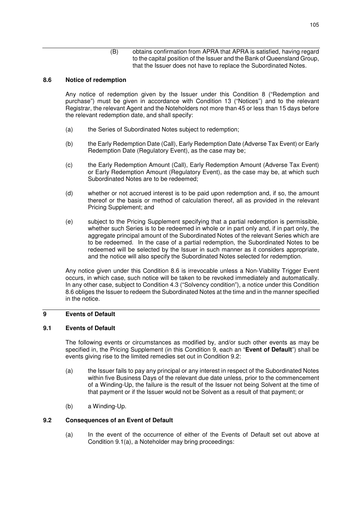(B) obtains confirmation from APRA that APRA is satisfied, having regard to the capital position of the Issuer and the Bank of Queensland Group, that the Issuer does not have to replace the Subordinated Notes.

# **8.6 Notice of redemption**

Any notice of redemption given by the Issuer under this Condition 8 ("Redemption and purchase") must be given in accordance with Condition 13 ("Notices") and to the relevant Registrar, the relevant Agent and the Noteholders not more than 45 or less than 15 days before the relevant redemption date, and shall specify:

- (a) the Series of Subordinated Notes subject to redemption;
- (b) the Early Redemption Date (Call), Early Redemption Date (Adverse Tax Event) or Early Redemption Date (Regulatory Event), as the case may be;
- (c) the Early Redemption Amount (Call), Early Redemption Amount (Adverse Tax Event) or Early Redemption Amount (Regulatory Event), as the case may be, at which such Subordinated Notes are to be redeemed;
- (d) whether or not accrued interest is to be paid upon redemption and, if so, the amount thereof or the basis or method of calculation thereof, all as provided in the relevant Pricing Supplement; and
- (e) subject to the Pricing Supplement specifying that a partial redemption is permissible, whether such Series is to be redeemed in whole or in part only and, if in part only, the aggregate principal amount of the Subordinated Notes of the relevant Series which are to be redeemed. In the case of a partial redemption, the Subordinated Notes to be redeemed will be selected by the Issuer in such manner as it considers appropriate, and the notice will also specify the Subordinated Notes selected for redemption.

Any notice given under this Condition 8.6 is irrevocable unless a Non-Viability Trigger Event occurs, in which case, such notice will be taken to be revoked immediately and automatically. In any other case, subject to Condition 4.3 ("Solvency condition"), a notice under this Condition 8.6 obliges the Issuer to redeem the Subordinated Notes at the time and in the manner specified in the notice.

# **9 Events of Default**

## **9.1 Events of Default**

The following events or circumstances as modified by, and/or such other events as may be specified in, the Pricing Supplement (in this Condition 9, each an "**Event of Default**") shall be events giving rise to the limited remedies set out in Condition 9.2:

- (a) the Issuer fails to pay any principal or any interest in respect of the Subordinated Notes within five Business Days of the relevant due date unless, prior to the commencement of a Winding-Up, the failure is the result of the Issuer not being Solvent at the time of that payment or if the Issuer would not be Solvent as a result of that payment; or
- (b) a Winding-Up.

## **9.2 Consequences of an Event of Default**

(a) In the event of the occurrence of either of the Events of Default set out above at Condition 9.1(a), a Noteholder may bring proceedings: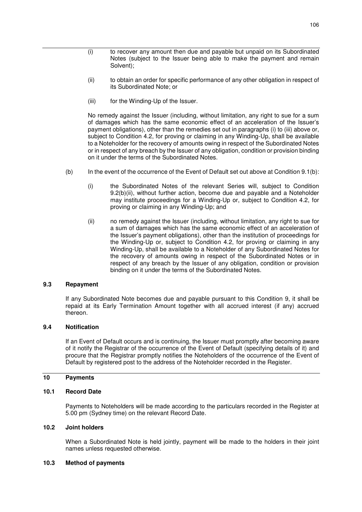- (i) to recover any amount then due and payable but unpaid on its Subordinated Notes (subject to the Issuer being able to make the payment and remain Solvent);
- (ii) to obtain an order for specific performance of any other obligation in respect of its Subordinated Note; or
- (iii) for the Winding-Up of the Issuer.

No remedy against the Issuer (including, without limitation, any right to sue for a sum of damages which has the same economic effect of an acceleration of the Issuer's payment obligations), other than the remedies set out in paragraphs (i) to (iii) above or, subject to Condition 4.2, for proving or claiming in any Winding-Up, shall be available to a Noteholder for the recovery of amounts owing in respect of the Subordinated Notes or in respect of any breach by the Issuer of any obligation, condition or provision binding on it under the terms of the Subordinated Notes.

- (b) In the event of the occurrence of the Event of Default set out above at Condition 9.1(b):
	- (i) the Subordinated Notes of the relevant Series will, subject to Condition 9.2(b)(ii), without further action, become due and payable and a Noteholder may institute proceedings for a Winding-Up or, subject to Condition 4.2, for proving or claiming in any Winding-Up; and
	- (ii) no remedy against the Issuer (including, without limitation, any right to sue for a sum of damages which has the same economic effect of an acceleration of the Issuer's payment obligations), other than the institution of proceedings for the Winding-Up or, subject to Condition 4.2, for proving or claiming in any Winding-Up, shall be available to a Noteholder of any Subordinated Notes for the recovery of amounts owing in respect of the Subordinated Notes or in respect of any breach by the Issuer of any obligation, condition or provision binding on it under the terms of the Subordinated Notes.

#### **9.3 Repayment**

If any Subordinated Note becomes due and payable pursuant to this Condition 9, it shall be repaid at its Early Termination Amount together with all accrued interest (if any) accrued thereon.

# **9.4 Notification**

If an Event of Default occurs and is continuing, the Issuer must promptly after becoming aware of it notify the Registrar of the occurrence of the Event of Default (specifying details of it) and procure that the Registrar promptly notifies the Noteholders of the occurrence of the Event of Default by registered post to the address of the Noteholder recorded in the Register.

#### **10 Payments**

# **10.1 Record Date**

Payments to Noteholders will be made according to the particulars recorded in the Register at 5.00 pm (Sydney time) on the relevant Record Date.

#### **10.2 Joint holders**

When a Subordinated Note is held jointly, payment will be made to the holders in their joint names unless requested otherwise.

#### **10.3 Method of payments**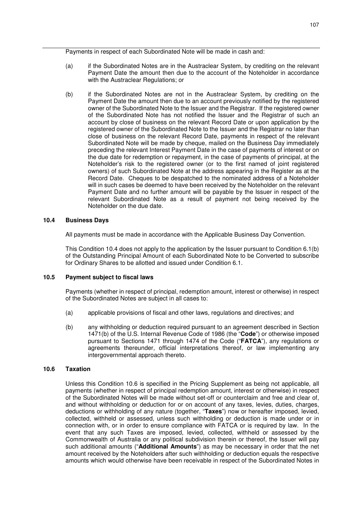Payments in respect of each Subordinated Note will be made in cash and:

- (a) if the Subordinated Notes are in the Austraclear System, by crediting on the relevant Payment Date the amount then due to the account of the Noteholder in accordance with the Austraclear Regulations; or
- (b) if the Subordinated Notes are not in the Austraclear System, by crediting on the Payment Date the amount then due to an account previously notified by the registered owner of the Subordinated Note to the Issuer and the Registrar. If the registered owner of the Subordinated Note has not notified the Issuer and the Registrar of such an account by close of business on the relevant Record Date or upon application by the registered owner of the Subordinated Note to the Issuer and the Registrar no later than close of business on the relevant Record Date, payments in respect of the relevant Subordinated Note will be made by cheque, mailed on the Business Day immediately preceding the relevant Interest Payment Date in the case of payments of interest or on the due date for redemption or repayment, in the case of payments of principal, at the Noteholder's risk to the registered owner (or to the first named of joint registered owners) of such Subordinated Note at the address appearing in the Register as at the Record Date. Cheques to be despatched to the nominated address of a Noteholder will in such cases be deemed to have been received by the Noteholder on the relevant Payment Date and no further amount will be payable by the Issuer in respect of the relevant Subordinated Note as a result of payment not being received by the Noteholder on the due date.

## **10.4 Business Days**

All payments must be made in accordance with the Applicable Business Day Convention.

This Condition 10.4 does not apply to the application by the Issuer pursuant to Condition 6.1(b) of the Outstanding Principal Amount of each Subordinated Note to be Converted to subscribe for Ordinary Shares to be allotted and issued under Condition 6.1.

## **10.5 Payment subject to fiscal laws**

Payments (whether in respect of principal, redemption amount, interest or otherwise) in respect of the Subordinated Notes are subject in all cases to:

- (a) applicable provisions of fiscal and other laws, regulations and directives; and
- (b) any withholding or deduction required pursuant to an agreement described in Section 1471(b) of the U.S. Internal Revenue Code of 1986 (the "**Code**") or otherwise imposed pursuant to Sections 1471 through 1474 of the Code ("**FATCA**"), any regulations or agreements thereunder, official interpretations thereof, or law implementing any intergovernmental approach thereto.

# **10.6 Taxation**

Unless this Condition 10.6 is specified in the Pricing Supplement as being not applicable, all payments (whether in respect of principal redemption amount, interest or otherwise) in respect of the Subordinated Notes will be made without set-off or counterclaim and free and clear of, and without withholding or deduction for or on account of any taxes, levies, duties, charges, deductions or withholding of any nature (together, "**Taxes**") now or hereafter imposed, levied, collected, withheld or assessed, unless such withholding or deduction is made under or in connection with, or in order to ensure compliance with FATCA or is required by law. In the event that any such Taxes are imposed, levied, collected, withheld or assessed by the Commonwealth of Australia or any political subdivision therein or thereof, the Issuer will pay such additional amounts ("**Additional Amounts**") as may be necessary in order that the net amount received by the Noteholders after such withholding or deduction equals the respective amounts which would otherwise have been receivable in respect of the Subordinated Notes in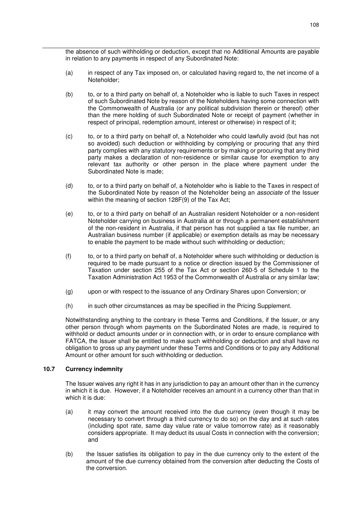the absence of such withholding or deduction, except that no Additional Amounts are payable in relation to any payments in respect of any Subordinated Note:

- (a) in respect of any Tax imposed on, or calculated having regard to, the net income of a Noteholder;
- (b) to, or to a third party on behalf of, a Noteholder who is liable to such Taxes in respect of such Subordinated Note by reason of the Noteholders having some connection with the Commonwealth of Australia (or any political subdivision therein or thereof) other than the mere holding of such Subordinated Note or receipt of payment (whether in respect of principal, redemption amount, interest or otherwise) in respect of it;
- (c) to, or to a third party on behalf of, a Noteholder who could lawfully avoid (but has not so avoided) such deduction or withholding by complying or procuring that any third party complies with any statutory requirements or by making or procuring that any third party makes a declaration of non-residence or similar cause for exemption to any relevant tax authority or other person in the place where payment under the Subordinated Note is made;
- (d) to, or to a third party on behalf of, a Noteholder who is liable to the Taxes in respect of the Subordinated Note by reason of the Noteholder being an *associate* of the Issuer within the meaning of section 128F(9) of the Tax Act;
- (e) to, or to a third party on behalf of an Australian resident Noteholder or a non-resident Noteholder carrying on business in Australia at or through a permanent establishment of the non-resident in Australia, if that person has not supplied a tax file number, an Australian business number (if applicable) or exemption details as may be necessary to enable the payment to be made without such withholding or deduction;
- (f) to, or to a third party on behalf of, a Noteholder where such withholding or deduction is required to be made pursuant to a notice or direction issued by the Commissioner of Taxation under section 255 of the Tax Act or section 260-5 of Schedule 1 to the Taxation Administration Act 1953 of the Commonwealth of Australia or any similar law;
- (g) upon or with respect to the issuance of any Ordinary Shares upon Conversion; or
- (h) in such other circumstances as may be specified in the Pricing Supplement.

Notwithstanding anything to the contrary in these Terms and Conditions, if the Issuer, or any other person through whom payments on the Subordinated Notes are made, is required to withhold or deduct amounts under or in connection with, or in order to ensure compliance with FATCA, the Issuer shall be entitled to make such withholding or deduction and shall have no obligation to gross up any payment under these Terms and Conditions or to pay any Additional Amount or other amount for such withholding or deduction.

## **10.7 Currency indemnity**

The Issuer waives any right it has in any jurisdiction to pay an amount other than in the currency in which it is due. However, if a Noteholder receives an amount in a currency other than that in which it is due:

- (a) it may convert the amount received into the due currency (even though it may be necessary to convert through a third currency to do so) on the day and at such rates (including spot rate, same day value rate or value tomorrow rate) as it reasonably considers appropriate. It may deduct its usual Costs in connection with the conversion; and
- (b) the Issuer satisfies its obligation to pay in the due currency only to the extent of the amount of the due currency obtained from the conversion after deducting the Costs of the conversion.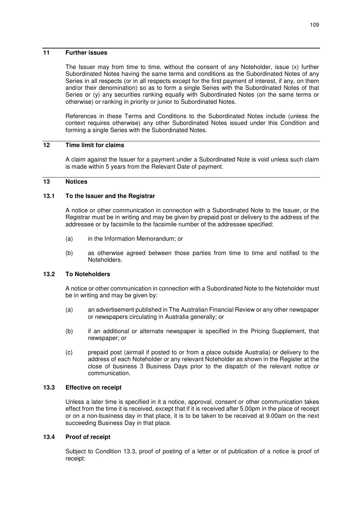## **11 Further issues**

The Issuer may from time to time, without the consent of any Noteholder, issue (x) further Subordinated Notes having the same terms and conditions as the Subordinated Notes of any Series in all respects (or in all respects except for the first payment of interest, if any, on them and/or their denomination) so as to form a single Series with the Subordinated Notes of that Series or (y) any securities ranking equally with Subordinated Notes (on the same terms or otherwise) or ranking in priority or junior to Subordinated Notes.

References in these Terms and Conditions to the Subordinated Notes include (unless the context requires otherwise) any other Subordinated Notes issued under this Condition and forming a single Series with the Subordinated Notes.

## **12 Time limit for claims**

A claim against the Issuer for a payment under a Subordinated Note is void unless such claim is made within 5 years from the Relevant Date of payment.

## **13 Notices**

#### **13.1 To the Issuer and the Registrar**

A notice or other communication in connection with a Subordinated Note to the Issuer, or the Registrar must be in writing and may be given by prepaid post or delivery to the address of the addressee or by facsimile to the facsimile number of the addressee specified:

- (a) in the Information Memorandum; or
- (b) as otherwise agreed between those parties from time to time and notified to the Noteholders.

## **13.2 To Noteholders**

A notice or other communication in connection with a Subordinated Note to the Noteholder must be in writing and may be given by:

- (a) an advertisement published in The Australian Financial Review or any other newspaper or newspapers circulating in Australia generally; or
- (b) if an additional or alternate newspaper is specified in the Pricing Supplement, that newspaper; or
- (c) prepaid post (airmail if posted to or from a place outside Australia) or delivery to the address of each Noteholder or any relevant Noteholder as shown in the Register at the close of business 3 Business Days prior to the dispatch of the relevant notice or communication.

#### **13.3 Effective on receipt**

Unless a later time is specified in it a notice, approval, consent or other communication takes effect from the time it is received, except that if it is received after 5.00pm in the place of receipt or on a non-business day in that place, it is to be taken to be received at 9.00am on the next succeeding Business Day in that place.

#### **13.4 Proof of receipt**

Subject to Condition 13.3, proof of posting of a letter or of publication of a notice is proof of receipt: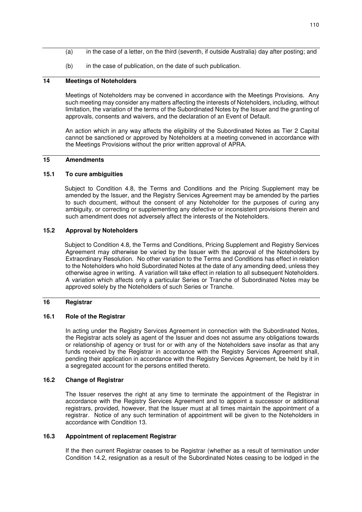- (a) in the case of a letter, on the third (seventh, if outside Australia) day after posting; and
- (b) in the case of publication, on the date of such publication.

## **14 Meetings of Noteholders**

Meetings of Noteholders may be convened in accordance with the Meetings Provisions. Any such meeting may consider any matters affecting the interests of Noteholders, including, without limitation, the variation of the terms of the Subordinated Notes by the Issuer and the granting of approvals, consents and waivers, and the declaration of an Event of Default.

An action which in any way affects the eligibility of the Subordinated Notes as Tier 2 Capital cannot be sanctioned or approved by Noteholders at a meeting convened in accordance with the Meetings Provisions without the prior written approval of APRA.

## **15 Amendments**

#### **15.1 To cure ambiguities**

Subject to Condition 4.8, the Terms and Conditions and the Pricing Supplement may be amended by the Issuer, and the Registry Services Agreement may be amended by the parties to such document, without the consent of any Noteholder for the purposes of curing any ambiguity, or correcting or supplementing any defective or inconsistent provisions therein and such amendment does not adversely affect the interests of the Noteholders.

### **15.2 Approval by Noteholders**

Subject to Condition 4.8, the Terms and Conditions, Pricing Supplement and Registry Services Agreement may otherwise be varied by the Issuer with the approval of the Noteholders by Extraordinary Resolution. No other variation to the Terms and Conditions has effect in relation to the Noteholders who hold Subordinated Notes at the date of any amending deed, unless they otherwise agree in writing. A variation will take effect in relation to all subsequent Noteholders. A variation which affects only a particular Series or Tranche of Subordinated Notes may be approved solely by the Noteholders of such Series or Tranche.

#### **16 Registrar**

#### **16.1 Role of the Registrar**

In acting under the Registry Services Agreement in connection with the Subordinated Notes, the Registrar acts solely as agent of the Issuer and does not assume any obligations towards or relationship of agency or trust for or with any of the Noteholders save insofar as that any funds received by the Registrar in accordance with the Registry Services Agreement shall, pending their application in accordance with the Registry Services Agreement, be held by it in a segregated account for the persons entitled thereto.

#### **16.2 Change of Registrar**

The Issuer reserves the right at any time to terminate the appointment of the Registrar in accordance with the Registry Services Agreement and to appoint a successor or additional registrars, provided, however, that the Issuer must at all times maintain the appointment of a registrar. Notice of any such termination of appointment will be given to the Noteholders in accordance with Condition 13.

### **16.3 Appointment of replacement Registrar**

If the then current Registrar ceases to be Registrar (whether as a result of termination under Condition 14.2, resignation as a result of the Subordinated Notes ceasing to be lodged in the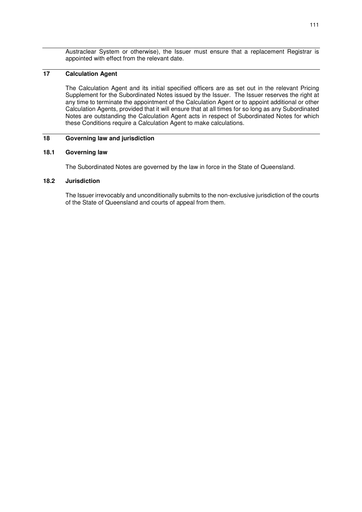Austraclear System or otherwise), the Issuer must ensure that a replacement Registrar is appointed with effect from the relevant date.

## **17 Calculation Agent**

The Calculation Agent and its initial specified officers are as set out in the relevant Pricing Supplement for the Subordinated Notes issued by the Issuer. The Issuer reserves the right at any time to terminate the appointment of the Calculation Agent or to appoint additional or other Calculation Agents, provided that it will ensure that at all times for so long as any Subordinated Notes are outstanding the Calculation Agent acts in respect of Subordinated Notes for which these Conditions require a Calculation Agent to make calculations.

## **18 Governing law and jurisdiction**

## **18.1 Governing law**

The Subordinated Notes are governed by the law in force in the State of Queensland.

#### **18.2 Jurisdiction**

The Issuer irrevocably and unconditionally submits to the non-exclusive jurisdiction of the courts of the State of Queensland and courts of appeal from them.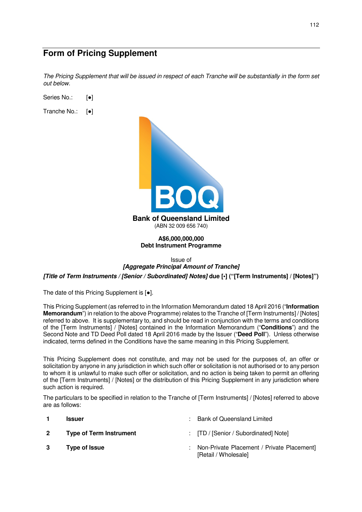# **Form of Pricing Supplement**

*The Pricing Supplement that will be issued in respect of each Tranche will be substantially in the form set out below.* 

Series No.: [●]

Tranche No.: [●]



**A\$6,000,000,000 Debt Instrument Programme** 

Issue of

## *[Aggregate Principal Amount of Tranche] [Title of Term Instruments / [Senior / Subordinated] Notes]* **due [•] ("[Term Instruments] / [Notes]")**

The date of this Pricing Supplement is [●].

This Pricing Supplement (as referred to in the Information Memorandum dated 18 April 2016 ("**Information Memorandum**") in relation to the above Programme) relates to the Tranche of [Term Instruments] / [Notes] referred to above. It is supplementary to, and should be read in conjunction with the terms and conditions of the [Term Instruments] / [Notes] contained in the Information Memorandum ("**Conditions**") and the Second Note and TD Deed Poll dated 18 April 2016 made by the Issuer ("**Deed Poll**"). Unless otherwise indicated, terms defined in the Conditions have the same meaning in this Pricing Supplement.

This Pricing Supplement does not constitute, and may not be used for the purposes of, an offer or solicitation by anyone in any jurisdiction in which such offer or solicitation is not authorised or to any person to whom it is unlawful to make such offer or solicitation, and no action is being taken to permit an offering of the [Term Instruments] / [Notes] or the distribution of this Pricing Supplement in any jurisdiction where such action is required.

The particulars to be specified in relation to the Tranche of [Term Instruments] / [Notes] referred to above are as follows:

[Retail / Wholesale]

|             | <b>Issuer</b>                  | : Bank of Queensland Limited                 |
|-------------|--------------------------------|----------------------------------------------|
| $2^{\circ}$ | <b>Type of Term Instrument</b> | : [TD / [Senior / Subordinated] Note]        |
|             | Type of Issue                  | : Non-Private Placement / Private Placement] |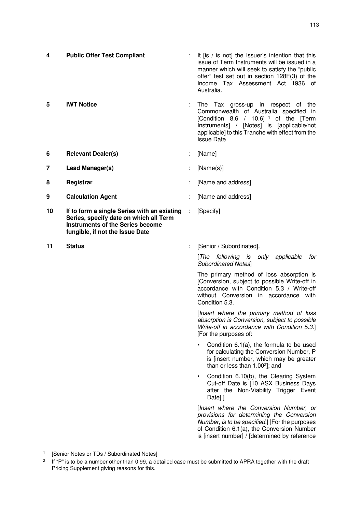| 4  | <b>Public Offer Test Compliant</b>                                                                                                                           | It [is / is not] the Issuer's intention that this<br>issue of Term Instruments will be issued in a<br>manner which will seek to satisfy the "public"<br>offer" test set out in section 128F(3) of the<br>Income Tax Assessment Act 1936 of<br>Australia. |
|----|--------------------------------------------------------------------------------------------------------------------------------------------------------------|----------------------------------------------------------------------------------------------------------------------------------------------------------------------------------------------------------------------------------------------------------|
| 5  | <b>IWT Notice</b>                                                                                                                                            | The Tax gross-up in respect of the<br>Commonwealth of Australia specified in<br>[Condition 8.6 / 10.6] <sup>1</sup> of the [Term<br>Instruments] / [Notes] is [applicable/not<br>applicable] to this Tranche with effect from the<br><b>Issue Date</b>   |
| 6  | <b>Relevant Dealer(s)</b>                                                                                                                                    | [Name]                                                                                                                                                                                                                                                   |
| 7  | Lead Manager(s)                                                                                                                                              | [Name(s)]                                                                                                                                                                                                                                                |
| 8  | Registrar                                                                                                                                                    | [Name and address]                                                                                                                                                                                                                                       |
| 9  | <b>Calculation Agent</b>                                                                                                                                     | [Name and address]                                                                                                                                                                                                                                       |
| 10 | If to form a single Series with an existing<br>Series, specify date on which all Term<br>Instruments of the Series become<br>fungible, if not the Issue Date | [Specify]                                                                                                                                                                                                                                                |
| 11 | <b>Status</b>                                                                                                                                                | [Senior / Subordinated].                                                                                                                                                                                                                                 |
|    |                                                                                                                                                              | [The following is only applicable<br>for<br><b>Subordinated Notes]</b>                                                                                                                                                                                   |
|    |                                                                                                                                                              | The primary method of loss absorption is<br>[Conversion, subject to possible Write-off in<br>accordance with Condition 5.3 / Write-off<br>without Conversion in accordance with<br>Condition 5.3.                                                        |
|    |                                                                                                                                                              | [Insert where the primary method of loss<br>absorption is Conversion, subject to possible<br>Write-off in accordance with Condition 5.3.]<br>[For the purposes of:                                                                                       |
|    |                                                                                                                                                              | Condition $6.1(a)$ , the formula to be used<br>for calculating the Conversion Number, P<br>is [insert number, which may be greater<br>than or less than 1.00 <sup>2</sup> ]; and                                                                         |
|    |                                                                                                                                                              | Condition 6.10(b), the Clearing System<br>Cut-off Date is [10 ASX Business Days<br>after the Non-Viability Trigger Event                                                                                                                                 |

[*Insert where the Conversion Number, or provisions for determining the Conversion Number, is to be specified.*] [For the purposes of Condition 6.1(a), the Conversion Number is [insert number] / [determined by reference

Date].]

<sup>|&</sup>lt;br>1 [Senior Notes or TDs / Subordinated Notes]

<sup>2</sup> If "P" is to be a number other than 0.99, a detailed case must be submitted to APRA together with the draft Pricing Supplement giving reasons for this.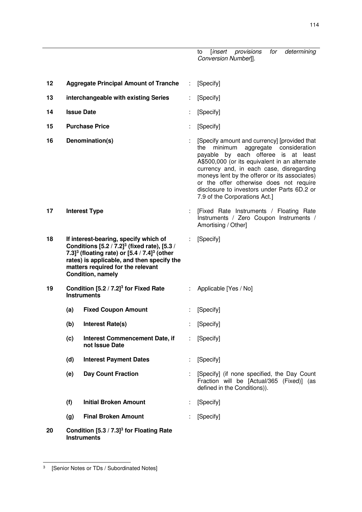to [*insert provisions for determining Conversion Number*]].

**12 Aggregate Principal Amount of Tranche** : [Specify] **13 interchangeable with existing Series** : [Specify] **14 Issue Date** : [Specify] **15 Purchase Price** : [Specify] **16 Denomination(s)** : [Specify amount and currency] [provided that the minimum aggregate consideration payable by each offeree is at least A\$500,000 (or its equivalent in an alternate currency and, in each case, disregarding moneys lent by the offeror or its associates) or the offer otherwise does not require disclosure to investors under Parts 6D.2 or 7.9 of the Corporations Act.] **17 Interest Type** : [Fixed Rate Instruments / Floating Rate Instruments / Zero Coupon Instruments / Amortising / Other] **18 If interest-bearing, specify which of Conditions [5.2 / 7.2]<sup>3</sup> (fixed rate), [5.3 / 7.3]<sup>3</sup> (floating rate) or [5.4 / 7.4]<sup>3</sup> (other rates) is applicable, and then specify the matters required for the relevant Condition, namely**  : [Specify] **19 Condition [5.2 / 7.2]<sup>3</sup> for Fixed Rate Instruments**  : Applicable [Yes / No]  **(a) Fixed Coupon Amount** : [Specify]  **(b) Interest Rate(s)** : [Specify]  **(c) Interest Commencement Date, if not Issue Date**  : [Specify]  **(d) Interest Payment Dates** : [Specify]  **(e) Day Count Fraction** : [Specify] (if none specified, the Day Count Fraction will be [Actual/365 (Fixed)] (as defined in the Conditions)).  **(f) Initial Broken Amount** : [Specify]  **(g) Final Broken Amount** : [Specify] **20 Condition [5.3 / 7.3]<sup>3</sup> for Floating Rate Instruments** 

-

<sup>3</sup> [Senior Notes or TDs / Subordinated Notes]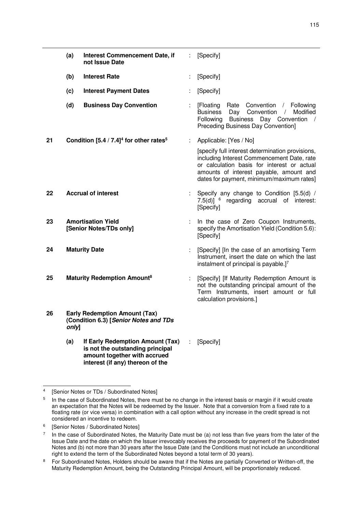|    | (a)   | Interest Commencement Date, if<br>not Issue Date                                                     | ÷  | [Specify]                                                                                                                                                                                                                             |
|----|-------|------------------------------------------------------------------------------------------------------|----|---------------------------------------------------------------------------------------------------------------------------------------------------------------------------------------------------------------------------------------|
|    | (b)   | <b>Interest Rate</b>                                                                                 | t. | [Specify]                                                                                                                                                                                                                             |
|    | (c)   | <b>Interest Payment Dates</b>                                                                        |    | [Specify]                                                                                                                                                                                                                             |
|    | (d)   | <b>Business Day Convention</b>                                                                       | ÷. | [Floating]<br>Rate Convention / Following<br><b>Business</b><br>Day Convention<br>$\frac{1}{2}$<br>Modified<br>Following<br><b>Business</b><br>Day Convention<br>$\sqrt{ }$<br>Preceding Business Day Convention]                     |
| 21 |       | Condition $[5.4/7.4]^4$ for other rates <sup>5</sup>                                                 | ÷  | Applicable: [Yes / No]                                                                                                                                                                                                                |
|    |       |                                                                                                      |    | [specify full interest determination provisions,<br>including Interest Commencement Date, rate<br>or calculation basis for interest or actual<br>amounts of interest payable, amount and<br>dates for payment, minimum/maximum rates] |
| 22 |       | <b>Accrual of interest</b>                                                                           |    | Specify any change to Condition [5.5(d) /<br>7.5(d)] <sup>6</sup> regarding accrual of interest:<br>[Specify]                                                                                                                         |
| 23 |       | <b>Amortisation Yield</b><br>[Senior Notes/TDs only]                                                 |    | In the case of Zero Coupon Instruments,<br>specify the Amortisation Yield (Condition 5.6):<br>[Specify]                                                                                                                               |
| 24 |       | <b>Maturity Date</b>                                                                                 | ÷  | [Specify] [In the case of an amortising Term<br>Instrument, insert the date on which the last<br>instalment of principal is payable.]7                                                                                                |
| 25 |       | <b>Maturity Redemption Amount<sup>8</sup></b>                                                        |    | [Specify] [If Maturity Redemption Amount is<br>not the outstanding principal amount of the<br>Term Instruments, insert amount or full<br>calculation provisions.]                                                                     |
| 26 | only] | <b>Early Redemption Amount (Tax)</b><br>(Condition 6.3) [Senior Notes and TDs                        |    |                                                                                                                                                                                                                                       |
|    | (a)   | If Early Redemption Amount (Tax)<br>is not the outstanding principal<br>amount together with accrued |    | [Specify]                                                                                                                                                                                                                             |

 $\frac{1}{4}$ [Senior Notes or TDs / Subordinated Notes]

**interest (if any) thereon of the** 

<sup>5</sup> In the case of Subordinated Notes, there must be no change in the interest basis or margin if it would create an expectation that the Notes will be redeemed by the Issuer. Note that a conversion from a fixed rate to a floating rate (or vice versa) in combination with a call option without any increase in the credit spread is not considered an incentive to redeem.

<sup>6</sup> [Senior Notes / Subordinated Notes]

<sup>7</sup> In the case of Subordinated Notes, the Maturity Date must be (a) not less than five years from the later of the Issue Date and the date on which the Issuer irrevocably receives the proceeds for payment of the Subordinated Notes and (b) not more than 30 years after the Issue Date (and the Conditions must not include an unconditional right to extend the term of the Subordinated Notes beyond a total term of 30 years).

<sup>8</sup> For Subordinated Notes, Holders should be aware that if the Notes are partially Converted or Written-off, the Maturity Redemption Amount, being the Outstanding Principal Amount, will be proportionately reduced.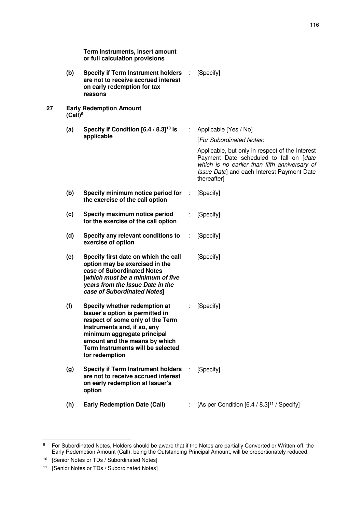|    |            | Term Instruments, insert amount<br>or full calculation provisions                                                                                                                                                                                          |   |                                                                                                                                                                                                          |
|----|------------|------------------------------------------------------------------------------------------------------------------------------------------------------------------------------------------------------------------------------------------------------------|---|----------------------------------------------------------------------------------------------------------------------------------------------------------------------------------------------------------|
|    | (b)        | <b>Specify if Term Instrument holders</b><br>are not to receive accrued interest<br>on early redemption for tax<br>reasons                                                                                                                                 | ÷ | [Specify]                                                                                                                                                                                                |
| 27 | $(Call)^9$ | <b>Early Redemption Amount</b>                                                                                                                                                                                                                             |   |                                                                                                                                                                                                          |
|    | (a)        | Specify if Condition $[6.4/8.3]^{10}$ is<br>applicable                                                                                                                                                                                                     | ÷ | Applicable [Yes / No]<br>[For Subordinated Notes:                                                                                                                                                        |
|    |            |                                                                                                                                                                                                                                                            |   |                                                                                                                                                                                                          |
|    |            |                                                                                                                                                                                                                                                            |   | Applicable, but only in respect of the Interest<br>Payment Date scheduled to fall on [date<br>which is no earlier than fifth anniversary of<br>Issue Date] and each Interest Payment Date<br>thereafter] |
|    | (b)        | Specify minimum notice period for<br>the exercise of the call option                                                                                                                                                                                       |   | [Specify]                                                                                                                                                                                                |
|    | (c)        | Specify maximum notice period<br>for the exercise of the call option                                                                                                                                                                                       |   | [Specify]                                                                                                                                                                                                |
|    | (d)        | Specify any relevant conditions to<br>exercise of option                                                                                                                                                                                                   |   | [Specify]                                                                                                                                                                                                |
|    | (e)        | Specify first date on which the call<br>option may be exercised in the<br>case of Subordinated Notes<br>[which must be a minimum of five<br>years from the Issue Date in the<br>case of Subordinated Notes]                                                |   | [Specify]                                                                                                                                                                                                |
|    | (f)        | Specify whether redemption at<br>Issuer's option is permitted in<br>respect of some only of the Term<br>Instruments and, if so, any<br>minimum aggregate principal<br>amount and the means by which<br>Term Instruments will be selected<br>for redemption |   | [Specify]                                                                                                                                                                                                |
|    | (g)        | <b>Specify if Term Instrument holders</b><br>are not to receive accrued interest<br>on early redemption at Issuer's<br>option                                                                                                                              |   | [Specify]                                                                                                                                                                                                |
|    | (h)        | <b>Early Redemption Date (Call)</b>                                                                                                                                                                                                                        |   | [As per Condition [6.4 / 8.3] <sup>11</sup> / Specify]                                                                                                                                                   |

<sup>–&</sup>lt;br>9 For Subordinated Notes, Holders should be aware that if the Notes are partially Converted or Written-off, the Early Redemption Amount (Call), being the Outstanding Principal Amount, will be proportionately reduced.

<sup>&</sup>lt;sup>10</sup> [Senior Notes or TDs / Subordinated Notes]

<sup>11</sup> [Senior Notes or TDs / Subordinated Notes]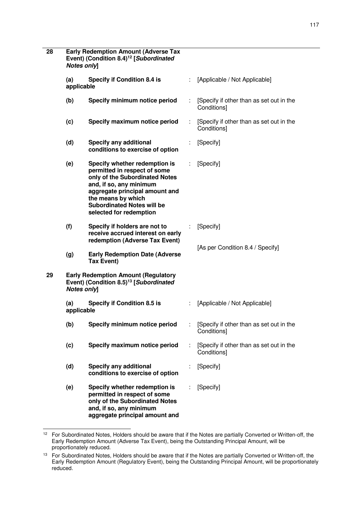| 28 | <b>Early Redemption Amount (Adverse Tax</b><br>Event) (Condition 8.4) <sup>12</sup> [Subordinated<br><b>Notes onlyl</b> |                                                                                                                                                                                                                                                    |   |                                                         |
|----|-------------------------------------------------------------------------------------------------------------------------|----------------------------------------------------------------------------------------------------------------------------------------------------------------------------------------------------------------------------------------------------|---|---------------------------------------------------------|
|    | (a)<br><b>Specify if Condition 8.4 is</b><br>applicable                                                                 |                                                                                                                                                                                                                                                    |   | [Applicable / Not Applicable]                           |
|    | (b)                                                                                                                     | Specify minimum notice period                                                                                                                                                                                                                      |   | [Specify if other than as set out in the<br>Conditions] |
|    | (c)                                                                                                                     | Specify maximum notice period                                                                                                                                                                                                                      | ÷ | [Specify if other than as set out in the<br>Conditions] |
|    | (d)                                                                                                                     | <b>Specify any additional</b><br>conditions to exercise of option                                                                                                                                                                                  |   | [Specify]                                               |
|    | (e)                                                                                                                     | Specify whether redemption is<br>permitted in respect of some<br>only of the Subordinated Notes<br>and, if so, any minimum<br>aggregate principal amount and<br>the means by which<br><b>Subordinated Notes will be</b><br>selected for redemption |   | [Specify]                                               |
|    | (f)                                                                                                                     | Specify if holders are not to<br>receive accrued interest on early<br>redemption (Adverse Tax Event)                                                                                                                                               |   | [Specify]                                               |
|    | (g)                                                                                                                     | <b>Early Redemption Date (Adverse</b><br><b>Tax Event)</b>                                                                                                                                                                                         |   | [As per Condition 8.4 / Specify]                        |
| 29 | <b>Notes onlyl</b>                                                                                                      | <b>Early Redemption Amount (Regulatory</b><br>Event) (Condition 8.5) <sup>13</sup> [Subordinated                                                                                                                                                   |   |                                                         |
|    | (a)<br>applicable                                                                                                       | <b>Specify if Condition 8.5 is</b>                                                                                                                                                                                                                 | ÷ | [Applicable / Not Applicable]                           |
|    | (b)                                                                                                                     | Specify minimum notice period                                                                                                                                                                                                                      |   | [Specify if other than as set out in the<br>Conditions] |
|    | (c)                                                                                                                     | Specify maximum notice period                                                                                                                                                                                                                      |   | [Specify if other than as set out in the<br>Conditions] |
|    | (d)                                                                                                                     | <b>Specify any additional</b><br>conditions to exercise of option                                                                                                                                                                                  |   | [Specify]                                               |
|    | (e)                                                                                                                     | Specify whether redemption is<br>permitted in respect of some<br>only of the Subordinated Notes<br>and, if so, any minimum<br>aggregate principal amount and                                                                                       |   | [Specify]                                               |

l  $12$  For Subordinated Notes, Holders should be aware that if the Notes are partially Converted or Written-off, the Early Redemption Amount (Adverse Tax Event), being the Outstanding Principal Amount, will be proportionately reduced.

<sup>&</sup>lt;sup>13</sup> For Subordinated Notes, Holders should be aware that if the Notes are partially Converted or Written-off, the Early Redemption Amount (Regulatory Event), being the Outstanding Principal Amount, will be proportionately reduced.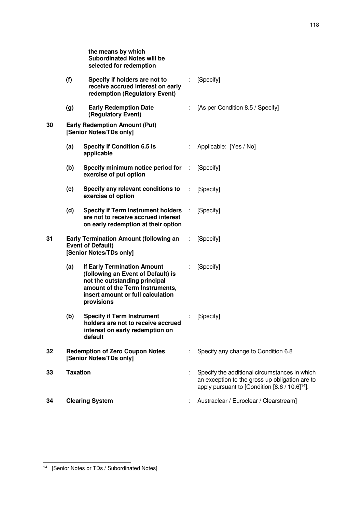|    |                 | the means by which<br><b>Subordinated Notes will be</b><br>selected for redemption                                                                                                              |   |                                                                                                                                                               |
|----|-----------------|-------------------------------------------------------------------------------------------------------------------------------------------------------------------------------------------------|---|---------------------------------------------------------------------------------------------------------------------------------------------------------------|
|    | (f)             | Specify if holders are not to<br>receive accrued interest on early<br>redemption (Regulatory Event)                                                                                             | ÷ | [Specify]                                                                                                                                                     |
|    | (g)             | <b>Early Redemption Date</b><br>(Regulatory Event)                                                                                                                                              |   | [As per Condition 8.5 / Specify]                                                                                                                              |
| 30 |                 | <b>Early Redemption Amount (Put)</b><br>[Senior Notes/TDs only]                                                                                                                                 |   |                                                                                                                                                               |
|    | (a)             | <b>Specify if Condition 6.5 is</b><br>applicable                                                                                                                                                |   | Applicable: [Yes / No]                                                                                                                                        |
|    | (b)             | Specify minimum notice period for :<br>exercise of put option                                                                                                                                   |   | [Specify]                                                                                                                                                     |
|    | (c)             | Specify any relevant conditions to<br>exercise of option                                                                                                                                        | ÷ | [Specify]                                                                                                                                                     |
|    | (d)             | <b>Specify if Term Instrument holders</b><br>are not to receive accrued interest<br>on early redemption at their option                                                                         | ÷ | [Specify]                                                                                                                                                     |
| 31 |                 | <b>Early Termination Amount (following an</b><br><b>Event of Default)</b><br>[Senior Notes/TDs only]                                                                                            | ÷ | [Specify]                                                                                                                                                     |
|    | (a)             | <b>If Early Termination Amount</b><br>(following an Event of Default) is<br>not the outstanding principal<br>amount of the Term Instruments,<br>insert amount or full calculation<br>provisions |   | [Specify]                                                                                                                                                     |
|    | (b)             | <b>Specify if Term Instrument</b><br>holders are not to receive accrued<br>interest on early redemption on<br>default                                                                           |   | [Specify]                                                                                                                                                     |
| 32 |                 | <b>Redemption of Zero Coupon Notes</b><br>[Senior Notes/TDs only]                                                                                                                               |   | Specify any change to Condition 6.8                                                                                                                           |
| 33 | <b>Taxation</b> |                                                                                                                                                                                                 |   | Specify the additional circumstances in which<br>an exception to the gross up obligation are to<br>apply pursuant to [Condition [8.6 / 10.6] <sup>14</sup> ]. |
| 34 |                 | <b>Clearing System</b>                                                                                                                                                                          |   | Austraclear / Euroclear / Clearstream]                                                                                                                        |

<sup>-</sup><sup>14</sup> [Senior Notes or TDs / Subordinated Notes]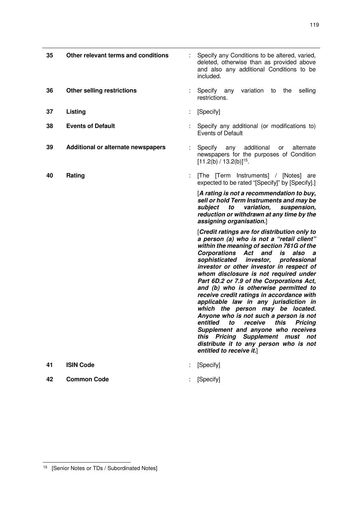| 35 | Other relevant terms and conditions | Specify any Conditions to be altered, varied,<br>deleted, otherwise than as provided above<br>and also any additional Conditions to be<br>included.                                                                                                                                                                                                                                                                                                                                                                                                                                                                                                                                                                                                                                   |
|----|-------------------------------------|---------------------------------------------------------------------------------------------------------------------------------------------------------------------------------------------------------------------------------------------------------------------------------------------------------------------------------------------------------------------------------------------------------------------------------------------------------------------------------------------------------------------------------------------------------------------------------------------------------------------------------------------------------------------------------------------------------------------------------------------------------------------------------------|
| 36 | <b>Other selling restrictions</b>   | variation<br>selling<br>Specify any<br>to<br>the<br>restrictions.                                                                                                                                                                                                                                                                                                                                                                                                                                                                                                                                                                                                                                                                                                                     |
| 37 | Listing                             | [Specify]                                                                                                                                                                                                                                                                                                                                                                                                                                                                                                                                                                                                                                                                                                                                                                             |
| 38 | <b>Events of Default</b>            | Specify any additional (or modifications to)<br><b>Events of Default</b>                                                                                                                                                                                                                                                                                                                                                                                                                                                                                                                                                                                                                                                                                                              |
| 39 | Additional or alternate newspapers  | Specify<br>additional<br>any<br>alternate<br>or<br>newspapers for the purposes of Condition<br>$[11.2(b) / 13.2(b)]^{15}$ .                                                                                                                                                                                                                                                                                                                                                                                                                                                                                                                                                                                                                                                           |
| 40 | Rating                              | [The [Term Instruments] / [Notes] are<br>expected to be rated "[Specify]" by [Specify].]                                                                                                                                                                                                                                                                                                                                                                                                                                                                                                                                                                                                                                                                                              |
|    |                                     | [A rating is not a recommendation to buy,<br>sell or hold Term Instruments and may be<br>variation,<br>subject<br>to<br>suspension,<br>reduction or withdrawn at any time by the<br>assigning organisation.]                                                                                                                                                                                                                                                                                                                                                                                                                                                                                                                                                                          |
|    |                                     | [Credit ratings are for distribution only to<br>a person (a) who is not a "retail client"<br>within the meaning of section 761G of the<br><b>Corporations Act</b><br>and<br>is also<br>a<br>sophisticated investor,<br>professional<br>investor or other investor in respect of<br>whom disclosure is not required under<br>Part 6D.2 or 7.9 of the Corporations Act,<br>and (b) who is otherwise permitted to<br>receive credit ratings in accordance with<br>applicable law in any jurisdiction in<br>which the person may be located.<br>Anyone who is not such a person is not<br>entitled<br>receive<br>this<br>Pricing<br>to<br>Supplement and anyone who receives<br>this Pricing Supplement must<br>not<br>distribute it to any person who is not<br>entitled to receive it.] |
| 41 | <b>ISIN Code</b>                    | [Specify]                                                                                                                                                                                                                                                                                                                                                                                                                                                                                                                                                                                                                                                                                                                                                                             |
| 42 | <b>Common Code</b>                  | [Specify]                                                                                                                                                                                                                                                                                                                                                                                                                                                                                                                                                                                                                                                                                                                                                                             |

-

<sup>&</sup>lt;sup>15</sup> [Senior Notes or TDs / Subordinated Notes]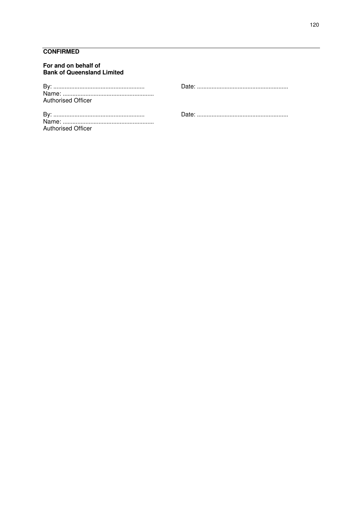## **CONFIRMED**

| For and on behalf of<br><b>Bank of Queensland Limited</b> |  |
|-----------------------------------------------------------|--|
| <b>Authorised Officer</b>                                 |  |
| <b>Authorised Officer</b>                                 |  |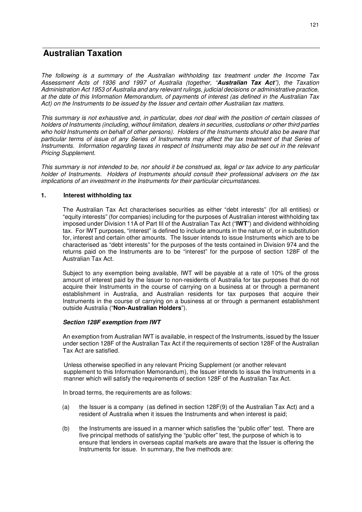# **Australian Taxation**

*The following is a summary of the Australian withholding tax treatment under the Income Tax Assessment Acts of 1936 and 1997 of Australia (together, "Australian Tax Act"), the Taxation Administration Act 1953 of Australia and any relevant rulings, judicial decisions or administrative practice, at the date of this Information Memorandum, of payments of interest (as defined in the Australian Tax Act) on the Instruments to be issued by the Issuer and certain other Australian tax matters.* 

*This summary is not exhaustive and, in particular, does not deal with the position of certain classes of holders of Instruments (including, without limitation, dealers in securities, custodians or other third parties who hold Instruments on behalf of other persons). Holders of the Instruments should also be aware that particular terms of issue of any Series of Instruments may affect the tax treatment of that Series of Instruments. Information regarding taxes in respect of Instruments may also be set out in the relevant Pricing Supplement.* 

*This summary is not intended to be, nor should it be construed as, legal or tax advice to any particular holder of Instruments. Holders of Instruments should consult their professional advisers on the tax implications of an investment in the Instruments for their particular circumstances.*

#### **1. Interest withholding tax**

The Australian Tax Act characterises securities as either "debt interests" (for all entities) or "equity interests" (for companies) including for the purposes of Australian interest withholding tax imposed under Division 11A of Part III of the Australian Tax Act ("**IWT**") and dividend withholding tax. For IWT purposes, "interest" is defined to include amounts in the nature of, or in substitution for, interest and certain other amounts. The Issuer intends to issue Instruments which are to be characterised as "debt interests" for the purposes of the tests contained in Division 974 and the returns paid on the Instruments are to be "interest" for the purpose of section 128F of the Australian Tax Act.

Subject to any exemption being available, IWT will be payable at a rate of 10% of the gross amount of interest paid by the Issuer to non-residents of Australia for tax purposes that do not acquire their Instruments in the course of carrying on a business at or through a permanent establishment in Australia, and Australian residents for tax purposes that acquire their Instruments in the course of carrying on a business at or through a permanent establishment outside Australia ("**Non-Australian Holders**").

## *Section 128F exemption from IWT*

An exemption from Australian IWT is available, in respect of the Instruments, issued by the Issuer under section 128F of the Australian Tax Act if the requirements of section 128F of the Australian Tax Act are satisfied.

Unless otherwise specified in any relevant Pricing Supplement (or another relevant supplement to this Information Memorandum), the Issuer intends to issue the Instruments in a manner which will satisfy the requirements of section 128F of the Australian Tax Act.

In broad terms, the requirements are as follows:

- (a) the Issuer is a company (as defined in section 128F(9) of the Australian Tax Act) and a resident of Australia when it issues the Instruments and when interest is paid;
- (b) the Instruments are issued in a manner which satisfies the "public offer" test. There are five principal methods of satisfying the "public offer" test, the purpose of which is to ensure that lenders in overseas capital markets are aware that the Issuer is offering the Instruments for issue. In summary, the five methods are: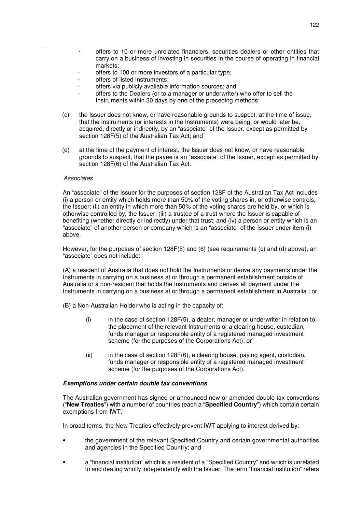- offers to 10 or more unrelated financiers, securities dealers or other entities that carry on a business of investing in securities in the course of operating in financial markets;
- offers to 100 or more investors of a particular type;
- offers of listed Instruments:
- offers via publicly available information sources; and
- · offers to the Dealers (or to a manager or underwriter) who offer to sell the Instruments within 30 days by one of the preceding methods;
- (c) the Issuer does not know, or have reasonable grounds to suspect, at the time of issue, that the Instruments (or interests in the Instruments) were being, or would later be, acquired, directly or indirectly, by an "associate" of the Issuer, except as permitted by section 128F(5) of the Australian Tax Act; and
- (d) at the time of the payment of interest, the Issuer does not know, or have reasonable grounds to suspect, that the payee is an "associate" of the Issuer, except as permitted by section 128F(6) of the Australian Tax Act.

#### *Associates*

An "associate" of the Issuer for the purposes of section 128F of the Australian Tax Act includes (i) a person or entity which holds more than 50% of the voting shares in, or otherwise controls, the Issuer; (ii) an entity in which more than 50% of the voting shares are held by, or which is otherwise controlled by, the Issuer; (iii) a trustee of a trust where the Issuer is capable of benefiting (whether directly or indirectly) under that trust; and (iv) a person or entity which is an "associate" of another person or company which is an "associate" of the Issuer under item (i) above.

However, for the purposes of section 128F(5) and (6) (see requirements (c) and (d) above), an "associate" does not include:

(A) a resident of Australia that does not hold the Instruments or derive any payments under the Instruments in carrying on a business at or through a permanent establishment outside of Australia or a non-resident that holds the Instruments and derives all payment under the Instruments in carrying on a business at or through a permanent establishment in Australia ; or

(B) a Non-Australian Holder who is acting in the capacity of:

- (i) in the case of section 128F(5), a dealer, manager or underwriter in relation to the placement of the relevant Instruments or a clearing house, custodian, funds manager or responsible entity of a registered managed investment scheme (for the purposes of the Corporations Act); or
- $(iii)$  in the case of section 128F $(6)$ , a clearing house, paying agent, custodian, funds manager or responsible entity of a registered managed investment scheme (for the purposes of the Corporations Act).

#### *Exemptions under certain double tax conventions*

The Australian government has signed or announced new or amended double tax conventions ("**New Treaties**") with a number of countries (each a "**Specified Country**") which contain certain exemptions from IWT.

In broad terms, the New Treaties effectively prevent IWT applying to interest derived by:

- the government of the relevant Specified Country and certain governmental authorities and agencies in the Specified Country; and
- a "financial institution" which is a resident of a "Specified Country" and which is unrelated to and dealing wholly independently with the Issuer. The term "financial institution" refers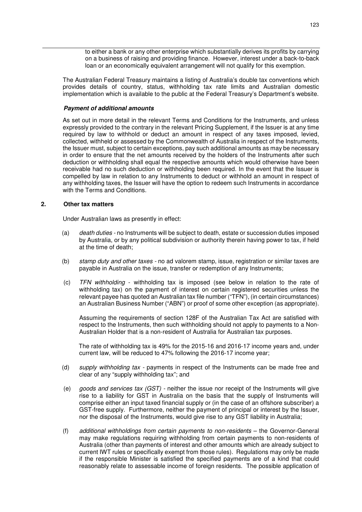to either a bank or any other enterprise which substantially derives its profits by carrying on a business of raising and providing finance. However, interest under a back-to-back loan or an economically equivalent arrangement will not qualify for this exemption.

The Australian Federal Treasury maintains a listing of Australia's double tax conventions which provides details of country, status, withholding tax rate limits and Australian domestic implementation which is available to the public at the Federal Treasury's Department's website.

#### *Payment of additional amounts*

As set out in more detail in the relevant Terms and Conditions for the Instruments, and unless expressly provided to the contrary in the relevant Pricing Supplement, if the Issuer is at any time required by law to withhold or deduct an amount in respect of any taxes imposed, levied, collected, withheld or assessed by the Commonwealth of Australia in respect of the Instruments, the Issuer must, subject to certain exceptions, pay such additional amounts as may be necessary in order to ensure that the net amounts received by the holders of the Instruments after such deduction or withholding shall equal the respective amounts which would otherwise have been receivable had no such deduction or withholding been required. In the event that the Issuer is compelled by law in relation to any Instruments to deduct or withhold an amount in respect of any withholding taxes, the Issuer will have the option to redeem such Instruments in accordance with the Terms and Conditions.

## **2. Other tax matters**

Under Australian laws as presently in effect:

- (a) *death duties* no Instruments will be subject to death, estate or succession duties imposed by Australia, or by any political subdivision or authority therein having power to tax, if held at the time of death;
- (b) *stamp duty and other taxes* no ad valorem stamp, issue, registration or similar taxes are payable in Australia on the issue, transfer or redemption of any Instruments;
- (c) *TFN withholding* withholding tax is imposed (see below in relation to the rate of withholding tax) on the payment of interest on certain registered securities unless the relevant payee has quoted an Australian tax file number ("TFN"), (in certain circumstances) an Australian Business Number ("ABN") or proof of some other exception (as appropriate).

Assuming the requirements of section 128F of the Australian Tax Act are satisfied with respect to the Instruments, then such withholding should not apply to payments to a Non-Australian Holder that is a non-resident of Australia for Australian tax purposes.

The rate of withholding tax is 49% for the 2015-16 and 2016-17 income years and, under current law, will be reduced to 47% following the 2016-17 income year;

- (d) *supply withholding tax* payments in respect of the Instruments can be made free and clear of any "supply withholding tax"; and
- (e) *goods and services tax (GST)* neither the issue nor receipt of the Instruments will give rise to a liability for GST in Australia on the basis that the supply of Instruments will comprise either an input taxed financial supply or (in the case of an offshore subscriber) a GST-free supply. Furthermore, neither the payment of principal or interest by the Issuer, nor the disposal of the Instruments, would give rise to any GST liability in Australia;
- (f) *additional withholdings from certain payments to non-residents* the Governor-General may make regulations requiring withholding from certain payments to non-residents of Australia (other than payments of interest and other amounts which are already subject to current IWT rules or specifically exempt from those rules). Regulations may only be made if the responsible Minister is satisfied the specified payments are of a kind that could reasonably relate to assessable income of foreign residents. The possible application of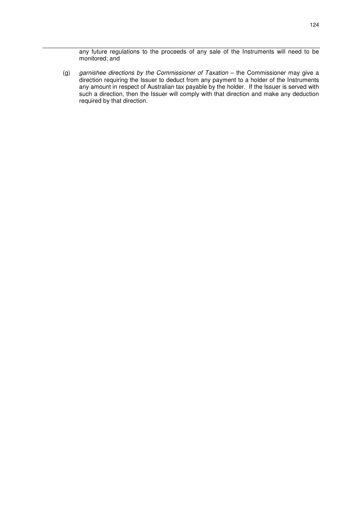any future regulations to the proceeds of any sale of the Instruments will need to be monitored; and

(g) *garnishee directions by the Commissioner of Taxation* – the Commissioner may give a direction requiring the Issuer to deduct from any payment to a holder of the Instruments any amount in respect of Australian tax payable by the holder. If the Issuer is served with such a direction, then the Issuer will comply with that direction and make any deduction required by that direction.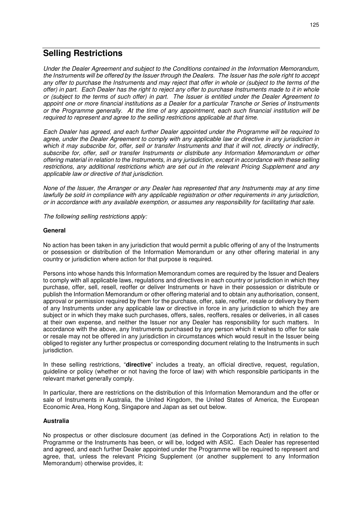## **Selling Restrictions**

*Under the Dealer Agreement and subject to the Conditions contained in the Information Memorandum, the Instruments will be offered by the Issuer through the Dealers. The Issuer has the sole right to accept any offer to purchase the Instruments and may reject that offer in whole or (subject to the terms of the offer) in part. Each Dealer has the right to reject any offer to purchase Instruments made to it in whole or (subject to the terms of such offer) in part. The Issuer is entitled under the Dealer Agreement to appoint one or more financial institutions as a Dealer for a particular Tranche or Series of Instruments or the Programme generally. At the time of any appointment, each such financial institution will be required to represent and agree to the selling restrictions applicable at that time.* 

*Each Dealer has agreed, and each further Dealer appointed under the Programme will be required to agree, under the Dealer Agreement to comply with any applicable law or directive in any jurisdiction in which it may subscribe for, offer, sell or transfer Instruments and that it will not, directly or indirectly, subscribe for, offer, sell or transfer Instruments or distribute any Information Memorandum or other offering material in relation to the Instruments, in any jurisdiction, except in accordance with these selling restrictions, any additional restrictions which are set out in the relevant Pricing Supplement and any applicable law or directive of that jurisdiction.* 

*None of the Issuer, the Arranger or any Dealer has represented that any Instruments may at any time lawfully be sold in compliance with any applicable registration or other requirements in any jurisdiction, or in accordance with any available exemption, or assumes any responsibility for facilitating that sale.* 

*The following selling restrictions apply:* 

## **General**

No action has been taken in any jurisdiction that would permit a public offering of any of the Instruments or possession or distribution of the Information Memorandum or any other offering material in any country or jurisdiction where action for that purpose is required.

Persons into whose hands this Information Memorandum comes are required by the Issuer and Dealers to comply with all applicable laws, regulations and directives in each country or jurisdiction in which they purchase, offer, sell, resell, reoffer or deliver Instruments or have in their possession or distribute or publish the Information Memorandum or other offering material and to obtain any authorisation, consent, approval or permission required by them for the purchase, offer, sale, reoffer, resale or delivery by them of any Instruments under any applicable law or directive in force in any jurisdiction to which they are subject or in which they make such purchases, offers, sales, reoffers, resales or deliveries, in all cases at their own expense, and neither the Issuer nor any Dealer has responsibility for such matters. In accordance with the above, any Instruments purchased by any person which it wishes to offer for sale or resale may not be offered in any jurisdiction in circumstances which would result in the Issuer being obliged to register any further prospectus or corresponding document relating to the Instruments in such jurisdiction.

In these selling restrictions, "**directive**" includes a treaty, an official directive, request, regulation, guideline or policy (whether or not having the force of law) with which responsible participants in the relevant market generally comply.

In particular, there are restrictions on the distribution of this Information Memorandum and the offer or sale of Instruments in Australia, the United Kingdom, the United States of America, the European Economic Area, Hong Kong, Singapore and Japan as set out below.

#### **Australia**

No prospectus or other disclosure document (as defined in the Corporations Act) in relation to the Programme or the Instruments has been, or will be, lodged with ASIC. Each Dealer has represented and agreed, and each further Dealer appointed under the Programme will be required to represent and agree, that, unless the relevant Pricing Supplement (or another supplement to any Information Memorandum) otherwise provides, it: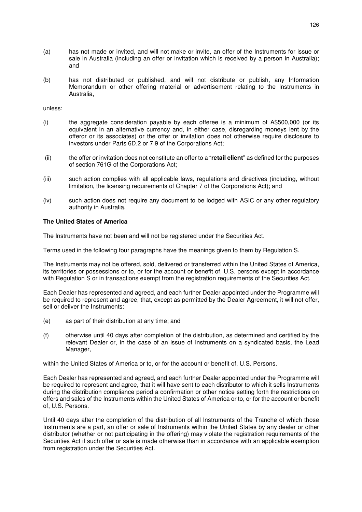- (a) has not made or invited, and will not make or invite, an offer of the Instruments for issue or sale in Australia (including an offer or invitation which is received by a person in Australia); and
- (b) has not distributed or published, and will not distribute or publish, any Information Memorandum or other offering material or advertisement relating to the Instruments in Australia,

unless:

- (i) the aggregate consideration payable by each offeree is a minimum of A\$500,000 (or its equivalent in an alternative currency and, in either case, disregarding moneys lent by the offeror or its associates) or the offer or invitation does not otherwise require disclosure to investors under Parts 6D.2 or 7.9 of the Corporations Act;
- (ii) the offer or invitation does not constitute an offer to a "**retail client**" as defined for the purposes of section 761G of the Corporations Act;
- (iii) such action complies with all applicable laws, regulations and directives (including, without limitation, the licensing requirements of Chapter 7 of the Corporations Act); and
- (iv) such action does not require any document to be lodged with ASIC or any other regulatory authority in Australia.

#### **The United States of America**

The Instruments have not been and will not be registered under the Securities Act.

Terms used in the following four paragraphs have the meanings given to them by Regulation S.

The Instruments may not be offered, sold, delivered or transferred within the United States of America, its territories or possessions or to, or for the account or benefit of, U.S. persons except in accordance with Regulation S or in transactions exempt from the registration requirements of the Securities Act.

Each Dealer has represented and agreed, and each further Dealer appointed under the Programme will be required to represent and agree, that, except as permitted by the Dealer Agreement, it will not offer, sell or deliver the Instruments:

- (e) as part of their distribution at any time; and
- (f) otherwise until 40 days after completion of the distribution, as determined and certified by the relevant Dealer or, in the case of an issue of Instruments on a syndicated basis, the Lead Manager,

within the United States of America or to, or for the account or benefit of, U.S. Persons.

Each Dealer has represented and agreed, and each further Dealer appointed under the Programme will be required to represent and agree, that it will have sent to each distributor to which it sells Instruments during the distribution compliance period a confirmation or other notice setting forth the restrictions on offers and sales of the Instruments within the United States of America or to, or for the account or benefit of, U.S. Persons.

Until 40 days after the completion of the distribution of all Instruments of the Tranche of which those Instruments are a part, an offer or sale of Instruments within the United States by any dealer or other distributor (whether or not participating in the offering) may violate the registration requirements of the Securities Act if such offer or sale is made otherwise than in accordance with an applicable exemption from registration under the Securities Act.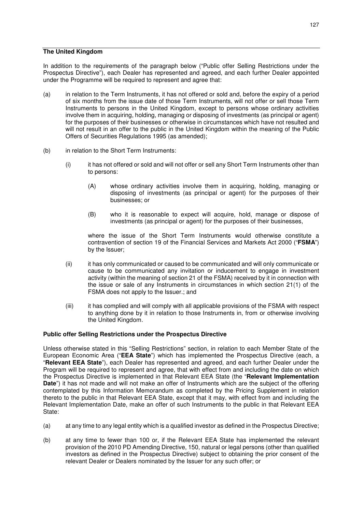## **The United Kingdom**

In addition to the requirements of the paragraph below ("Public offer Selling Restrictions under the Prospectus Directive"), each Dealer has represented and agreed, and each further Dealer appointed under the Programme will be required to represent and agree that:

- (a) in relation to the Term Instruments, it has not offered or sold and, before the expiry of a period of six months from the issue date of those Term Instruments, will not offer or sell those Term Instruments to persons in the United Kingdom, except to persons whose ordinary activities involve them in acquiring, holding, managing or disposing of investments (as principal or agent) for the purposes of their businesses or otherwise in circumstances which have not resulted and will not result in an offer to the public in the United Kingdom within the meaning of the Public Offers of Securities Regulations 1995 (as amended);
- (b) in relation to the Short Term Instruments:
	- (i) it has not offered or sold and will not offer or sell any Short Term Instruments other than to persons:
		- (A) whose ordinary activities involve them in acquiring, holding, managing or disposing of investments (as principal or agent) for the purposes of their businesses; or
		- (B) who it is reasonable to expect will acquire, hold, manage or dispose of investments (as principal or agent) for the purposes of their businesses,

where the issue of the Short Term Instruments would otherwise constitute a contravention of section 19 of the Financial Services and Markets Act 2000 ("**FSMA**") by the Issuer;

- (ii) it has only communicated or caused to be communicated and will only communicate or cause to be communicated any invitation or inducement to engage in investment activity (within the meaning of section 21 of the FSMA) received by it in connection with the issue or sale of any Instruments in circumstances in which section 21(1) of the FSMA does not apply to the Issuer.; and
- (iii) it has complied and will comply with all applicable provisions of the FSMA with respect to anything done by it in relation to those Instruments in, from or otherwise involving the United Kingdom.

## **Public offer Selling Restrictions under the Prospectus Directive**

Unless otherwise stated in this "Selling Restrictions" section, in relation to each Member State of the European Economic Area ("**EEA State**") which has implemented the Prospectus Directive (each, a "**Relevant EEA State**"), each Dealer has represented and agreed, and each further Dealer under the Program will be required to represent and agree, that with effect from and including the date on which the Prospectus Directive is implemented in that Relevant EEA State (the "**Relevant Implementation Date**") it has not made and will not make an offer of Instruments which are the subject of the offering contemplated by this Information Memorandum as completed by the Pricing Supplement in relation thereto to the public in that Relevant EEA State, except that it may, with effect from and including the Relevant Implementation Date, make an offer of such Instruments to the public in that Relevant EEA State:

- (a) at any time to any legal entity which is a qualified investor as defined in the Prospectus Directive;
- (b) at any time to fewer than 100 or, if the Relevant EEA State has implemented the relevant provision of the 2010 PD Amending Directive, 150, natural or legal persons (other than qualified investors as defined in the Prospectus Directive) subject to obtaining the prior consent of the relevant Dealer or Dealers nominated by the Issuer for any such offer; or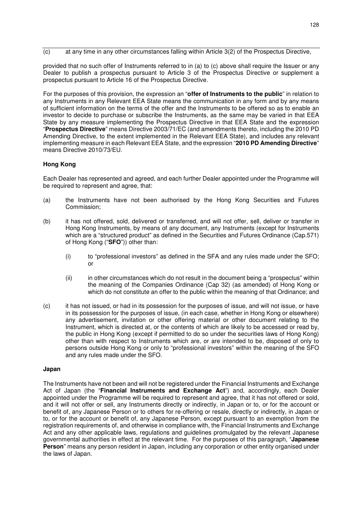$\overline{c}$  at any time in any other circumstances falling within Article 3(2) of the Prospectus Directive,

provided that no such offer of Instruments referred to in (a) to (c) above shall require the Issuer or any Dealer to publish a prospectus pursuant to Article 3 of the Prospectus Directive or supplement a prospectus pursuant to Article 16 of the Prospectus Directive.

For the purposes of this provision, the expression an "**offer of Instruments to the public**" in relation to any Instruments in any Relevant EEA State means the communication in any form and by any means of sufficient information on the terms of the offer and the Instruments to be offered so as to enable an investor to decide to purchase or subscribe the Instruments, as the same may be varied in that EEA State by any measure implementing the Prospectus Directive in that EEA State and the expression "**Prospectus Directive**" means Directive 2003/71/EC (and amendments thereto, including the 2010 PD Amending Directive, to the extent implemented in the Relevant EEA State), and includes any relevant implementing measure in each Relevant EEA State, and the expression "**2010 PD Amending Directive**" means Directive 2010/73/EU.

## **Hong Kong**

Each Dealer has represented and agreed, and each further Dealer appointed under the Programme will be required to represent and agree, that:

- (a) the Instruments have not been authorised by the Hong Kong Securities and Futures Commission;
- (b) it has not offered, sold, delivered or transferred, and will not offer, sell, deliver or transfer in Hong Kong Instruments, by means of any document, any Instruments (except for Instruments which are a "structured product" as defined in the Securities and Futures Ordinance (Cap.571) of Hong Kong ("**SFO**")) other than:
	- (i) to "professional investors" as defined in the SFA and any rules made under the SFO; or
	- (ii) in other circumstances which do not result in the document being a "prospectus" within the meaning of the Companies Ordinance (Cap 32) (as amended) of Hong Kong or which do not constitute an offer to the public within the meaning of that Ordinance; and
- (c) it has not issued, or had in its possession for the purposes of issue, and will not issue, or have in its possession for the purposes of issue, (in each case, whether in Hong Kong or elsewhere) any advertisement, invitation or other offering material or other document relating to the Instrument, which is directed at, or the contents of which are likely to be accessed or read by, the public in Hong Kong (except if permitted to do so under the securities laws of Hong Kong) other than with respect to Instruments which are, or are intended to be, disposed of only to persons outside Hong Kong or only to "professional investors" within the meaning of the SFO and any rules made under the SFO.

#### **Japan**

The Instruments have not been and will not be registered under the Financial Instruments and Exchange Act of Japan (the "**Financial Instruments and Exchange Act**") and, accordingly, each Dealer appointed under the Programme will be required to represent and agree, that it has not offered or sold, and it will not offer or sell, any Instruments directly or indirectly, in Japan or to, or for the account or benefit of, any Japanese Person or to others for re-offering or resale, directly or indirectly, in Japan or to, or for the account or benefit of, any Japanese Person, except pursuant to an exemption from the registration requirements of, and otherwise in compliance with, the Financial Instruments and Exchange Act and any other applicable laws, regulations and guidelines promulgated by the relevant Japanese governmental authorities in effect at the relevant time. For the purposes of this paragraph, "**Japanese Person**" means any person resident in Japan, including any corporation or other entity organised under the laws of Japan.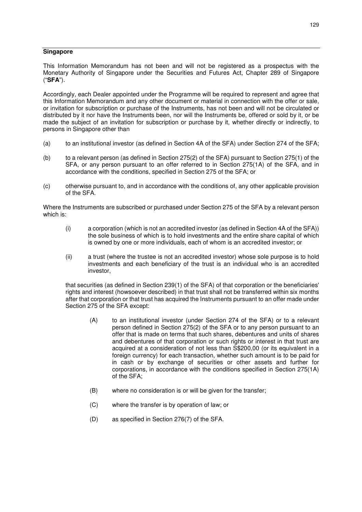#### **Singapore**

This Information Memorandum has not been and will not be registered as a prospectus with the Monetary Authority of Singapore under the Securities and Futures Act, Chapter 289 of Singapore ("**SFA**").

Accordingly, each Dealer appointed under the Programme will be required to represent and agree that this Information Memorandum and any other document or material in connection with the offer or sale, or invitation for subscription or purchase of the Instruments, has not been and will not be circulated or distributed by it nor have the Instruments been, nor will the Instruments be, offered or sold by it, or be made the subject of an invitation for subscription or purchase by it, whether directly or indirectly, to persons in Singapore other than

- (a) to an institutional investor (as defined in Section 4A of the SFA) under Section 274 of the SFA;
- (b) to a relevant person (as defined in Section 275(2) of the SFA) pursuant to Section 275(1) of the SFA, or any person pursuant to an offer referred to in Section 275(1A) of the SFA, and in accordance with the conditions, specified in Section 275 of the SFA; or
- (c) otherwise pursuant to, and in accordance with the conditions of, any other applicable provision of the SFA.

Where the Instruments are subscribed or purchased under Section 275 of the SFA by a relevant person which is:

- (i) a corporation (which is not an accredited investor (as defined in Section 4A of the SFA)) the sole business of which is to hold investments and the entire share capital of which is owned by one or more individuals, each of whom is an accredited investor; or
- (ii) a trust (where the trustee is not an accredited investor) whose sole purpose is to hold investments and each beneficiary of the trust is an individual who is an accredited investor,

that securities (as defined in Section 239(1) of the SFA) of that corporation or the beneficiaries' rights and interest (howsoever described) in that trust shall not be transferred within six months after that corporation or that trust has acquired the Instruments pursuant to an offer made under Section 275 of the SFA except:

- (A) to an institutional investor (under Section 274 of the SFA) or to a relevant person defined in Section 275(2) of the SFA or to any person pursuant to an offer that is made on terms that such shares, debentures and units of shares and debentures of that corporation or such rights or interest in that trust are acquired at a consideration of not less than S\$200,00 (or its equivalent in a foreign currency) for each transaction, whether such amount is to be paid for in cash or by exchange of securities or other assets and further for corporations, in accordance with the conditions specified in Section 275(1A) of the SFA;
- (B) where no consideration is or will be given for the transfer;
- (C) where the transfer is by operation of law; or
- (D) as specified in Section 276(7) of the SFA.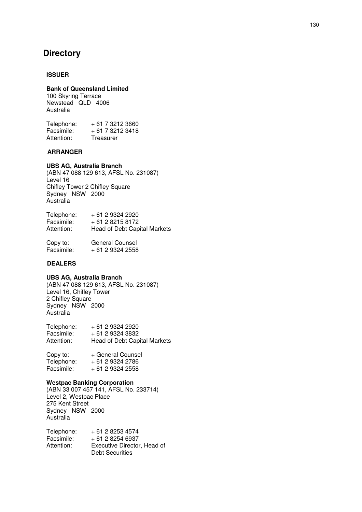# **Directory**

#### **ISSUER**

## **Bank of Queensland Limited**

100 Skyring Terrace Newstead QLD 4006 Australia

| Telephone: | + 61 7 3212 3660 |
|------------|------------------|
| Facsimile: | + 61 7 3212 3418 |
| Attention: | Treasurer        |

#### **ARRANGER**

#### **UBS AG, Australia Branch**

(ABN 47 088 129 613, AFSL No. 231087) Level 16 Chifley Tower 2 Chifley Square Sydney NSW 2000 Australia

| Telephone: | + 61 2 9324 2920                    |
|------------|-------------------------------------|
| Facsimile: | + 61 2 8215 8172                    |
| Attention: | <b>Head of Debt Capital Markets</b> |

| Copy to:   | General Counsel  |
|------------|------------------|
| Facsimile: | + 61 2 9324 2558 |

## **DEALERS**

#### **UBS AG, Australia Branch**

(ABN 47 088 129 613, AFSL No. 231087) Level 16, Chifley Tower 2 Chifley Square Sydney NSW 2000 Australia

Telephone: + 61 2 9324 2920<br>Facsimile: + 61 2 9324 3832 Facsimile: + 61 2 9324 3832 Attention: Head of Debt Capital Markets

| Copy to:   | + General Counsel |
|------------|-------------------|
| Telephone: | + 61 2 9324 2786  |
| Facsimile: | + 61 2 9324 2558  |

#### **Westpac Banking Corporation**

(ABN 33 007 457 141, AFSL No. 233714) Level 2, Westpac Place 275 Kent Street Sydney NSW 2000 Australia

| Telephone: | + 61 2 8253 4574            |
|------------|-----------------------------|
| Facsimile: | $+61$ 2 8254 6937           |
| Attention: | Executive Director, Head of |
|            | Debt Securities             |